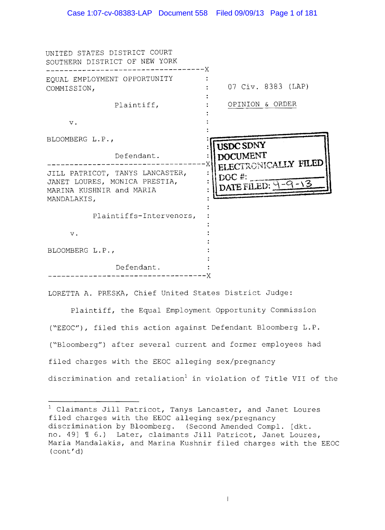| UNITED STATES DISTRICT COURT<br>SOUTHERN DISTRICT OF NEW YORK<br>-------X                                   |                                                   |
|-------------------------------------------------------------------------------------------------------------|---------------------------------------------------|
| EQUAL EMPLOYMENT OPPORTUNITY<br>COMMISSION,                                                                 | 07 Civ. 8383 (LAP)                                |
| Plaintiff,                                                                                                  | OPINION & ORDER                                   |
| $\mathbf v$ .                                                                                               |                                                   |
| BLOOMBERG L.P.,                                                                                             | USDC SDNY                                         |
| Defendant.                                                                                                  | <b>DOCUMENT</b>                                   |
| JILL PATRICOT, TANYS LANCASTER,<br>JANET LOURES, MONICA PRESTIA,<br>MARINA KUSHNIR and MARIA<br>MANDALAKIS, | ELECTRONICALLY FILED<br>DOC#:<br>DATE FILED: 9-9- |
| Plaintiffs-Intervenors,                                                                                     |                                                   |
| $\mathbf v$ .                                                                                               |                                                   |
| BLOOMBERG L.P.,                                                                                             |                                                   |
| Defendant.                                                                                                  |                                                   |

LORETTA **A.** PRESKA, Chief United States District Judge:

Plaintiff, the Equal Employment Opportunity Commission ("EEOC"), filed this action against Defendant Bloomberg L.P. ("Bloomberg") after several current and former employees had filed charges with the EEOC alleging sex/pregnancy discrimination and retaliation<sup>1</sup> in violation of Title VII of the

 $^1$  Claimants Jill Patricot, Tanys Lancaster, and Janet Loures filed charges with the EEOC alleging sex/pregnancy discrimination by Bloomberg. (Second Amended Compl. [dkt. no. 49] ~ **6.)** Later, claimants Jill Patricot, Janet Loures, Maria Mandalakis, and Marina Kushnir filed charges with the EEOC (cont'd)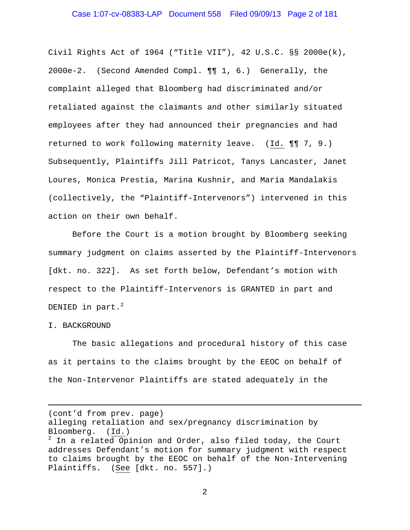Civil Rights Act of 1964 ("Title VII"), 42 U.S.C. §§ 2000e(k), 2000e-2. (Second Amended Compl. ¶¶ 1, 6.) Generally, the complaint alleged that Bloomberg had discriminated and/or retaliated against the claimants and other similarly situated employees after they had announced their pregnancies and had returned to work following maternity leave. (Id. ¶¶ 7, 9.) Subsequently, Plaintiffs Jill Patricot, Tanys Lancaster, Janet Loures, Monica Prestia, Marina Kushnir, and Maria Mandalakis (collectively, the "Plaintiff-Intervenors") intervened in this action on their own behalf.

 Before the Court is a motion brought by Bloomberg seeking summary judgment on claims asserted by the Plaintiff-Intervenors [dkt. no. 322]. As set forth below, Defendant's motion with respect to the Plaintiff-Intervenors is GRANTED in part and DENIED in part. $^2$ 

#### I. BACKGROUND

i

The basic allegations and procedural history of this case as it pertains to the claims brought by the EEOC on behalf of the Non-Intervenor Plaintiffs are stated adequately in the

(cont'd from prev. page)

alleging retaliation and sex/pregnancy discrimination by Bloomberg. (Id.)

 $^2$  In a related Opinion and Order, also filed today, the Court addresses Defendant's motion for summary judgment with respect to claims brought by the EEOC on behalf of the Non-Intervening Plaintiffs. (See [dkt. no. 557].)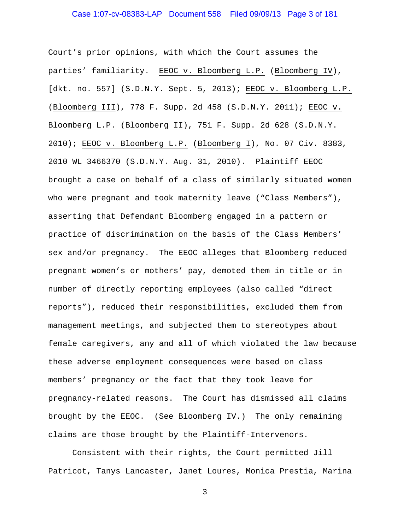Court's prior opinions, with which the Court assumes the parties' familiarity. EEOC v. Bloomberg L.P. (Bloomberg IV), [dkt. no. 557] (S.D.N.Y. Sept. 5, 2013); EEOC v. Bloomberg L.P. (Bloomberg III), 778 F. Supp. 2d 458 (S.D.N.Y. 2011); EEOC v. Bloomberg L.P. (Bloomberg II), 751 F. Supp. 2d 628 (S.D.N.Y. 2010); EEOC v. Bloomberg L.P. (Bloomberg I), No. 07 Civ. 8383, 2010 WL 3466370 (S.D.N.Y. Aug. 31, 2010). Plaintiff EEOC brought a case on behalf of a class of similarly situated women who were pregnant and took maternity leave ("Class Members"), asserting that Defendant Bloomberg engaged in a pattern or practice of discrimination on the basis of the Class Members' sex and/or pregnancy. The EEOC alleges that Bloomberg reduced pregnant women's or mothers' pay, demoted them in title or in number of directly reporting employees (also called "direct reports"), reduced their responsibilities, excluded them from management meetings, and subjected them to stereotypes about female caregivers, any and all of which violated the law because these adverse employment consequences were based on class members' pregnancy or the fact that they took leave for pregnancy-related reasons. The Court has dismissed all claims brought by the EEOC. (See Bloomberg IV.) The only remaining claims are those brought by the Plaintiff-Intervenors.

Consistent with their rights, the Court permitted Jill Patricot, Tanys Lancaster, Janet Loures, Monica Prestia, Marina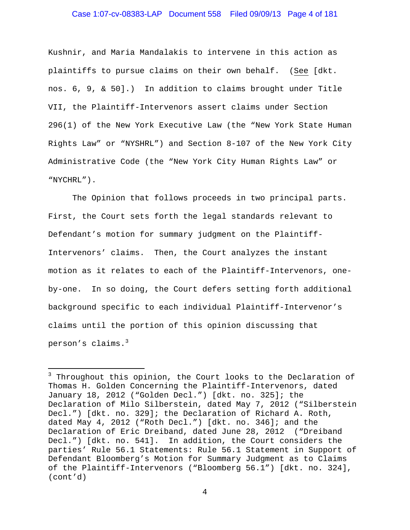### Case 1:07-cv-08383-LAP Document 558 Filed 09/09/13 Page 4 of 181

Kushnir, and Maria Mandalakis to intervene in this action as plaintiffs to pursue claims on their own behalf. (See [dkt. nos. 6, 9, & 50].) In addition to claims brought under Title VII, the Plaintiff-Intervenors assert claims under Section 296(1) of the New York Executive Law (the "New York State Human Rights Law" or "NYSHRL") and Section 8-107 of the New York City Administrative Code (the "New York City Human Rights Law" or "NYCHRL").

The Opinion that follows proceeds in two principal parts. First, the Court sets forth the legal standards relevant to Defendant's motion for summary judgment on the Plaintiff-Intervenors' claims. Then, the Court analyzes the instant motion as it relates to each of the Plaintiff-Intervenors, oneby-one. In so doing, the Court defers setting forth additional background specific to each individual Plaintiff-Intervenor's claims until the portion of this opinion discussing that person's claims.<sup>3</sup>

i

<sup>&</sup>lt;sup>3</sup> Throughout this opinion, the Court looks to the Declaration of Thomas H. Golden Concerning the Plaintiff-Intervenors, dated January 18, 2012 ("Golden Decl.") [dkt. no. 325]; the Declaration of Milo Silberstein, dated May 7, 2012 ("Silberstein Decl.") [dkt. no. 329]; the Declaration of Richard A. Roth, dated May 4, 2012 ("Roth Decl.") [dkt. no. 346]; and the Declaration of Eric Dreiband, dated June 28, 2012 ("Dreiband Decl.") [dkt. no. 541]. In addition, the Court considers the parties' Rule 56.1 Statements: Rule 56.1 Statement in Support of Defendant Bloomberg's Motion for Summary Judgment as to Claims of the Plaintiff-Intervenors ("Bloomberg 56.1") [dkt. no. 324], (cont'd)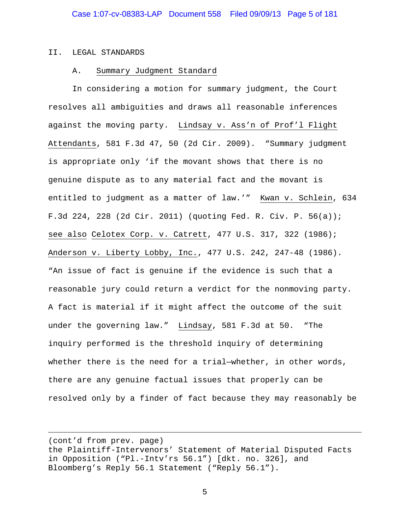#### II. LEGAL STANDARDS

i<br>Li

#### A. Summary Judgment Standard

In considering a motion for summary judgment, the Court resolves all ambiguities and draws all reasonable inferences against the moving party. Lindsay v. Ass'n of Prof'l Flight Attendants, 581 F.3d 47, 50 (2d Cir. 2009). "Summary judgment is appropriate only 'if the movant shows that there is no genuine dispute as to any material fact and the movant is entitled to judgment as a matter of law.'" Kwan v. Schlein, 634 F.3d 224, 228 (2d Cir. 2011) (quoting Fed. R. Civ. P. 56(a)); see also Celotex Corp. v. Catrett, 477 U.S. 317, 322 (1986); Anderson v. Liberty Lobby, Inc., 477 U.S. 242, 247-48 (1986). "An issue of fact is genuine if the evidence is such that a reasonable jury could return a verdict for the nonmoving party. A fact is material if it might affect the outcome of the suit under the governing law." Lindsay, 581 F.3d at 50. "The inquiry performed is the threshold inquiry of determining whether there is the need for a trial—whether, in other words, there are any genuine factual issues that properly can be resolved only by a finder of fact because they may reasonably be

(cont'd from prev. page) the Plaintiff-Intervenors' Statement of Material Disputed Facts in Opposition ("Pl.-Intv'rs 56.1") [dkt. no. 326], and Bloomberg's Reply 56.1 Statement ("Reply 56.1").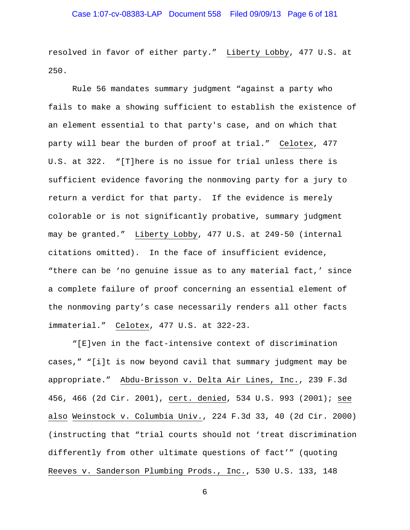resolved in favor of either party." Liberty Lobby, 477 U.S. at 250.

Rule 56 mandates summary judgment "against a party who fails to make a showing sufficient to establish the existence of an element essential to that party's case, and on which that party will bear the burden of proof at trial." Celotex, 477 U.S. at 322. "[T]here is no issue for trial unless there is sufficient evidence favoring the nonmoving party for a jury to return a verdict for that party. If the evidence is merely colorable or is not significantly probative, summary judgment may be granted." Liberty Lobby, 477 U.S. at 249-50 (internal citations omitted). In the face of insufficient evidence, "there can be 'no genuine issue as to any material fact,' since a complete failure of proof concerning an essential element of the nonmoving party's case necessarily renders all other facts immaterial." Celotex, 477 U.S. at 322-23.

"[E]ven in the fact-intensive context of discrimination cases," "[i]t is now beyond cavil that summary judgment may be appropriate." Abdu-Brisson v. Delta Air Lines, Inc., 239 F.3d 456, 466 (2d Cir. 2001), cert. denied, 534 U.S. 993 (2001); see also Weinstock v. Columbia Univ., 224 F.3d 33, 40 (2d Cir. 2000) (instructing that "trial courts should not 'treat discrimination differently from other ultimate questions of fact'" (quoting Reeves v. Sanderson Plumbing Prods., Inc., 530 U.S. 133, 148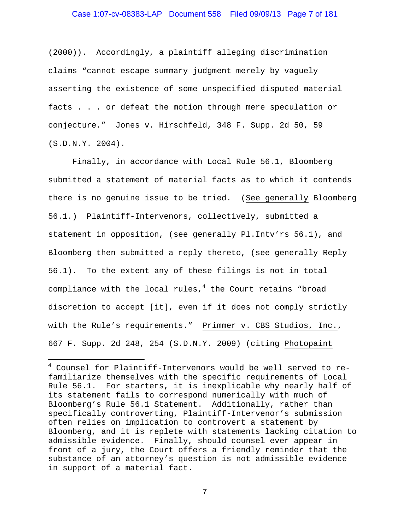(2000)). Accordingly, a plaintiff alleging discrimination claims "cannot escape summary judgment merely by vaguely asserting the existence of some unspecified disputed material facts . . . or defeat the motion through mere speculation or conjecture." Jones v. Hirschfeld, 348 F. Supp. 2d 50, 59 (S.D.N.Y. 2004).

Finally, in accordance with Local Rule 56.1, Bloomberg submitted a statement of material facts as to which it contends there is no genuine issue to be tried. (See generally Bloomberg 56.1.) Plaintiff-Intervenors, collectively, submitted a statement in opposition, (see generally Pl.Intv'rs 56.1), and Bloomberg then submitted a reply thereto, (see generally Reply 56.1). To the extent any of these filings is not in total compliance with the local rules, $^4$  the Court retains "broad discretion to accept [it], even if it does not comply strictly with the Rule's requirements." Primmer v. CBS Studios, Inc., 667 F. Supp. 2d 248, 254 (S.D.N.Y. 2009) (citing Photopaint

i<br>Li

<sup>4</sup> Counsel for Plaintiff-Intervenors would be well served to refamiliarize themselves with the specific requirements of Local Rule 56.1. For starters, it is inexplicable why nearly half of its statement fails to correspond numerically with much of Bloomberg's Rule 56.1 Statement. Additionally, rather than specifically controverting, Plaintiff-Intervenor's submission often relies on implication to controvert a statement by Bloomberg, and it is replete with statements lacking citation to admissible evidence. Finally, should counsel ever appear in front of a jury, the Court offers a friendly reminder that the substance of an attorney's question is not admissible evidence in support of a material fact.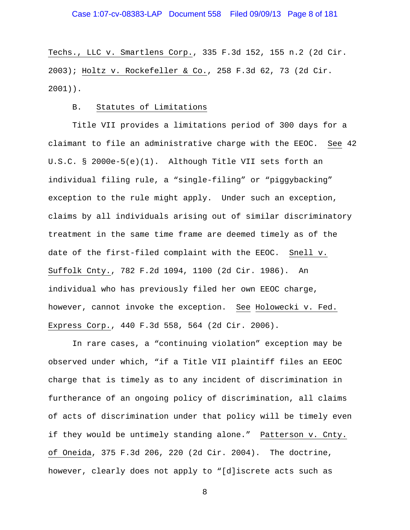Techs., LLC v. Smartlens Corp., 335 F.3d 152, 155 n.2 (2d Cir. 2003); Holtz v. Rockefeller & Co., 258 F.3d 62, 73 (2d Cir. 2001)).

### B. Statutes of Limitations

Title VII provides a limitations period of 300 days for a claimant to file an administrative charge with the EEOC. See 42 U.S.C. § 2000e-5(e)(1). Although Title VII sets forth an individual filing rule, a "single-filing" or "piggybacking" exception to the rule might apply. Under such an exception, claims by all individuals arising out of similar discriminatory treatment in the same time frame are deemed timely as of the date of the first-filed complaint with the EEOC. Snell v. Suffolk Cnty., 782 F.2d 1094, 1100 (2d Cir. 1986). An individual who has previously filed her own EEOC charge, however, cannot invoke the exception. See Holowecki v. Fed. Express Corp., 440 F.3d 558, 564 (2d Cir. 2006).

In rare cases, a "continuing violation" exception may be observed under which, "if a Title VII plaintiff files an EEOC charge that is timely as to any incident of discrimination in furtherance of an ongoing policy of discrimination, all claims of acts of discrimination under that policy will be timely even if they would be untimely standing alone." Patterson v. Cnty. of Oneida, 375 F.3d 206, 220 (2d Cir. 2004). The doctrine, however, clearly does not apply to "[d]iscrete acts such as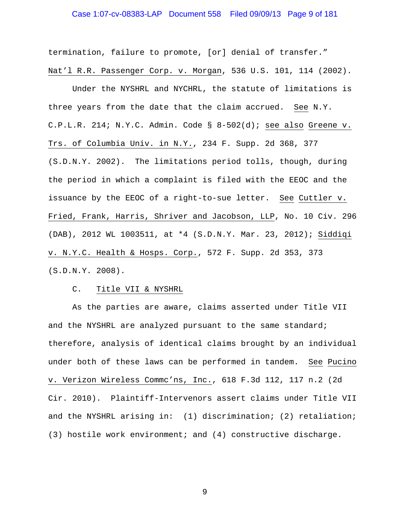### Case 1:07-cv-08383-LAP Document 558 Filed 09/09/13 Page 9 of 181

termination, failure to promote, [or] denial of transfer." Nat'l R.R. Passenger Corp. v. Morgan, 536 U.S. 101, 114 (2002).

Under the NYSHRL and NYCHRL, the statute of limitations is three years from the date that the claim accrued. See N.Y. C.P.L.R. 214; N.Y.C. Admin. Code § 8-502(d); see also Greene v. Trs. of Columbia Univ. in N.Y., 234 F. Supp. 2d 368, 377 (S.D.N.Y. 2002). The limitations period tolls, though, during the period in which a complaint is filed with the EEOC and the issuance by the EEOC of a right-to-sue letter. See Cuttler v. Fried, Frank, Harris, Shriver and Jacobson, LLP, No. 10 Civ. 296 (DAB), 2012 WL 1003511, at \*4 (S.D.N.Y. Mar. 23, 2012); Siddiqi v. N.Y.C. Health & Hosps. Corp., 572 F. Supp. 2d 353, 373 (S.D.N.Y. 2008).

#### C. Title VII & NYSHRL

As the parties are aware, claims asserted under Title VII and the NYSHRL are analyzed pursuant to the same standard; therefore, analysis of identical claims brought by an individual under both of these laws can be performed in tandem. See Pucino v. Verizon Wireless Commc'ns, Inc., 618 F.3d 112, 117 n.2 (2d Cir. 2010). Plaintiff-Intervenors assert claims under Title VII and the NYSHRL arising in: (1) discrimination; (2) retaliation; (3) hostile work environment; and (4) constructive discharge.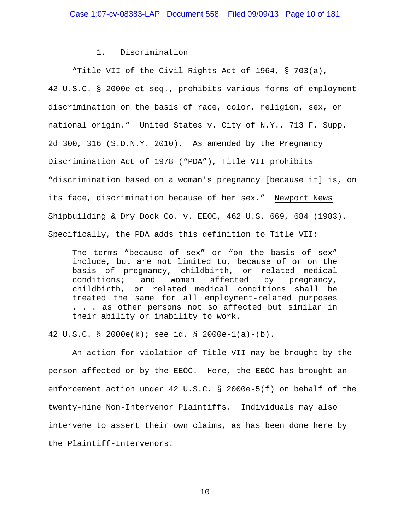#### 1. Discrimination

"Title VII of the Civil Rights Act of 1964, § 703(a), 42 U.S.C. § 2000e et seq., prohibits various forms of employment discrimination on the basis of race, color, religion, sex, or national origin." United States v. City of N.Y., 713 F. Supp. 2d 300, 316 (S.D.N.Y. 2010). As amended by the Pregnancy Discrimination Act of 1978 ("PDA"), Title VII prohibits "discrimination based on a woman's pregnancy [because it] is, on its face, discrimination because of her sex." Newport News Shipbuilding & Dry Dock Co. v. EEOC, 462 U.S. 669, 684 (1983). Specifically, the PDA adds this definition to Title VII:

The terms "because of sex" or "on the basis of sex" include, but are not limited to, because of or on the basis of pregnancy, childbirth, or related medical conditions; and women affected by pregnancy, childbirth, or related medical conditions shall be treated the same for all employment-related purposes . . . as other persons not so affected but similar in their ability or inability to work.

42 U.S.C. § 2000e(k); see id. § 2000e-1(a)-(b).

 An action for violation of Title VII may be brought by the person affected or by the EEOC. Here, the EEOC has brought an enforcement action under 42 U.S.C. § 2000e-5(f) on behalf of the twenty-nine Non-Intervenor Plaintiffs. Individuals may also intervene to assert their own claims, as has been done here by the Plaintiff-Intervenors.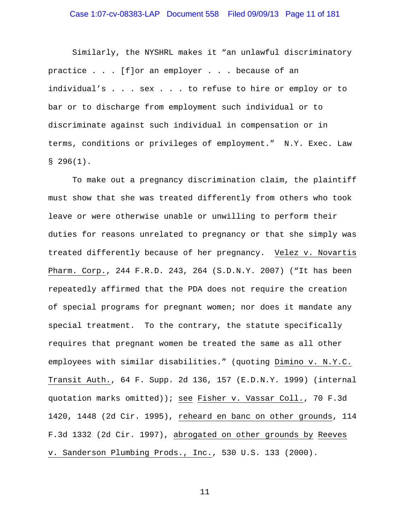### Case 1:07-cv-08383-LAP Document 558 Filed 09/09/13 Page 11 of 181

 Similarly, the NYSHRL makes it "an unlawful discriminatory practice . . . [f]or an employer . . . because of an individual's . . . sex . . . to refuse to hire or employ or to bar or to discharge from employment such individual or to discriminate against such individual in compensation or in terms, conditions or privileges of employment." N.Y. Exec. Law  $$296(1).$ 

To make out a pregnancy discrimination claim, the plaintiff must show that she was treated differently from others who took leave or were otherwise unable or unwilling to perform their duties for reasons unrelated to pregnancy or that she simply was treated differently because of her pregnancy. Velez v. Novartis Pharm. Corp., 244 F.R.D. 243, 264 (S.D.N.Y. 2007) ("It has been repeatedly affirmed that the PDA does not require the creation of special programs for pregnant women; nor does it mandate any special treatment. To the contrary, the statute specifically requires that pregnant women be treated the same as all other employees with similar disabilities." (quoting Dimino v. N.Y.C. Transit Auth., 64 F. Supp. 2d 136, 157 (E.D.N.Y. 1999) (internal quotation marks omitted)); see Fisher v. Vassar Coll., 70 F.3d 1420, 1448 (2d Cir. 1995), reheard en banc on other grounds, 114 F.3d 1332 (2d Cir. 1997), abrogated on other grounds by Reeves v. Sanderson Plumbing Prods., Inc., 530 U.S. 133 (2000).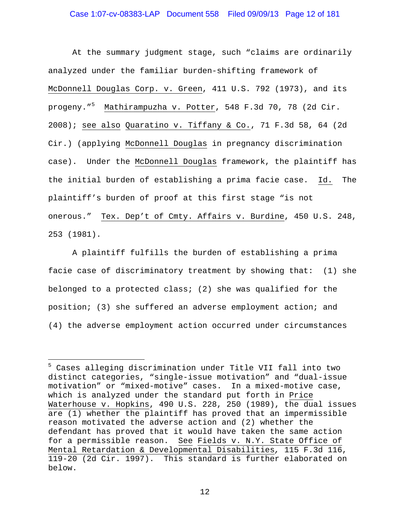### Case 1:07-cv-08383-LAP Document 558 Filed 09/09/13 Page 12 of 181

At the summary judgment stage, such "claims are ordinarily analyzed under the familiar burden-shifting framework of McDonnell Douglas Corp. v. Green, 411 U.S. 792 (1973), and its progeny."<sup>5</sup> Mathirampuzha v. Potter, 548 F.3d 70, 78 (2d Cir. 2008); see also Quaratino v. Tiffany & Co., 71 F.3d 58, 64 (2d Cir.) (applying McDonnell Douglas in pregnancy discrimination case). Under the McDonnell Douglas framework, the plaintiff has the initial burden of establishing a prima facie case. Id. The plaintiff's burden of proof at this first stage "is not onerous." Tex. Dep't of Cmty. Affairs v. Burdine, 450 U.S. 248, 253 (1981).

A plaintiff fulfills the burden of establishing a prima facie case of discriminatory treatment by showing that: (1) she belonged to a protected class; (2) she was qualified for the position; (3) she suffered an adverse employment action; and (4) the adverse employment action occurred under circumstances

i<br>Li

<sup>5</sup> Cases alleging discrimination under Title VII fall into two distinct categories, "single-issue motivation" and "dual-issue motivation" or "mixed-motive" cases. In a mixed-motive case, which is analyzed under the standard put forth in Price Waterhouse v. Hopkins, 490 U.S. 228, 250 (1989), the dual issues are (1) whether the plaintiff has proved that an impermissible reason motivated the adverse action and (2) whether the defendant has proved that it would have taken the same action for a permissible reason. See Fields v. N.Y. State Office of Mental Retardation & Developmental Disabilities*,* 115 F.3d 116, 119-20 (2d Cir. 1997). This standard is further elaborated on below.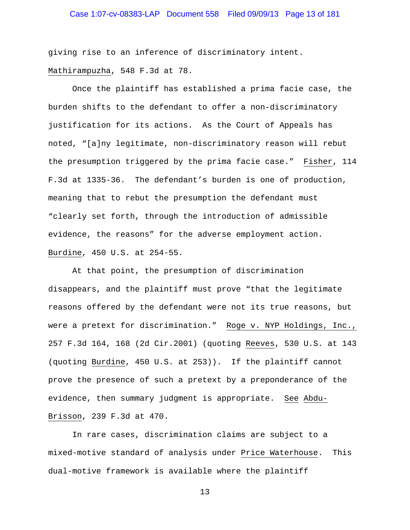# Case 1:07-cv-08383-LAP Document 558 Filed 09/09/13 Page 13 of 181

giving rise to an inference of discriminatory intent. Mathirampuzha, 548 F.3d at 78.

Once the plaintiff has established a prima facie case, the burden shifts to the defendant to offer a non-discriminatory justification for its actions. As the Court of Appeals has noted, "[a]ny legitimate, non-discriminatory reason will rebut the presumption triggered by the prima facie case." Fisher, 114 F.3d at 1335-36. The defendant's burden is one of production, meaning that to rebut the presumption the defendant must "clearly set forth, through the introduction of admissible evidence, the reasons" for the adverse employment action. Burdine, 450 U.S. at 254-55.

At that point, the presumption of discrimination disappears, and the plaintiff must prove "that the legitimate reasons offered by the defendant were not its true reasons, but were a pretext for discrimination." Roge v. NYP Holdings, Inc., 257 F.3d 164, 168 (2d Cir.2001) (quoting Reeves, 530 U.S. at 143 (quoting Burdine, 450 U.S. at 253)). If the plaintiff cannot prove the presence of such a pretext by a preponderance of the evidence, then summary judgment is appropriate. See Abdu-Brisson, 239 F.3d at 470.

 In rare cases, discrimination claims are subject to a mixed-motive standard of analysis under Price Waterhouse. This dual-motive framework is available where the plaintiff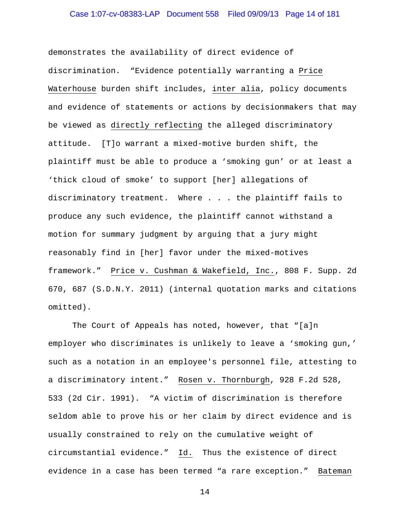# Case 1:07-cv-08383-LAP Document 558 Filed 09/09/13 Page 14 of 181

demonstrates the availability of direct evidence of discrimination. "Evidence potentially warranting a Price Waterhouse burden shift includes, inter alia, policy documents and evidence of statements or actions by decisionmakers that may be viewed as directly reflecting the alleged discriminatory attitude. [T]o warrant a mixed-motive burden shift, the plaintiff must be able to produce a 'smoking gun' or at least a 'thick cloud of smoke' to support [her] allegations of discriminatory treatment. Where . . . the plaintiff fails to produce any such evidence, the plaintiff cannot withstand a motion for summary judgment by arguing that a jury might reasonably find in [her] favor under the mixed-motives framework." Price v. Cushman & Wakefield, Inc., 808 F. Supp. 2d 670, 687 (S.D.N.Y. 2011) (internal quotation marks and citations omitted).

The Court of Appeals has noted, however, that "[a]n employer who discriminates is unlikely to leave a 'smoking gun,' such as a notation in an employee's personnel file, attesting to a discriminatory intent." Rosen v. Thornburgh, 928 F.2d 528, 533 (2d Cir. 1991). "A victim of discrimination is therefore seldom able to prove his or her claim by direct evidence and is usually constrained to rely on the cumulative weight of circumstantial evidence." Id. Thus the existence of direct evidence in a case has been termed "a rare exception." Bateman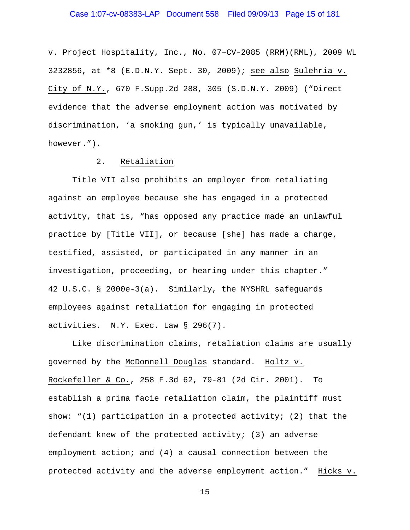v. Project Hospitality, Inc., No. 07–CV–2085 (RRM)(RML), 2009 WL 3232856, at \*8 (E.D.N.Y. Sept. 30, 2009); see also Sulehria v. City of N.Y., 670 F.Supp.2d 288, 305 (S.D.N.Y. 2009) ("Direct evidence that the adverse employment action was motivated by discrimination, 'a smoking gun,' is typically unavailable, however.").

## 2. Retaliation

Title VII also prohibits an employer from retaliating against an employee because she has engaged in a protected activity, that is, "has opposed any practice made an unlawful practice by [Title VII], or because [she] has made a charge, testified, assisted, or participated in any manner in an investigation, proceeding, or hearing under this chapter." 42 U.S.C. § 2000e-3(a). Similarly, the NYSHRL safeguards employees against retaliation for engaging in protected activities. N.Y. Exec. Law § 296(7).

Like discrimination claims, retaliation claims are usually governed by the McDonnell Douglas standard. Holtz v. Rockefeller & Co., 258 F.3d 62, 79-81 (2d Cir. 2001). To establish a prima facie retaliation claim, the plaintiff must show: " $(1)$  participation in a protected activity;  $(2)$  that the defendant knew of the protected activity; (3) an adverse employment action; and (4) a causal connection between the protected activity and the adverse employment action." Hicks v.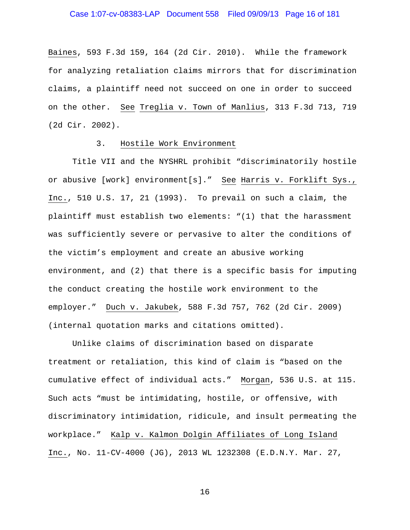### Case 1:07-cv-08383-LAP Document 558 Filed 09/09/13 Page 16 of 181

Baines, 593 F.3d 159, 164 (2d Cir. 2010). While the framework for analyzing retaliation claims mirrors that for discrimination claims, a plaintiff need not succeed on one in order to succeed on the other. See Treglia v. Town of Manlius, 313 F.3d 713, 719 (2d Cir. 2002).

#### 3. Hostile Work Environment

 Title VII and the NYSHRL prohibit "discriminatorily hostile or abusive [work] environment[s]." See Harris v. Forklift Sys., Inc., 510 U.S. 17, 21 (1993). To prevail on such a claim, the plaintiff must establish two elements: "(1) that the harassment was sufficiently severe or pervasive to alter the conditions of the victim's employment and create an abusive working environment, and (2) that there is a specific basis for imputing the conduct creating the hostile work environment to the employer." Duch v. Jakubek, 588 F.3d 757, 762 (2d Cir. 2009) (internal quotation marks and citations omitted).

 Unlike claims of discrimination based on disparate treatment or retaliation, this kind of claim is "based on the cumulative effect of individual acts." Morgan, 536 U.S. at 115. Such acts "must be intimidating, hostile, or offensive, with discriminatory intimidation, ridicule, and insult permeating the workplace." Kalp v. Kalmon Dolgin Affiliates of Long Island Inc., No. 11-CV-4000 (JG), 2013 WL 1232308 (E.D.N.Y. Mar. 27,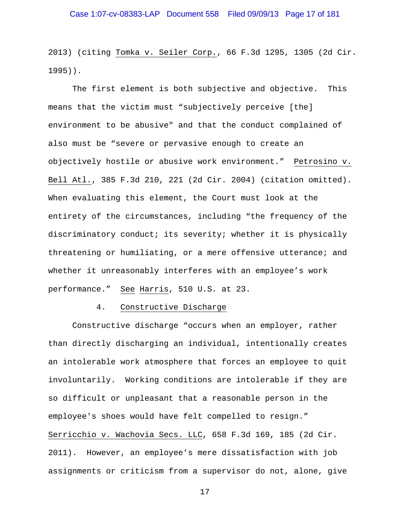2013) (citing Tomka v. Seiler Corp., 66 F.3d 1295, 1305 (2d Cir. 1995)).

The first element is both subjective and objective. This means that the victim must "subjectively perceive [the] environment to be abusive" and that the conduct complained of also must be "severe or pervasive enough to create an objectively hostile or abusive work environment." Petrosino v. Bell Atl., 385 F.3d 210, 221 (2d Cir. 2004) (citation omitted). When evaluating this element, the Court must look at the entirety of the circumstances, including "the frequency of the discriminatory conduct; its severity; whether it is physically threatening or humiliating, or a mere offensive utterance; and whether it unreasonably interferes with an employee's work performance." See Harris, 510 U.S. at 23.

#### 4. Constructive Discharge

Constructive discharge "occurs when an employer, rather than directly discharging an individual, intentionally creates an intolerable work atmosphere that forces an employee to quit involuntarily. Working conditions are intolerable if they are so difficult or unpleasant that a reasonable person in the employee's shoes would have felt compelled to resign." Serricchio v. Wachovia Secs. LLC, 658 F.3d 169, 185 (2d Cir. 2011). However, an employee's mere dissatisfaction with job assignments or criticism from a supervisor do not, alone, give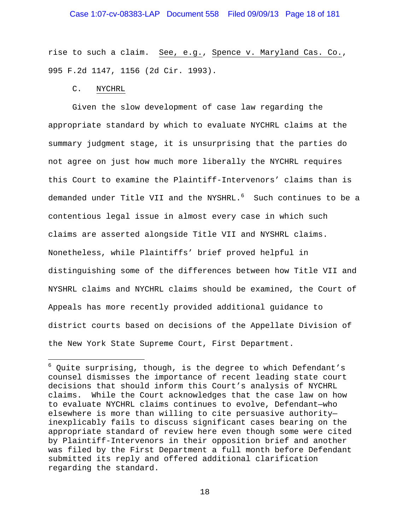### Case 1:07-cv-08383-LAP Document 558 Filed 09/09/13 Page 18 of 181

rise to such a claim. See, e.g., Spence v. Maryland Cas. Co., 995 F.2d 1147, 1156 (2d Cir. 1993).

#### C. NYCHRL

i<br>Li

 Given the slow development of case law regarding the appropriate standard by which to evaluate NYCHRL claims at the summary judgment stage, it is unsurprising that the parties do not agree on just how much more liberally the NYCHRL requires this Court to examine the Plaintiff-Intervenors' claims than is demanded under Title VII and the NYSHRL.<sup>6</sup> Such continues to be a contentious legal issue in almost every case in which such claims are asserted alongside Title VII and NYSHRL claims. Nonetheless, while Plaintiffs' brief proved helpful in distinguishing some of the differences between how Title VII and NYSHRL claims and NYCHRL claims should be examined, the Court of Appeals has more recently provided additional guidance to district courts based on decisions of the Appellate Division of the New York State Supreme Court, First Department.

 $^6$  Quite surprising, though, is the degree to which Defendant's counsel dismisses the importance of recent leading state court decisions that should inform this Court's analysis of NYCHRL claims. While the Court acknowledges that the case law on how to evaluate NYCHRL claims continues to evolve, Defendant—who elsewhere is more than willing to cite persuasive authority inexplicably fails to discuss significant cases bearing on the appropriate standard of review here even though some were cited by Plaintiff-Intervenors in their opposition brief and another was filed by the First Department a full month before Defendant submitted its reply and offered additional clarification regarding the standard.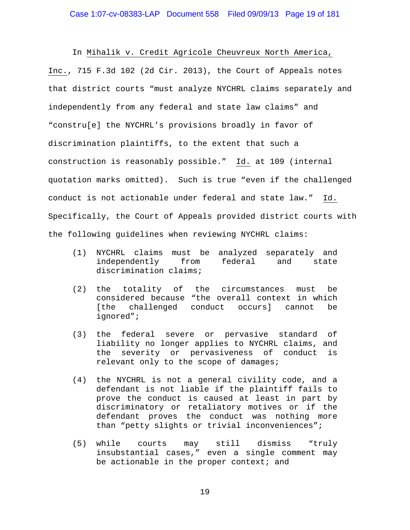In Mihalik v. Credit Agricole Cheuvreux North America, Inc., 715 F.3d 102 (2d Cir. 2013), the Court of Appeals notes that district courts "must analyze NYCHRL claims separately and independently from any federal and state law claims" and "constru[e] the NYCHRL's provisions broadly in favor of discrimination plaintiffs, to the extent that such a construction is reasonably possible." Id. at 109 (internal quotation marks omitted). Such is true "even if the challenged conduct is not actionable under federal and state law." Id. Specifically, the Court of Appeals provided district courts with the following guidelines when reviewing NYCHRL claims:

- (1) NYCHRL claims must be analyzed separately and independently from federal and state discrimination claims;
- (2) the totality of the circumstances must be considered because "the overall context in which [the challenged conduct occurs] cannot be ignored";
- (3) the federal severe or pervasive standard of liability no longer applies to NYCHRL claims, and the severity or pervasiveness of conduct is relevant only to the scope of damages;
- (4) the NYCHRL is not a general civility code, and a defendant is not liable if the plaintiff fails to prove the conduct is caused at least in part by discriminatory or retaliatory motives or if the defendant proves the conduct was nothing more than "petty slights or trivial inconveniences";
- (5) while courts may still dismiss "truly insubstantial cases," even a single comment may be actionable in the proper context; and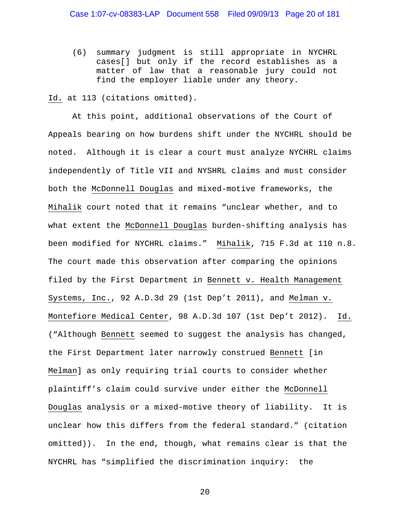(6) summary judgment is still appropriate in NYCHRL cases[] but only if the record establishes as a matter of law that a reasonable jury could not find the employer liable under any theory.

Id. at 113 (citations omitted).

At this point, additional observations of the Court of Appeals bearing on how burdens shift under the NYCHRL should be noted. Although it is clear a court must analyze NYCHRL claims independently of Title VII and NYSHRL claims and must consider both the McDonnell Douglas and mixed-motive frameworks, the Mihalik court noted that it remains "unclear whether, and to what extent the McDonnell Douglas burden-shifting analysis has been modified for NYCHRL claims." Mihalik, 715 F.3d at 110 n.8. The court made this observation after comparing the opinions filed by the First Department in Bennett v. Health Management Systems, Inc., 92 A.D.3d 29 (1st Dep't 2011), and Melman v. Montefiore Medical Center, 98 A.D.3d 107 (1st Dep't 2012). Id. ("Although Bennett seemed to suggest the analysis has changed, the First Department later narrowly construed Bennett [in Melman] as only requiring trial courts to consider whether plaintiff's claim could survive under either the McDonnell Douglas analysis or a mixed-motive theory of liability. It is unclear how this differs from the federal standard." (citation omitted)). In the end, though, what remains clear is that the NYCHRL has "simplified the discrimination inquiry: the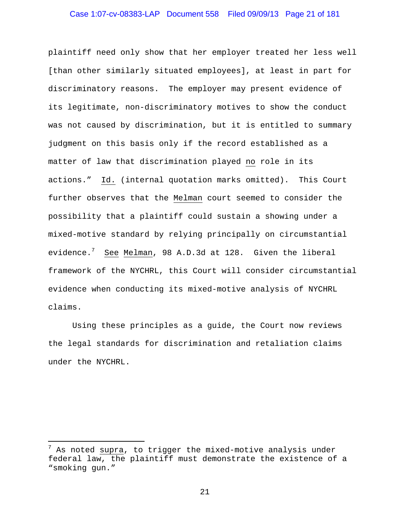### Case 1:07-cv-08383-LAP Document 558 Filed 09/09/13 Page 21 of 181

plaintiff need only show that her employer treated her less well [than other similarly situated employees], at least in part for discriminatory reasons. The employer may present evidence of its legitimate, non-discriminatory motives to show the conduct was not caused by discrimination, but it is entitled to summary judgment on this basis only if the record established as a matter of law that discrimination played no role in its actions." Id. (internal quotation marks omitted). This Court further observes that the Melman court seemed to consider the possibility that a plaintiff could sustain a showing under a mixed-motive standard by relying principally on circumstantial evidence.<sup>7</sup> See Melman, 98 A.D.3d at 128. Given the liberal framework of the NYCHRL, this Court will consider circumstantial evidence when conducting its mixed-motive analysis of NYCHRL claims.

Using these principles as a guide, the Court now reviews the legal standards for discrimination and retaliation claims under the NYCHRL.

i

 $^7$  As noted supra, to trigger the mixed-motive analysis under federal law, the plaintiff must demonstrate the existence of a "smoking gun."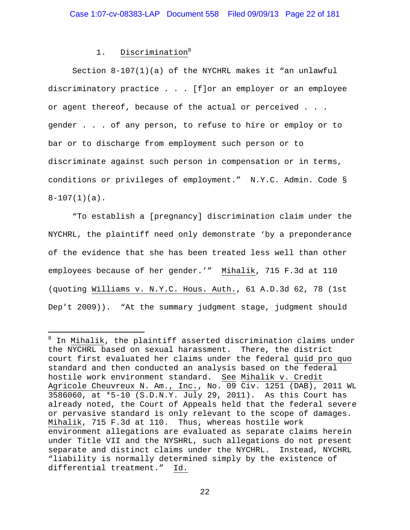## 1. Discrimination<sup>8</sup>

i

Section 8-107(1)(a) of the NYCHRL makes it "an unlawful discriminatory practice . . . [f]or an employer or an employee or agent thereof, because of the actual or perceived . . . gender . . . of any person, to refuse to hire or employ or to bar or to discharge from employment such person or to discriminate against such person in compensation or in terms, conditions or privileges of employment." N.Y.C. Admin. Code § 8-107(1)(a).

"To establish a [pregnancy] discrimination claim under the NYCHRL, the plaintiff need only demonstrate 'by a preponderance of the evidence that she has been treated less well than other employees because of her gender.'" Mihalik, 715 F.3d at 110 (quoting Williams v. N.Y.C. Hous. Auth., 61 A.D.3d 62, 78 (1st Dep't 2009)). "At the summary judgment stage, judgment should

<sup>&</sup>lt;sup>8</sup> In Mihalik, the plaintiff asserted discrimination claims under the NYCHRL based on sexual harassment. There, the district court first evaluated her claims under the federal quid pro quo standard and then conducted an analysis based on the federal hostile work environment standard. See Mihalik v. Credit Agricole Cheuvreux N. Am., Inc., No. 09 Civ. 1251 (DAB), 2011 WL 3586060, at \*5-10 (S.D.N.Y. July 29, 2011). As this Court has already noted, the Court of Appeals held that the federal severe or pervasive standard is only relevant to the scope of damages. Mihalik, 715 F.3d at 110. Thus, whereas hostile work environment allegations are evaluated as separate claims herein under Title VII and the NYSHRL, such allegations do not present separate and distinct claims under the NYCHRL. Instead, NYCHRL "liability is normally determined simply by the existence of differential treatment." Id.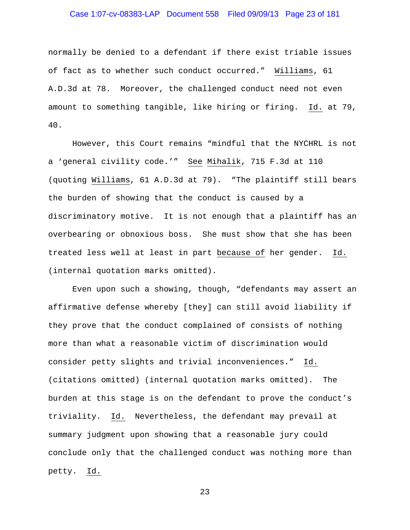### Case 1:07-cv-08383-LAP Document 558 Filed 09/09/13 Page 23 of 181

normally be denied to a defendant if there exist triable issues of fact as to whether such conduct occurred." Williams, 61 A.D.3d at 78. Moreover, the challenged conduct need not even amount to something tangible, like hiring or firing. Id. at 79, 40.

However, this Court remains "mindful that the NYCHRL is not a 'general civility code.'" See Mihalik, 715 F.3d at 110 (quoting Williams, 61 A.D.3d at 79). "The plaintiff still bears the burden of showing that the conduct is caused by a discriminatory motive. It is not enough that a plaintiff has an overbearing or obnoxious boss. She must show that she has been treated less well at least in part because of her gender. Id. (internal quotation marks omitted).

Even upon such a showing, though, "defendants may assert an affirmative defense whereby [they] can still avoid liability if they prove that the conduct complained of consists of nothing more than what a reasonable victim of discrimination would consider petty slights and trivial inconveniences." Id. (citations omitted) (internal quotation marks omitted). The burden at this stage is on the defendant to prove the conduct's triviality. Id. Nevertheless, the defendant may prevail at summary judgment upon showing that a reasonable jury could conclude only that the challenged conduct was nothing more than petty. Id.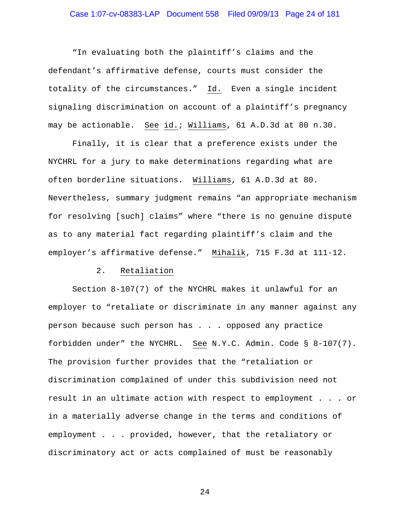### Case 1:07-cv-08383-LAP Document 558 Filed 09/09/13 Page 24 of 181

"In evaluating both the plaintiff's claims and the defendant's affirmative defense, courts must consider the totality of the circumstances." Id. Even a single incident signaling discrimination on account of a plaintiff's pregnancy may be actionable. See id.; Williams, 61 A.D.3d at 80 n.30.

 Finally, it is clear that a preference exists under the NYCHRL for a jury to make determinations regarding what are often borderline situations. Williams, 61 A.D.3d at 80. Nevertheless, summary judgment remains "an appropriate mechanism for resolving [such] claims" where "there is no genuine dispute as to any material fact regarding plaintiff's claim and the employer's affirmative defense." Mihalik, 715 F.3d at 111-12.

#### 2. Retaliation

 Section 8-107(7) of the NYCHRL makes it unlawful for an employer to "retaliate or discriminate in any manner against any person because such person has . . . opposed any practice forbidden under" the NYCHRL. See N.Y.C. Admin. Code § 8-107(7). The provision further provides that the "retaliation or discrimination complained of under this subdivision need not result in an ultimate action with respect to employment . . . or in a materially adverse change in the terms and conditions of employment . . . provided, however, that the retaliatory or discriminatory act or acts complained of must be reasonably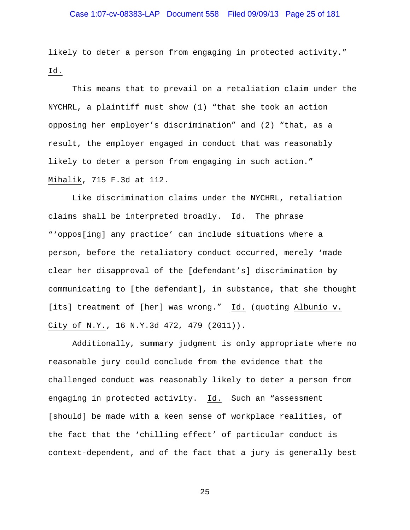### Case 1:07-cv-08383-LAP Document 558 Filed 09/09/13 Page 25 of 181

likely to deter a person from engaging in protected activity." Id.

 This means that to prevail on a retaliation claim under the NYCHRL, a plaintiff must show (1) "that she took an action opposing her employer's discrimination" and (2) "that, as a result, the employer engaged in conduct that was reasonably likely to deter a person from engaging in such action." Mihalik, 715 F.3d at 112.

 Like discrimination claims under the NYCHRL, retaliation claims shall be interpreted broadly. Id. The phrase "'oppos[ing] any practice' can include situations where a person, before the retaliatory conduct occurred, merely 'made clear her disapproval of the [defendant's] discrimination by communicating to [the defendant], in substance, that she thought [its] treatment of [her] was wrong." Id. (quoting Albunio v. City of N.Y., 16 N.Y.3d 472, 479 (2011)).

 Additionally, summary judgment is only appropriate where no reasonable jury could conclude from the evidence that the challenged conduct was reasonably likely to deter a person from engaging in protected activity. Id. Such an "assessment [should] be made with a keen sense of workplace realities, of the fact that the 'chilling effect' of particular conduct is context-dependent, and of the fact that a jury is generally best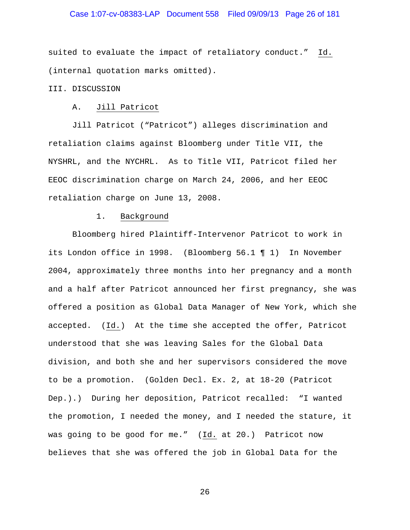### Case 1:07-cv-08383-LAP Document 558 Filed 09/09/13 Page 26 of 181

suited to evaluate the impact of retaliatory conduct." Id. (internal quotation marks omitted).

## III. DISCUSSION

#### A. Jill Patricot

 Jill Patricot ("Patricot") alleges discrimination and retaliation claims against Bloomberg under Title VII, the NYSHRL, and the NYCHRL. As to Title VII, Patricot filed her EEOC discrimination charge on March 24, 2006, and her EEOC retaliation charge on June 13, 2008.

#### 1. Background

Bloomberg hired Plaintiff-Intervenor Patricot to work in its London office in 1998. (Bloomberg 56.1 ¶ 1) In November 2004, approximately three months into her pregnancy and a month and a half after Patricot announced her first pregnancy, she was offered a position as Global Data Manager of New York, which she accepted. (Id.) At the time she accepted the offer, Patricot understood that she was leaving Sales for the Global Data division, and both she and her supervisors considered the move to be a promotion. (Golden Decl. Ex. 2, at 18-20 (Patricot Dep.).) During her deposition, Patricot recalled: "I wanted the promotion, I needed the money, and I needed the stature, it was going to be good for me." (Id. at 20.) Patricot now believes that she was offered the job in Global Data for the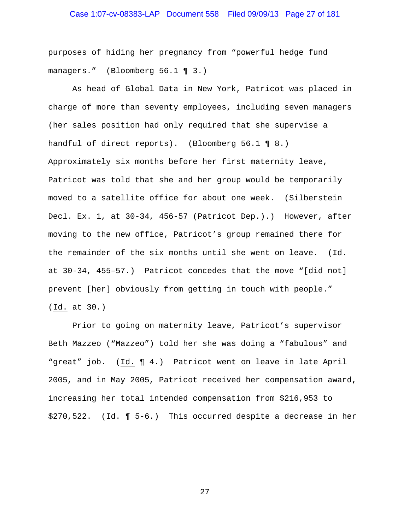# Case 1:07-cv-08383-LAP Document 558 Filed 09/09/13 Page 27 of 181

purposes of hiding her pregnancy from "powerful hedge fund managers." (Bloomberg 56.1 ¶ 3.)

As head of Global Data in New York, Patricot was placed in charge of more than seventy employees, including seven managers (her sales position had only required that she supervise a handful of direct reports). (Bloomberg 56.1 ¶ 8.) Approximately six months before her first maternity leave, Patricot was told that she and her group would be temporarily moved to a satellite office for about one week. (Silberstein Decl. Ex. 1, at 30-34, 456-57 (Patricot Dep.).) However, after moving to the new office, Patricot's group remained there for the remainder of the six months until she went on leave. (Id. at 30-34, 455–57.) Patricot concedes that the move "[did not] prevent [her] obviously from getting in touch with people." (Id. at 30.)

Prior to going on maternity leave, Patricot's supervisor Beth Mazzeo ("Mazzeo") told her she was doing a "fabulous" and "great" job. (Id. ¶ 4.) Patricot went on leave in late April 2005, and in May 2005, Patricot received her compensation award, increasing her total intended compensation from \$216,953 to \$270,522. (Id. ¶ 5-6.) This occurred despite a decrease in her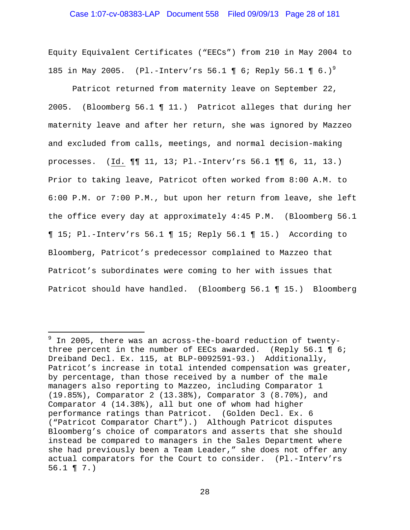### Case 1:07-cv-08383-LAP Document 558 Filed 09/09/13 Page 28 of 181

Equity Equivalent Certificates ("EECs") from 210 in May 2004 to 185 in May 2005. (Pl.-Interv'rs 56.1 ¶ 6; Reply 56.1 ¶ 6.)<sup>9</sup>

Patricot returned from maternity leave on September 22, 2005. (Bloomberg 56.1 ¶ 11.) Patricot alleges that during her maternity leave and after her return, she was ignored by Mazzeo and excluded from calls, meetings, and normal decision-making processes. (Id. ¶¶ 11, 13; Pl.-Interv'rs 56.1 ¶¶ 6, 11, 13.) Prior to taking leave, Patricot often worked from 8:00 A.M. to 6:00 P.M. or 7:00 P.M., but upon her return from leave, she left the office every day at approximately 4:45 P.M. (Bloomberg 56.1 ¶ 15; Pl.-Interv'rs 56.1 ¶ 15; Reply 56.1 ¶ 15.) According to Bloomberg, Patricot's predecessor complained to Mazzeo that Patricot's subordinates were coming to her with issues that Patricot should have handled. (Bloomberg 56.1 ¶ 15.) Bloomberg

 $\overline{\phantom{0}}$ 

 $9$  In 2005, there was an across-the-board reduction of twentythree percent in the number of EECs awarded. (Reply 56.1 ¶ 6; Dreiband Decl. Ex. 115, at BLP-0092591-93.) Additionally, Patricot's increase in total intended compensation was greater, by percentage, than those received by a number of the male managers also reporting to Mazzeo, including Comparator 1 (19.85%), Comparator 2 (13.38%), Comparator 3 (8.70%), and Comparator 4 (14.38%), all but one of whom had higher performance ratings than Patricot. (Golden Decl. Ex. 6 ("Patricot Comparator Chart").) Although Patricot disputes Bloomberg's choice of comparators and asserts that she should instead be compared to managers in the Sales Department where she had previously been a Team Leader," she does not offer any actual comparators for the Court to consider. (Pl.-Interv'rs 56.1 ¶ 7.)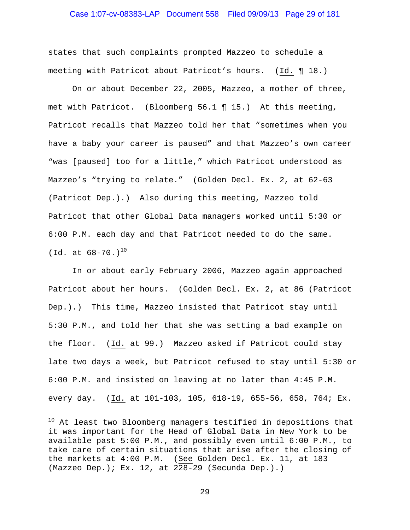### Case 1:07-cv-08383-LAP Document 558 Filed 09/09/13 Page 29 of 181

states that such complaints prompted Mazzeo to schedule a meeting with Patricot about Patricot's hours. (Id. ¶ 18.)

On or about December 22, 2005, Mazzeo, a mother of three, met with Patricot. (Bloomberg 56.1 ¶ 15.) At this meeting, Patricot recalls that Mazzeo told her that "sometimes when you have a baby your career is paused" and that Mazzeo's own career "was [paused] too for a little," which Patricot understood as Mazzeo's "trying to relate." (Golden Decl. Ex. 2, at 62-63 (Patricot Dep.).) Also during this meeting, Mazzeo told Patricot that other Global Data managers worked until 5:30 or 6:00 P.M. each day and that Patricot needed to do the same. (Id. at  $68-70.$ )<sup>10</sup>

In or about early February 2006, Mazzeo again approached Patricot about her hours. (Golden Decl. Ex. 2, at 86 (Patricot Dep.).) This time, Mazzeo insisted that Patricot stay until 5:30 P.M., and told her that she was setting a bad example on the floor. (Id. at 99.) Mazzeo asked if Patricot could stay late two days a week, but Patricot refused to stay until 5:30 or 6:00 P.M. and insisted on leaving at no later than 4:45 P.M. every day. (Id. at 101-103, 105, 618-19, 655-56, 658, 764; Ex.

 $\overline{\phantom{0}}$ 

 $^{10}$  At least two Bloomberg managers testified in depositions that it was important for the Head of Global Data in New York to be available past 5:00 P.M., and possibly even until 6:00 P.M., to take care of certain situations that arise after the closing of the markets at 4:00 P.M. (See Golden Decl. Ex. 11, at 183 (Mazzeo Dep.); Ex. 12, at 228-29 (Secunda Dep.).)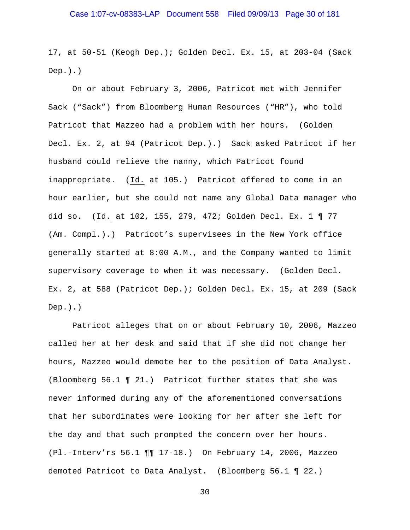17, at 50-51 (Keogh Dep.); Golden Decl. Ex. 15, at 203-04 (Sack  $Dep.$ ).)

On or about February 3, 2006, Patricot met with Jennifer Sack ("Sack") from Bloomberg Human Resources ("HR"), who told Patricot that Mazzeo had a problem with her hours. (Golden Decl. Ex. 2, at 94 (Patricot Dep.).) Sack asked Patricot if her husband could relieve the nanny, which Patricot found inappropriate. (Id. at 105.) Patricot offered to come in an hour earlier, but she could not name any Global Data manager who did so. (Id. at 102, 155, 279, 472; Golden Decl. Ex. 1 ¶ 77 (Am. Compl.).) Patricot's supervisees in the New York office generally started at 8:00 A.M., and the Company wanted to limit supervisory coverage to when it was necessary. (Golden Decl. Ex. 2, at 588 (Patricot Dep.); Golden Decl. Ex. 15, at 209 (Sack  $Dep.$ ). $)$ 

Patricot alleges that on or about February 10, 2006, Mazzeo called her at her desk and said that if she did not change her hours, Mazzeo would demote her to the position of Data Analyst. (Bloomberg 56.1 ¶ 21.) Patricot further states that she was never informed during any of the aforementioned conversations that her subordinates were looking for her after she left for the day and that such prompted the concern over her hours. (Pl.-Interv'rs 56.1 ¶¶ 17-18.) On February 14, 2006, Mazzeo demoted Patricot to Data Analyst. (Bloomberg 56.1 ¶ 22.)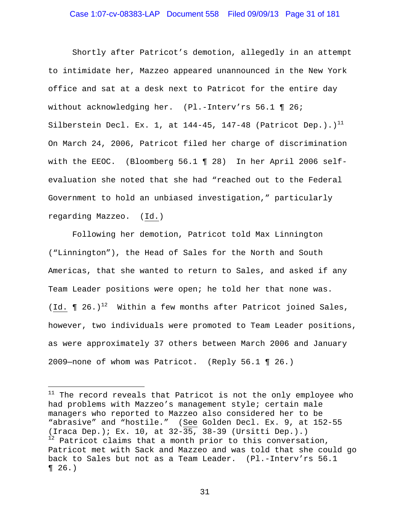### Case 1:07-cv-08383-LAP Document 558 Filed 09/09/13 Page 31 of 181

Shortly after Patricot's demotion, allegedly in an attempt to intimidate her, Mazzeo appeared unannounced in the New York office and sat at a desk next to Patricot for the entire day without acknowledging her. (Pl.-Interv'rs 56.1 ¶ 26; Silberstein Decl. Ex. 1, at  $144-45$ , 147-48 (Patricot Dep.).)<sup>11</sup> On March 24, 2006, Patricot filed her charge of discrimination with the EEOC. (Bloomberg 56.1 ¶ 28) In her April 2006 selfevaluation she noted that she had "reached out to the Federal Government to hold an unbiased investigation," particularly regarding Mazzeo. (Id.)

Following her demotion, Patricot told Max Linnington ("Linnington"), the Head of Sales for the North and South Americas, that she wanted to return to Sales, and asked if any Team Leader positions were open; he told her that none was. (Id.  $\P$  26.)<sup>12</sup> Within a few months after Patricot joined Sales, however, two individuals were promoted to Team Leader positions, as were approximately 37 others between March 2006 and January 2009—none of whom was Patricot. (Reply 56.1 ¶ 26.)

i<br>Li

 $11$  The record reveals that Patricot is not the only employee who had problems with Mazzeo's management style; certain male managers who reported to Mazzeo also considered her to be "abrasive" and "hostile." (See Golden Decl. Ex. 9, at 152-55 (Iraca Dep.); Ex. 10, at 32-35, 38-39 (Ursitti Dep.).) <sup>12</sup> Patricot claims that a month prior to this conversation, Patricot met with Sack and Mazzeo and was told that she could go back to Sales but not as a Team Leader. (Pl.-Interv'rs 56.1  $\P 26.$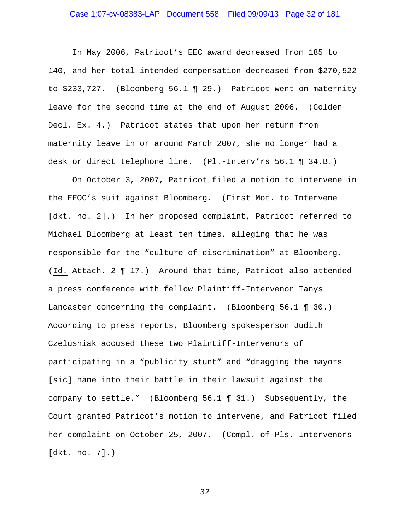### Case 1:07-cv-08383-LAP Document 558 Filed 09/09/13 Page 32 of 181

In May 2006, Patricot's EEC award decreased from 185 to 140, and her total intended compensation decreased from \$270,522 to \$233,727. (Bloomberg 56.1 ¶ 29.) Patricot went on maternity leave for the second time at the end of August 2006. (Golden Decl. Ex. 4.) Patricot states that upon her return from maternity leave in or around March 2007, she no longer had a desk or direct telephone line. (Pl.-Interv'rs 56.1 ¶ 34.B.)

On October 3, 2007, Patricot filed a motion to intervene in the EEOC's suit against Bloomberg. (First Mot. to Intervene [dkt. no. 2].) In her proposed complaint, Patricot referred to Michael Bloomberg at least ten times, alleging that he was responsible for the "culture of discrimination" at Bloomberg. (Id. Attach. 2 ¶ 17.) Around that time, Patricot also attended a press conference with fellow Plaintiff-Intervenor Tanys Lancaster concerning the complaint. (Bloomberg 56.1 ¶ 30.) According to press reports, Bloomberg spokesperson Judith Czelusniak accused these two Plaintiff-Intervenors of participating in a "publicity stunt" and "dragging the mayors [sic] name into their battle in their lawsuit against the company to settle." (Bloomberg 56.1 ¶ 31.) Subsequently, the Court granted Patricot's motion to intervene, and Patricot filed her complaint on October 25, 2007. (Compl. of Pls.-Intervenors [dkt. no. 7].)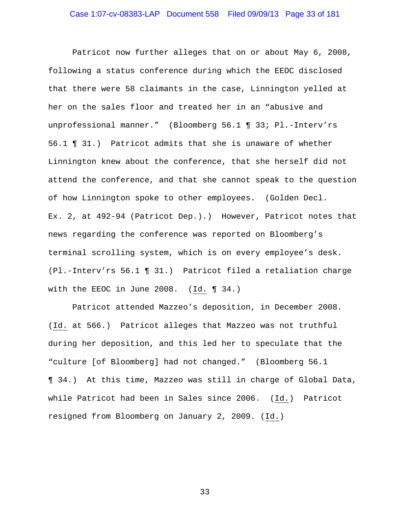### Case 1:07-cv-08383-LAP Document 558 Filed 09/09/13 Page 33 of 181

Patricot now further alleges that on or about May 6, 2008, following a status conference during which the EEOC disclosed that there were 58 claimants in the case, Linnington yelled at her on the sales floor and treated her in an "abusive and unprofessional manner." (Bloomberg 56.1 ¶ 33; Pl.-Interv'rs 56.1 ¶ 31.) Patricot admits that she is unaware of whether Linnington knew about the conference, that she herself did not attend the conference, and that she cannot speak to the question of how Linnington spoke to other employees. (Golden Decl. Ex. 2, at 492-94 (Patricot Dep.).) However, Patricot notes that news regarding the conference was reported on Bloomberg's terminal scrolling system, which is on every employee's desk. (Pl.-Interv'rs 56.1 ¶ 31.) Patricot filed a retaliation charge with the EEOC in June 2008. (Id. ¶ 34.)

Patricot attended Mazzeo's deposition, in December 2008. (Id. at 566.) Patricot alleges that Mazzeo was not truthful during her deposition, and this led her to speculate that the "culture [of Bloomberg] had not changed." (Bloomberg 56.1 ¶ 34.) At this time, Mazzeo was still in charge of Global Data, while Patricot had been in Sales since 2006. (Id.) Patricot resigned from Bloomberg on January 2, 2009. (Id.)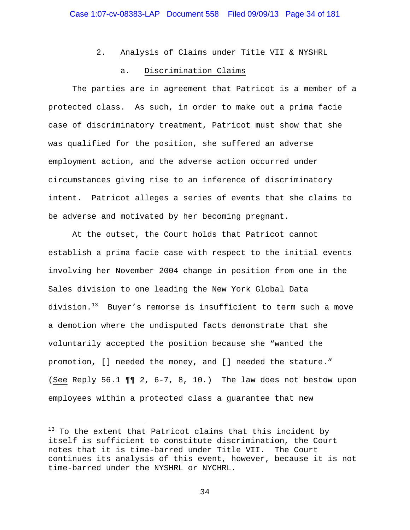## 2. Analysis of Claims under Title VII & NYSHRL

### a. Discrimination Claims

 The parties are in agreement that Patricot is a member of a protected class. As such, in order to make out a prima facie case of discriminatory treatment, Patricot must show that she was qualified for the position, she suffered an adverse employment action, and the adverse action occurred under circumstances giving rise to an inference of discriminatory intent. Patricot alleges a series of events that she claims to be adverse and motivated by her becoming pregnant.

 At the outset, the Court holds that Patricot cannot establish a prima facie case with respect to the initial events involving her November 2004 change in position from one in the Sales division to one leading the New York Global Data division.<sup>13</sup> Buyer's remorse is insufficient to term such a move a demotion where the undisputed facts demonstrate that she voluntarily accepted the position because she "wanted the promotion, [] needed the money, and [] needed the stature." (See Reply 56.1 ¶¶ 2, 6-7, 8, 10.) The law does not bestow upon employees within a protected class a guarantee that new

i<br>Li

 $^{13}$  To the extent that Patricot claims that this incident by itself is sufficient to constitute discrimination, the Court notes that it is time-barred under Title VII. The Court continues its analysis of this event, however, because it is not time-barred under the NYSHRL or NYCHRL.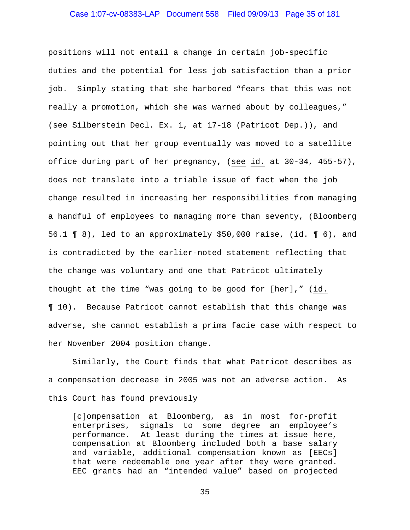### Case 1:07-cv-08383-LAP Document 558 Filed 09/09/13 Page 35 of 181

positions will not entail a change in certain job-specific duties and the potential for less job satisfaction than a prior job. Simply stating that she harbored "fears that this was not really a promotion, which she was warned about by colleagues," (see Silberstein Decl. Ex. 1, at 17-18 (Patricot Dep.)), and pointing out that her group eventually was moved to a satellite office during part of her pregnancy, (see id. at 30-34, 455-57), does not translate into a triable issue of fact when the job change resulted in increasing her responsibilities from managing a handful of employees to managing more than seventy, (Bloomberg 56.1 ¶ 8), led to an approximately \$50,000 raise, (id. ¶ 6), and is contradicted by the earlier-noted statement reflecting that the change was voluntary and one that Patricot ultimately thought at the time "was going to be good for [her]," (id. ¶ 10). Because Patricot cannot establish that this change was adverse, she cannot establish a prima facie case with respect to her November 2004 position change.

 Similarly, the Court finds that what Patricot describes as a compensation decrease in 2005 was not an adverse action. As this Court has found previously

[c]ompensation at Bloomberg, as in most for-profit enterprises, signals to some degree an employee's performance. At least during the times at issue here, compensation at Bloomberg included both a base salary and variable, additional compensation known as [EECs] that were redeemable one year after they were granted. EEC grants had an "intended value" based on projected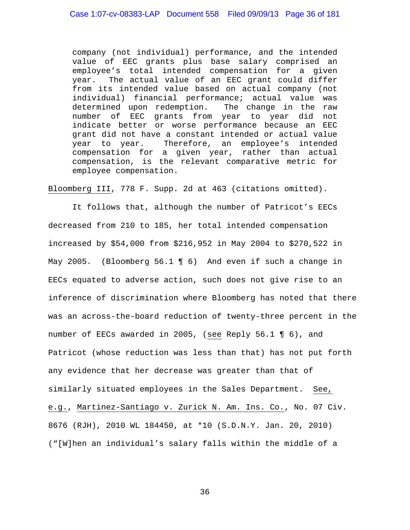company (not individual) performance, and the intended value of EEC grants plus base salary comprised an employee's total intended compensation for a given year. The actual value of an EEC grant could differ from its intended value based on actual company (not individual) financial performance; actual value was determined upon redemption. The change in the raw number of EEC grants from year to year did not indicate better or worse performance because an EEC grant did not have a constant intended or actual value year to year. Therefore, an employee's intended compensation for a given year, rather than actual compensation, is the relevant comparative metric for employee compensation.

Bloomberg III, 778 F. Supp. 2d at 463 (citations omitted).

It follows that, although the number of Patricot's EECs decreased from 210 to 185, her total intended compensation increased by \$54,000 from \$216,952 in May 2004 to \$270,522 in May 2005. (Bloomberg 56.1 ¶ 6) And even if such a change in EECs equated to adverse action, such does not give rise to an inference of discrimination where Bloomberg has noted that there was an across-the-board reduction of twenty-three percent in the number of EECs awarded in 2005, (see Reply 56.1 ¶ 6), and Patricot (whose reduction was less than that) has not put forth any evidence that her decrease was greater than that of similarly situated employees in the Sales Department. See, e.g., Martinez-Santiago v. Zurick N. Am. Ins. Co., No. 07 Civ. 8676 (RJH), 2010 WL 184450, at \*10 (S.D.N.Y. Jan. 20, 2010) ("[W]hen an individual's salary falls within the middle of a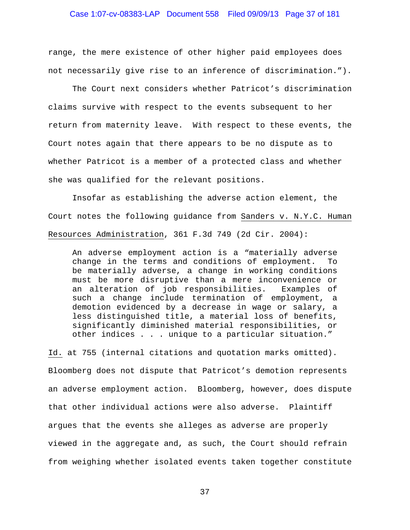### Case 1:07-cv-08383-LAP Document 558 Filed 09/09/13 Page 37 of 181

range, the mere existence of other higher paid employees does not necessarily give rise to an inference of discrimination.").

 The Court next considers whether Patricot's discrimination claims survive with respect to the events subsequent to her return from maternity leave. With respect to these events, the Court notes again that there appears to be no dispute as to whether Patricot is a member of a protected class and whether she was qualified for the relevant positions.

Insofar as establishing the adverse action element, the Court notes the following guidance from Sanders v. N.Y.C. Human Resources Administration, 361 F.3d 749 (2d Cir. 2004):

An adverse employment action is a "materially adverse change in the terms and conditions of employment. To be materially adverse, a change in working conditions must be more disruptive than a mere inconvenience or an alteration of job responsibilities. Examples of such a change include termination of employment, a demotion evidenced by a decrease in wage or salary, a less distinguished title, a material loss of benefits, significantly diminished material responsibilities, or other indices . . . unique to a particular situation."

Id. at 755 (internal citations and quotation marks omitted). Bloomberg does not dispute that Patricot's demotion represents an adverse employment action. Bloomberg, however, does dispute that other individual actions were also adverse. Plaintiff argues that the events she alleges as adverse are properly viewed in the aggregate and, as such, the Court should refrain from weighing whether isolated events taken together constitute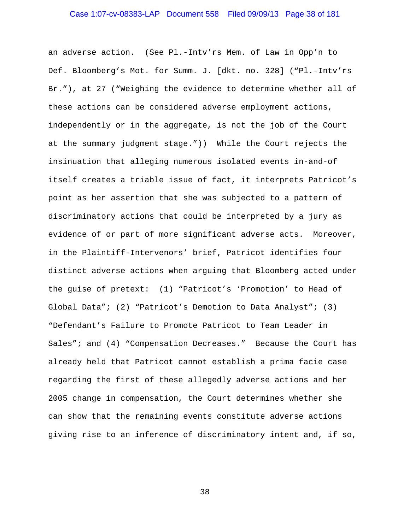### Case 1:07-cv-08383-LAP Document 558 Filed 09/09/13 Page 38 of 181

an adverse action. (See Pl.-Intv'rs Mem. of Law in Opp'n to Def. Bloomberg's Mot. for Summ. J. [dkt. no. 328] ("Pl.-Intv'rs Br."), at 27 ("Weighing the evidence to determine whether all of these actions can be considered adverse employment actions, independently or in the aggregate, is not the job of the Court at the summary judgment stage.")) While the Court rejects the insinuation that alleging numerous isolated events in-and-of itself creates a triable issue of fact, it interprets Patricot's point as her assertion that she was subjected to a pattern of discriminatory actions that could be interpreted by a jury as evidence of or part of more significant adverse acts. Moreover, in the Plaintiff-Intervenors' brief, Patricot identifies four distinct adverse actions when arguing that Bloomberg acted under the guise of pretext: (1) "Patricot's 'Promotion' to Head of Global Data"; (2) "Patricot's Demotion to Data Analyst"; (3) "Defendant's Failure to Promote Patricot to Team Leader in Sales"; and (4) "Compensation Decreases." Because the Court has already held that Patricot cannot establish a prima facie case regarding the first of these allegedly adverse actions and her 2005 change in compensation, the Court determines whether she can show that the remaining events constitute adverse actions giving rise to an inference of discriminatory intent and, if so,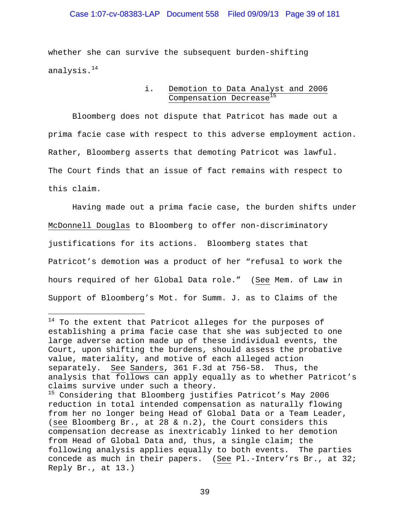### Case 1:07-cv-08383-LAP Document 558 Filed 09/09/13 Page 39 of 181

whether she can survive the subsequent burden-shifting analysis.<sup>14</sup>

> i. Demotion to Data Analyst and 2006 Compensation Decrease<sup>15</sup>

 Bloomberg does not dispute that Patricot has made out a prima facie case with respect to this adverse employment action. Rather, Bloomberg asserts that demoting Patricot was lawful. The Court finds that an issue of fact remains with respect to this claim.

 Having made out a prima facie case, the burden shifts under McDonnell Douglas to Bloomberg to offer non-discriminatory justifications for its actions. Bloomberg states that Patricot's demotion was a product of her "refusal to work the hours required of her Global Data role." (See Mem. of Law in Support of Bloomberg's Mot. for Summ. J. as to Claims of the

i<br>Li

<sup>&</sup>lt;sup>14</sup> To the extent that Patricot alleges for the purposes of establishing a prima facie case that she was subjected to one large adverse action made up of these individual events, the Court, upon shifting the burdens, should assess the probative value, materiality, and motive of each alleged action separately. See Sanders, 361 F.3d at 756-58. Thus, the analysis that follows can apply equally as to whether Patricot's claims survive under such a theory.

<sup>&</sup>lt;sup>15</sup> Considering that Bloomberg justifies Patricot's May 2006 reduction in total intended compensation as naturally flowing from her no longer being Head of Global Data or a Team Leader, (see Bloomberg Br., at 28 & n.2), the Court considers this compensation decrease as inextricably linked to her demotion from Head of Global Data and, thus, a single claim; the following analysis applies equally to both events. The parties concede as much in their papers. (See Pl.-Interv'rs Br., at 32; Reply Br., at 13.)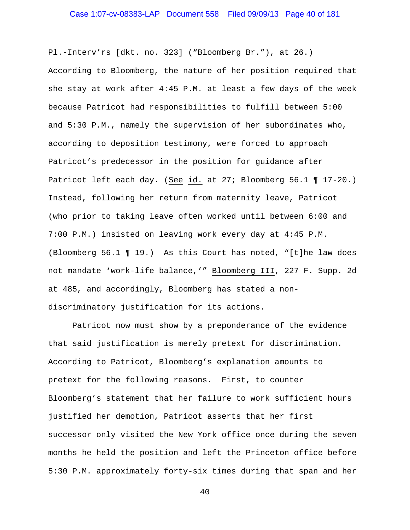# Case 1:07-cv-08383-LAP Document 558 Filed 09/09/13 Page 40 of 181

Pl.-Interv'rs [dkt. no. 323] ("Bloomberg Br."), at 26.) According to Bloomberg, the nature of her position required that she stay at work after 4:45 P.M. at least a few days of the week because Patricot had responsibilities to fulfill between 5:00 and 5:30 P.M., namely the supervision of her subordinates who, according to deposition testimony, were forced to approach Patricot's predecessor in the position for guidance after Patricot left each day. (See id. at 27; Bloomberg 56.1 ¶ 17-20.) Instead, following her return from maternity leave, Patricot (who prior to taking leave often worked until between 6:00 and 7:00 P.M.) insisted on leaving work every day at 4:45 P.M. (Bloomberg 56.1 ¶ 19.) As this Court has noted, "[t]he law does not mandate 'work-life balance,'" Bloomberg III, 227 F. Supp. 2d at 485, and accordingly, Bloomberg has stated a nondiscriminatory justification for its actions.

 Patricot now must show by a preponderance of the evidence that said justification is merely pretext for discrimination. According to Patricot, Bloomberg's explanation amounts to pretext for the following reasons. First, to counter Bloomberg's statement that her failure to work sufficient hours justified her demotion, Patricot asserts that her first successor only visited the New York office once during the seven months he held the position and left the Princeton office before 5:30 P.M. approximately forty-six times during that span and her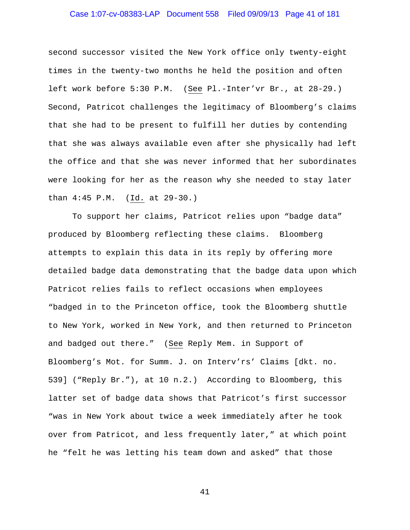### Case 1:07-cv-08383-LAP Document 558 Filed 09/09/13 Page 41 of 181

second successor visited the New York office only twenty-eight times in the twenty-two months he held the position and often left work before 5:30 P.M. (See Pl.-Inter'vr Br., at 28-29.) Second, Patricot challenges the legitimacy of Bloomberg's claims that she had to be present to fulfill her duties by contending that she was always available even after she physically had left the office and that she was never informed that her subordinates were looking for her as the reason why she needed to stay later than 4:45 P.M. (Id. at 29-30.)

To support her claims, Patricot relies upon "badge data" produced by Bloomberg reflecting these claims. Bloomberg attempts to explain this data in its reply by offering more detailed badge data demonstrating that the badge data upon which Patricot relies fails to reflect occasions when employees "badged in to the Princeton office, took the Bloomberg shuttle to New York, worked in New York, and then returned to Princeton and badged out there." (See Reply Mem. in Support of Bloomberg's Mot. for Summ. J. on Interv'rs' Claims [dkt. no. 539] ("Reply Br."), at 10 n.2.) According to Bloomberg, this latter set of badge data shows that Patricot's first successor "was in New York about twice a week immediately after he took over from Patricot, and less frequently later," at which point he "felt he was letting his team down and asked" that those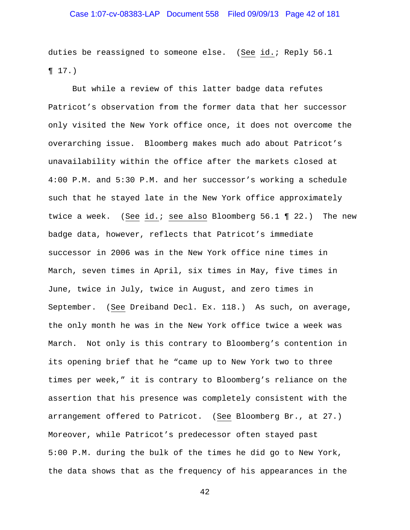# Case 1:07-cv-08383-LAP Document 558 Filed 09/09/13 Page 42 of 181

duties be reassigned to someone else. (See id.; Reply 56.1  $\P 17.$ 

 But while a review of this latter badge data refutes Patricot's observation from the former data that her successor only visited the New York office once, it does not overcome the overarching issue. Bloomberg makes much ado about Patricot's unavailability within the office after the markets closed at 4:00 P.M. and 5:30 P.M. and her successor's working a schedule such that he stayed late in the New York office approximately twice a week. (See id.; see also Bloomberg 56.1 ¶ 22.) The new badge data, however, reflects that Patricot's immediate successor in 2006 was in the New York office nine times in March, seven times in April, six times in May, five times in June, twice in July, twice in August, and zero times in September. (See Dreiband Decl. Ex. 118.) As such, on average, the only month he was in the New York office twice a week was March. Not only is this contrary to Bloomberg's contention in its opening brief that he "came up to New York two to three times per week," it is contrary to Bloomberg's reliance on the assertion that his presence was completely consistent with the arrangement offered to Patricot. (See Bloomberg Br., at 27.) Moreover, while Patricot's predecessor often stayed past 5:00 P.M. during the bulk of the times he did go to New York, the data shows that as the frequency of his appearances in the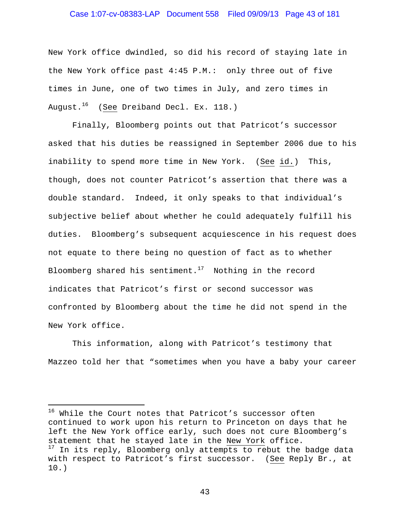### Case 1:07-cv-08383-LAP Document 558 Filed 09/09/13 Page 43 of 181

New York office dwindled, so did his record of staying late in the New York office past 4:45 P.M.: only three out of five times in June, one of two times in July, and zero times in August. $16$  (See Dreiband Decl. Ex. 118.)

Finally, Bloomberg points out that Patricot's successor asked that his duties be reassigned in September 2006 due to his inability to spend more time in New York. (See id.) This, though, does not counter Patricot's assertion that there was a double standard. Indeed, it only speaks to that individual's subjective belief about whether he could adequately fulfill his duties. Bloomberg's subsequent acquiescence in his request does not equate to there being no question of fact as to whether Bloomberg shared his sentiment.<sup>17</sup> Nothing in the record indicates that Patricot's first or second successor was confronted by Bloomberg about the time he did not spend in the New York office.

This information, along with Patricot's testimony that Mazzeo told her that "sometimes when you have a baby your career

i

<sup>&</sup>lt;sup>16</sup> While the Court notes that Patricot's successor often continued to work upon his return to Princeton on days that he left the New York office early, such does not cure Bloomberg's statement that he stayed late in the New York office. <sup>17</sup> In its reply, Bloomberg only attempts to rebut the badge data with respect to Patricot's first successor. (See Reply Br., at 10.)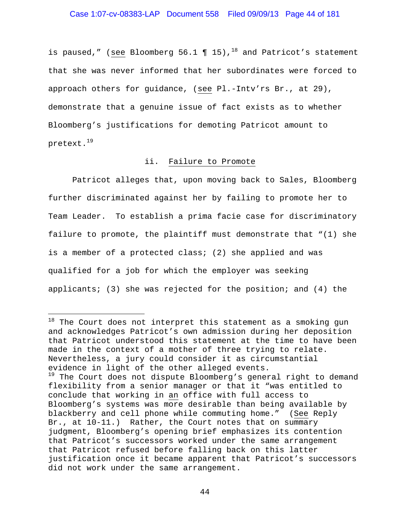### Case 1:07-cv-08383-LAP Document 558 Filed 09/09/13 Page 44 of 181

is paused," (see Bloomberg 56.1  $\P$  15),<sup>18</sup> and Patricot's statement that she was never informed that her subordinates were forced to approach others for guidance, (see Pl.-Intv'rs Br., at 29), demonstrate that a genuine issue of fact exists as to whether Bloomberg's justifications for demoting Patricot amount to pretext.<sup>19</sup>

### ii. Failure to Promote

 Patricot alleges that, upon moving back to Sales, Bloomberg further discriminated against her by failing to promote her to Team Leader. To establish a prima facie case for discriminatory failure to promote, the plaintiff must demonstrate that "(1) she is a member of a protected class; (2) she applied and was qualified for a job for which the employer was seeking applicants; (3) she was rejected for the position; and (4) the

i<br>Li

 $18$  The Court does not interpret this statement as a smoking gun and acknowledges Patricot's own admission during her deposition that Patricot understood this statement at the time to have been made in the context of a mother of three trying to relate. Nevertheless, a jury could consider it as circumstantial evidence in light of the other alleged events. <sup>19</sup> The Court does not dispute Bloomberg's general right to demand flexibility from a senior manager or that it "was entitled to conclude that working in an office with full access to Bloomberg's systems was more desirable than being available by blackberry and cell phone while commuting home." (See Reply Br., at 10-11.) Rather, the Court notes that on summary judgment, Bloomberg's opening brief emphasizes its contention that Patricot's successors worked under the same arrangement that Patricot refused before falling back on this latter justification once it became apparent that Patricot's successors did not work under the same arrangement.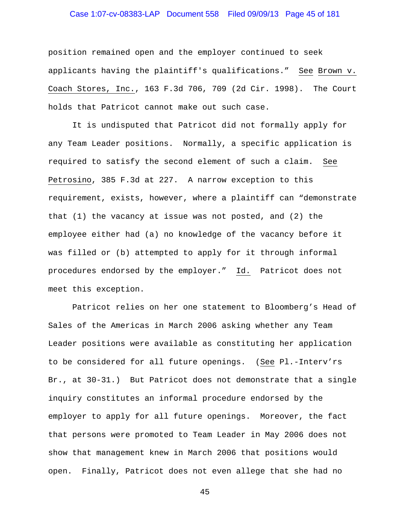### Case 1:07-cv-08383-LAP Document 558 Filed 09/09/13 Page 45 of 181

position remained open and the employer continued to seek applicants having the plaintiff's qualifications." See Brown v. Coach Stores, Inc., 163 F.3d 706, 709 (2d Cir. 1998). The Court holds that Patricot cannot make out such case.

 It is undisputed that Patricot did not formally apply for any Team Leader positions. Normally, a specific application is required to satisfy the second element of such a claim. See Petrosino, 385 F.3d at 227. A narrow exception to this requirement, exists, however, where a plaintiff can "demonstrate that (1) the vacancy at issue was not posted, and (2) the employee either had (a) no knowledge of the vacancy before it was filled or (b) attempted to apply for it through informal procedures endorsed by the employer." Id. Patricot does not meet this exception.

 Patricot relies on her one statement to Bloomberg's Head of Sales of the Americas in March 2006 asking whether any Team Leader positions were available as constituting her application to be considered for all future openings. (See Pl.-Interv'rs Br., at 30-31.) But Patricot does not demonstrate that a single inquiry constitutes an informal procedure endorsed by the employer to apply for all future openings. Moreover, the fact that persons were promoted to Team Leader in May 2006 does not show that management knew in March 2006 that positions would open. Finally, Patricot does not even allege that she had no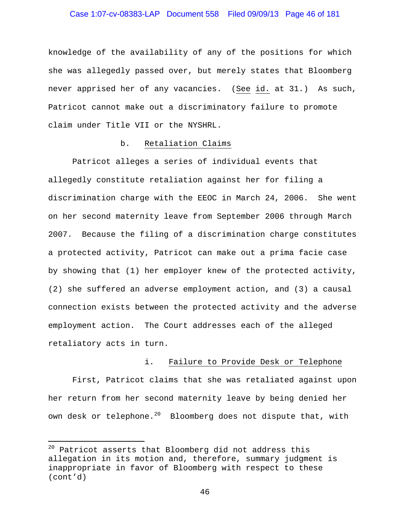### Case 1:07-cv-08383-LAP Document 558 Filed 09/09/13 Page 46 of 181

knowledge of the availability of any of the positions for which she was allegedly passed over, but merely states that Bloomberg never apprised her of any vacancies. (See id. at 31.) As such, Patricot cannot make out a discriminatory failure to promote claim under Title VII or the NYSHRL.

### b. Retaliation Claims

 Patricot alleges a series of individual events that allegedly constitute retaliation against her for filing a discrimination charge with the EEOC in March 24, 2006. She went on her second maternity leave from September 2006 through March 2007. Because the filing of a discrimination charge constitutes a protected activity, Patricot can make out a prima facie case by showing that (1) her employer knew of the protected activity, (2) she suffered an adverse employment action, and (3) a causal connection exists between the protected activity and the adverse employment action. The Court addresses each of the alleged retaliatory acts in turn.

### i. Failure to Provide Desk or Telephone

First, Patricot claims that she was retaliated against upon her return from her second maternity leave by being denied her own desk or telephone. $^{20}$  Bloomberg does not dispute that, with

i

<sup>&</sup>lt;sup>20</sup> Patricot asserts that Bloomberg did not address this allegation in its motion and, therefore, summary judgment is inappropriate in favor of Bloomberg with respect to these (cont'd)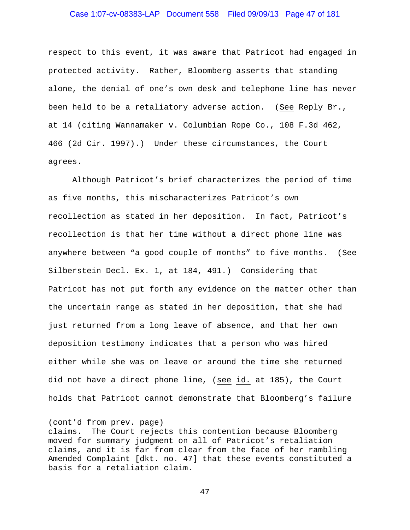### Case 1:07-cv-08383-LAP Document 558 Filed 09/09/13 Page 47 of 181

respect to this event, it was aware that Patricot had engaged in protected activity. Rather, Bloomberg asserts that standing alone, the denial of one's own desk and telephone line has never been held to be a retaliatory adverse action. (See Reply Br., at 14 (citing Wannamaker v. Columbian Rope Co., 108 F.3d 462, 466 (2d Cir. 1997).) Under these circumstances, the Court agrees.

Although Patricot's brief characterizes the period of time as five months, this mischaracterizes Patricot's own recollection as stated in her deposition. In fact, Patricot's recollection is that her time without a direct phone line was anywhere between "a good couple of months" to five months. (See Silberstein Decl. Ex. 1, at 184, 491.) Considering that Patricot has not put forth any evidence on the matter other than the uncertain range as stated in her deposition, that she had just returned from a long leave of absence, and that her own deposition testimony indicates that a person who was hired either while she was on leave or around the time she returned did not have a direct phone line, (see id. at 185), the Court holds that Patricot cannot demonstrate that Bloomberg's failure

(cont'd from prev. page)

 $\overline{\phantom{0}}$ 

claims. The Court rejects this contention because Bloomberg moved for summary judgment on all of Patricot's retaliation claims, and it is far from clear from the face of her rambling Amended Complaint [dkt. no. 47] that these events constituted a basis for a retaliation claim.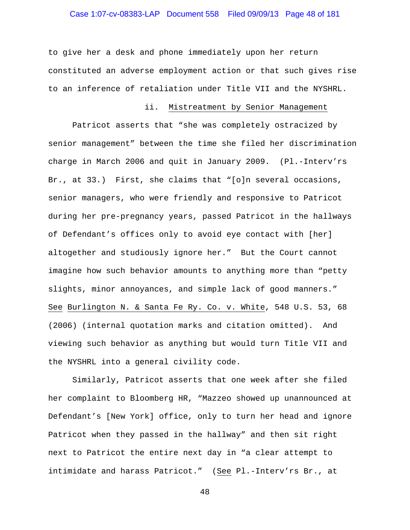### Case 1:07-cv-08383-LAP Document 558 Filed 09/09/13 Page 48 of 181

to give her a desk and phone immediately upon her return constituted an adverse employment action or that such gives rise to an inference of retaliation under Title VII and the NYSHRL.

#### ii. Mistreatment by Senior Management

 Patricot asserts that "she was completely ostracized by senior management" between the time she filed her discrimination charge in March 2006 and quit in January 2009. (Pl.-Interv'rs Br., at 33.) First, she claims that "[o]n several occasions, senior managers, who were friendly and responsive to Patricot during her pre-pregnancy years, passed Patricot in the hallways of Defendant's offices only to avoid eye contact with [her] altogether and studiously ignore her." But the Court cannot imagine how such behavior amounts to anything more than "petty slights, minor annoyances, and simple lack of good manners." See Burlington N. & Santa Fe Ry. Co. v. White, 548 U.S. 53, 68 (2006) (internal quotation marks and citation omitted). And viewing such behavior as anything but would turn Title VII and the NYSHRL into a general civility code.

 Similarly, Patricot asserts that one week after she filed her complaint to Bloomberg HR, "Mazzeo showed up unannounced at Defendant's [New York] office, only to turn her head and ignore Patricot when they passed in the hallway" and then sit right next to Patricot the entire next day in "a clear attempt to intimidate and harass Patricot." (See Pl.-Interv'rs Br., at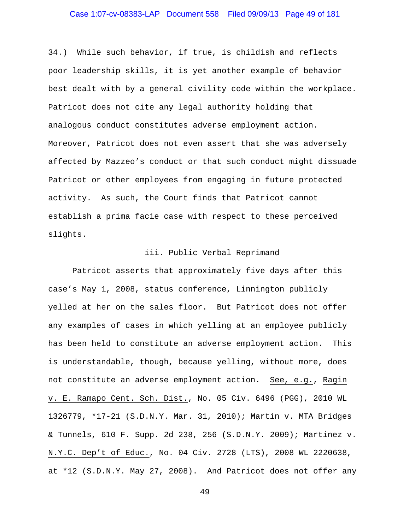### Case 1:07-cv-08383-LAP Document 558 Filed 09/09/13 Page 49 of 181

34.) While such behavior, if true, is childish and reflects poor leadership skills, it is yet another example of behavior best dealt with by a general civility code within the workplace. Patricot does not cite any legal authority holding that analogous conduct constitutes adverse employment action. Moreover, Patricot does not even assert that she was adversely affected by Mazzeo's conduct or that such conduct might dissuade Patricot or other employees from engaging in future protected activity. As such, the Court finds that Patricot cannot establish a prima facie case with respect to these perceived slights.

#### iii. Public Verbal Reprimand

 Patricot asserts that approximately five days after this case's May 1, 2008, status conference, Linnington publicly yelled at her on the sales floor. But Patricot does not offer any examples of cases in which yelling at an employee publicly has been held to constitute an adverse employment action. This is understandable, though, because yelling, without more, does not constitute an adverse employment action. See, e.g., Ragin v. E. Ramapo Cent. Sch. Dist., No. 05 Civ. 6496 (PGG), 2010 WL 1326779, \*17-21 (S.D.N.Y. Mar. 31, 2010); Martin v. MTA Bridges & Tunnels, 610 F. Supp. 2d 238, 256 (S.D.N.Y. 2009); Martinez v. N.Y.C. Dep't of Educ., No. 04 Civ. 2728 (LTS), 2008 WL 2220638, at \*12 (S.D.N.Y. May 27, 2008). And Patricot does not offer any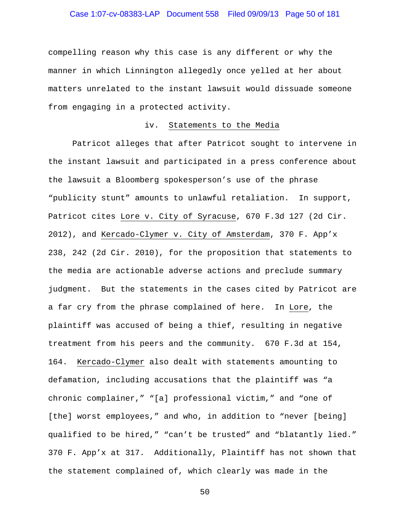# Case 1:07-cv-08383-LAP Document 558 Filed 09/09/13 Page 50 of 181

compelling reason why this case is any different or why the manner in which Linnington allegedly once yelled at her about matters unrelated to the instant lawsuit would dissuade someone from engaging in a protected activity.

#### iv. Statements to the Media

 Patricot alleges that after Patricot sought to intervene in the instant lawsuit and participated in a press conference about the lawsuit a Bloomberg spokesperson's use of the phrase "publicity stunt" amounts to unlawful retaliation. In support, Patricot cites Lore v. City of Syracuse, 670 F.3d 127 (2d Cir. 2012), and Kercado-Clymer v. City of Amsterdam, 370 F. App'x 238, 242 (2d Cir. 2010), for the proposition that statements to the media are actionable adverse actions and preclude summary judgment. But the statements in the cases cited by Patricot are a far cry from the phrase complained of here. In Lore, the plaintiff was accused of being a thief, resulting in negative treatment from his peers and the community. 670 F.3d at 154, 164. Kercado-Clymer also dealt with statements amounting to defamation, including accusations that the plaintiff was "a chronic complainer," "[a] professional victim," and "one of [the] worst employees," and who, in addition to "never [being] qualified to be hired," "can't be trusted" and "blatantly lied." 370 F. App'x at 317. Additionally, Plaintiff has not shown that the statement complained of, which clearly was made in the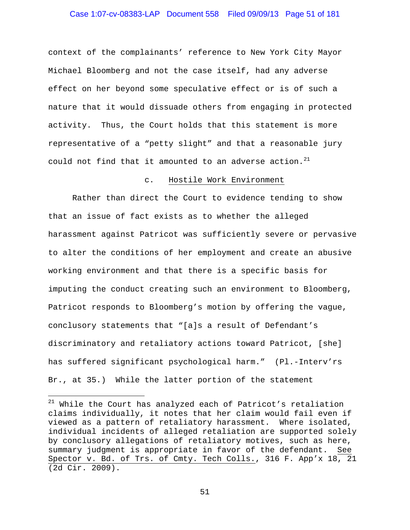### Case 1:07-cv-08383-LAP Document 558 Filed 09/09/13 Page 51 of 181

context of the complainants' reference to New York City Mayor Michael Bloomberg and not the case itself, had any adverse effect on her beyond some speculative effect or is of such a nature that it would dissuade others from engaging in protected activity. Thus, the Court holds that this statement is more representative of a "petty slight" and that a reasonable jury could not find that it amounted to an adverse action.<sup>21</sup>

#### c. Hostile Work Environment

 Rather than direct the Court to evidence tending to show that an issue of fact exists as to whether the alleged harassment against Patricot was sufficiently severe or pervasive to alter the conditions of her employment and create an abusive working environment and that there is a specific basis for imputing the conduct creating such an environment to Bloomberg, Patricot responds to Bloomberg's motion by offering the vague, conclusory statements that "[a]s a result of Defendant's discriminatory and retaliatory actions toward Patricot, [she] has suffered significant psychological harm." (Pl.-Interv'rs Br., at 35.) While the latter portion of the statement

i<br>Li

 $^{21}$  While the Court has analyzed each of Patricot's retaliation claims individually, it notes that her claim would fail even if viewed as a pattern of retaliatory harassment. Where isolated, individual incidents of alleged retaliation are supported solely by conclusory allegations of retaliatory motives, such as here, summary judgment is appropriate in favor of the defendant. See Spector v. Bd. of Trs. of Cmty. Tech Colls., 316 F. App'x 18, 21 (2d Cir. 2009).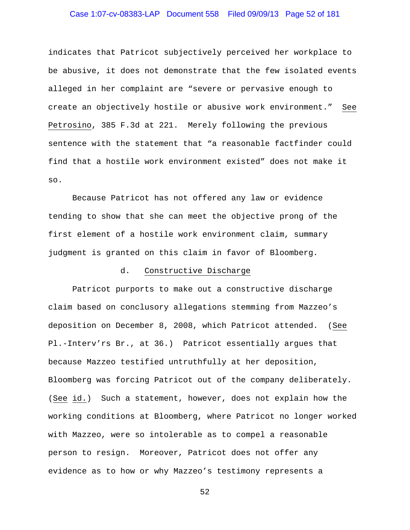### Case 1:07-cv-08383-LAP Document 558 Filed 09/09/13 Page 52 of 181

indicates that Patricot subjectively perceived her workplace to be abusive, it does not demonstrate that the few isolated events alleged in her complaint are "severe or pervasive enough to create an objectively hostile or abusive work environment." See Petrosino, 385 F.3d at 221. Merely following the previous sentence with the statement that "a reasonable factfinder could find that a hostile work environment existed" does not make it so.

 Because Patricot has not offered any law or evidence tending to show that she can meet the objective prong of the first element of a hostile work environment claim, summary judgment is granted on this claim in favor of Bloomberg.

#### d. Constructive Discharge

 Patricot purports to make out a constructive discharge claim based on conclusory allegations stemming from Mazzeo's deposition on December 8, 2008, which Patricot attended. (See Pl.-Interv'rs Br., at 36.) Patricot essentially argues that because Mazzeo testified untruthfully at her deposition, Bloomberg was forcing Patricot out of the company deliberately. (See id.) Such a statement, however, does not explain how the working conditions at Bloomberg, where Patricot no longer worked with Mazzeo, were so intolerable as to compel a reasonable person to resign. Moreover, Patricot does not offer any evidence as to how or why Mazzeo's testimony represents a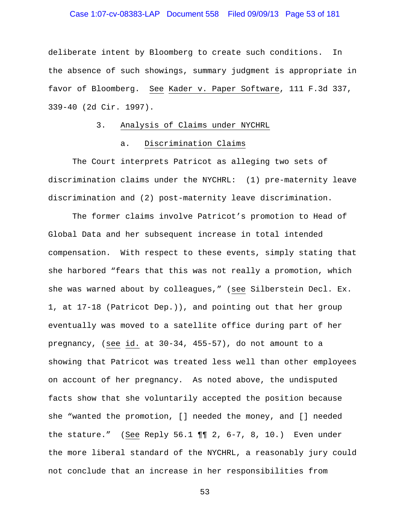### Case 1:07-cv-08383-LAP Document 558 Filed 09/09/13 Page 53 of 181

deliberate intent by Bloomberg to create such conditions. In the absence of such showings, summary judgment is appropriate in favor of Bloomberg. See Kader v. Paper Software, 111 F.3d 337, 339-40 (2d Cir. 1997).

### 3. Analysis of Claims under NYCHRL

### a. Discrimination Claims

 The Court interprets Patricot as alleging two sets of discrimination claims under the NYCHRL: (1) pre-maternity leave discrimination and (2) post-maternity leave discrimination.

The former claims involve Patricot's promotion to Head of Global Data and her subsequent increase in total intended compensation. With respect to these events, simply stating that she harbored "fears that this was not really a promotion, which she was warned about by colleagues," (see Silberstein Decl. Ex. 1, at 17-18 (Patricot Dep.)), and pointing out that her group eventually was moved to a satellite office during part of her pregnancy, (see id. at 30-34, 455-57), do not amount to a showing that Patricot was treated less well than other employees on account of her pregnancy. As noted above, the undisputed facts show that she voluntarily accepted the position because she "wanted the promotion, [] needed the money, and [] needed the stature." (See Reply 56.1  $\P\P$  2, 6-7, 8, 10.) Even under the more liberal standard of the NYCHRL, a reasonably jury could not conclude that an increase in her responsibilities from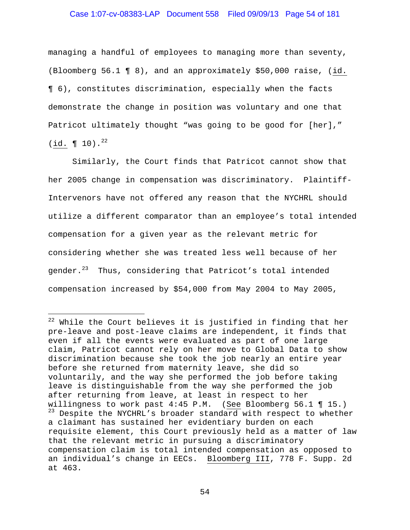### Case 1:07-cv-08383-LAP Document 558 Filed 09/09/13 Page 54 of 181

managing a handful of employees to managing more than seventy, (Bloomberg 56.1 ¶ 8), and an approximately \$50,000 raise, (id. ¶ 6), constitutes discrimination, especially when the facts demonstrate the change in position was voluntary and one that Patricot ultimately thought "was going to be good for [her],"  $(iid. \P 10).^{22}$ 

Similarly, the Court finds that Patricot cannot show that her 2005 change in compensation was discriminatory. Plaintiff-Intervenors have not offered any reason that the NYCHRL should utilize a different comparator than an employee's total intended compensation for a given year as the relevant metric for considering whether she was treated less well because of her gender.<sup>23</sup> Thus, considering that Patricot's total intended compensation increased by \$54,000 from May 2004 to May 2005,

i<br>Li

 $^{22}$  While the Court believes it is justified in finding that her pre-leave and post-leave claims are independent, it finds that even if all the events were evaluated as part of one large claim, Patricot cannot rely on her move to Global Data to show discrimination because she took the job nearly an entire year before she returned from maternity leave, she did so voluntarily, and the way she performed the job before taking leave is distinguishable from the way she performed the job after returning from leave, at least in respect to her willingness to work past 4:45 P.M. (See Bloomberg 56.1 ¶ 15.) <sup>23</sup> Despite the NYCHRL's broader standard with respect to whether a claimant has sustained her evidentiary burden on each requisite element, this Court previously held as a matter of law that the relevant metric in pursuing a discriminatory compensation claim is total intended compensation as opposed to an individual's change in EECs. Bloomberg III, 778 F. Supp. 2d at 463.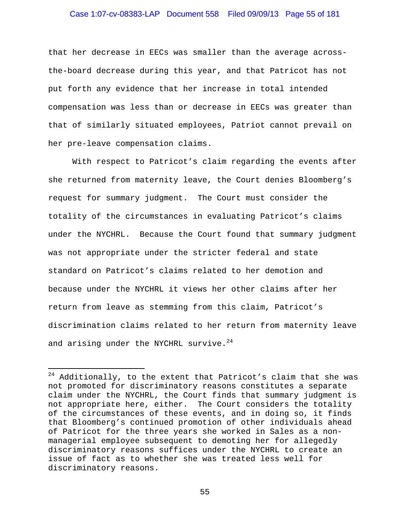### Case 1:07-cv-08383-LAP Document 558 Filed 09/09/13 Page 55 of 181

that her decrease in EECs was smaller than the average acrossthe-board decrease during this year, and that Patricot has not put forth any evidence that her increase in total intended compensation was less than or decrease in EECs was greater than that of similarly situated employees, Patriot cannot prevail on her pre-leave compensation claims.

With respect to Patricot's claim regarding the events after she returned from maternity leave, the Court denies Bloomberg's request for summary judgment. The Court must consider the totality of the circumstances in evaluating Patricot's claims under the NYCHRL. Because the Court found that summary judgment was not appropriate under the stricter federal and state standard on Patricot's claims related to her demotion and because under the NYCHRL it views her other claims after her return from leave as stemming from this claim, Patricot's discrimination claims related to her return from maternity leave and arising under the NYCHRL survive. $24$ 

i

 $24$  Additionally, to the extent that Patricot's claim that she was not promoted for discriminatory reasons constitutes a separate claim under the NYCHRL, the Court finds that summary judgment is not appropriate here, either. The Court considers the totality of the circumstances of these events, and in doing so, it finds that Bloomberg's continued promotion of other individuals ahead of Patricot for the three years she worked in Sales as a nonmanagerial employee subsequent to demoting her for allegedly discriminatory reasons suffices under the NYCHRL to create an issue of fact as to whether she was treated less well for discriminatory reasons.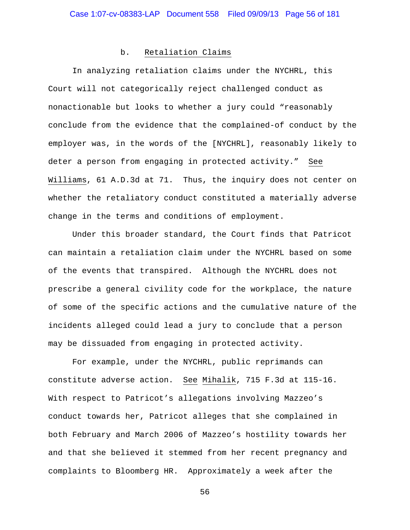#### b. Retaliation Claims

In analyzing retaliation claims under the NYCHRL, this Court will not categorically reject challenged conduct as nonactionable but looks to whether a jury could "reasonably conclude from the evidence that the complained-of conduct by the employer was, in the words of the [NYCHRL], reasonably likely to deter a person from engaging in protected activity." See Williams, 61 A.D.3d at 71. Thus, the inquiry does not center on whether the retaliatory conduct constituted a materially adverse change in the terms and conditions of employment.

Under this broader standard, the Court finds that Patricot can maintain a retaliation claim under the NYCHRL based on some of the events that transpired. Although the NYCHRL does not prescribe a general civility code for the workplace, the nature of some of the specific actions and the cumulative nature of the incidents alleged could lead a jury to conclude that a person may be dissuaded from engaging in protected activity.

For example, under the NYCHRL, public reprimands can constitute adverse action. See Mihalik, 715 F.3d at 115-16. With respect to Patricot's allegations involving Mazzeo's conduct towards her, Patricot alleges that she complained in both February and March 2006 of Mazzeo's hostility towards her and that she believed it stemmed from her recent pregnancy and complaints to Bloomberg HR. Approximately a week after the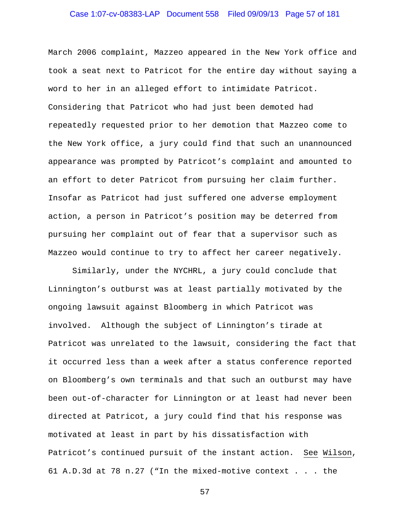# Case 1:07-cv-08383-LAP Document 558 Filed 09/09/13 Page 57 of 181

March 2006 complaint, Mazzeo appeared in the New York office and took a seat next to Patricot for the entire day without saying a word to her in an alleged effort to intimidate Patricot. Considering that Patricot who had just been demoted had repeatedly requested prior to her demotion that Mazzeo come to the New York office, a jury could find that such an unannounced appearance was prompted by Patricot's complaint and amounted to an effort to deter Patricot from pursuing her claim further. Insofar as Patricot had just suffered one adverse employment action, a person in Patricot's position may be deterred from pursuing her complaint out of fear that a supervisor such as Mazzeo would continue to try to affect her career negatively.

Similarly, under the NYCHRL, a jury could conclude that Linnington's outburst was at least partially motivated by the ongoing lawsuit against Bloomberg in which Patricot was involved. Although the subject of Linnington's tirade at Patricot was unrelated to the lawsuit, considering the fact that it occurred less than a week after a status conference reported on Bloomberg's own terminals and that such an outburst may have been out-of-character for Linnington or at least had never been directed at Patricot, a jury could find that his response was motivated at least in part by his dissatisfaction with Patricot's continued pursuit of the instant action. See Wilson, 61 A.D.3d at 78 n.27 ("In the mixed-motive context . . . the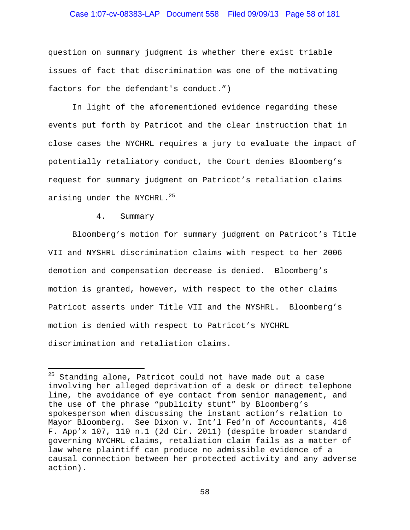### Case 1:07-cv-08383-LAP Document 558 Filed 09/09/13 Page 58 of 181

question on summary judgment is whether there exist triable issues of fact that discrimination was one of the motivating factors for the defendant's conduct.")

In light of the aforementioned evidence regarding these events put forth by Patricot and the clear instruction that in close cases the NYCHRL requires a jury to evaluate the impact of potentially retaliatory conduct, the Court denies Bloomberg's request for summary judgment on Patricot's retaliation claims arising under the NYCHRL.<sup>25</sup>

#### 4. Summary

i

 Bloomberg's motion for summary judgment on Patricot's Title VII and NYSHRL discrimination claims with respect to her 2006 demotion and compensation decrease is denied. Bloomberg's motion is granted, however, with respect to the other claims Patricot asserts under Title VII and the NYSHRL. Bloomberg's motion is denied with respect to Patricot's NYCHRL discrimination and retaliation claims.

<sup>&</sup>lt;sup>25</sup> Standing alone, Patricot could not have made out a case involving her alleged deprivation of a desk or direct telephone line, the avoidance of eye contact from senior management, and the use of the phrase "publicity stunt" by Bloomberg's spokesperson when discussing the instant action's relation to Mayor Bloomberg. See Dixon v. Int'l Fed'n of Accountants, 416 F. App'x 107, 110 n.1 (2d Cir. 2011) (despite broader standard governing NYCHRL claims, retaliation claim fails as a matter of law where plaintiff can produce no admissible evidence of a causal connection between her protected activity and any adverse action).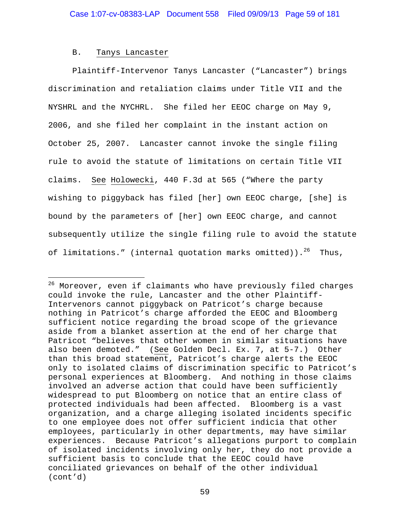#### B. Tanys Lancaster

i<br>Li

 Plaintiff-Intervenor Tanys Lancaster ("Lancaster") brings discrimination and retaliation claims under Title VII and the NYSHRL and the NYCHRL. She filed her EEOC charge on May 9, 2006, and she filed her complaint in the instant action on October 25, 2007. Lancaster cannot invoke the single filing rule to avoid the statute of limitations on certain Title VII claims. See Holowecki, 440 F.3d at 565 ("Where the party wishing to piggyback has filed [her] own EEOC charge, [she] is bound by the parameters of [her] own EEOC charge, and cannot subsequently utilize the single filing rule to avoid the statute of limitations." (internal quotation marks omitted)). $^{26}$  Thus,

 $^{26}$  Moreover, even if claimants who have previously filed charges could invoke the rule, Lancaster and the other Plaintiff-Intervenors cannot piggyback on Patricot's charge because nothing in Patricot's charge afforded the EEOC and Bloomberg sufficient notice regarding the broad scope of the grievance aside from a blanket assertion at the end of her charge that Patricot "believes that other women in similar situations have also been demoted." (See Golden Decl. Ex. 7, at 5-7.) Other than this broad statement, Patricot's charge alerts the EEOC only to isolated claims of discrimination specific to Patricot's personal experiences at Bloomberg. And nothing in those claims involved an adverse action that could have been sufficiently widespread to put Bloomberg on notice that an entire class of protected individuals had been affected. Bloomberg is a vast organization, and a charge alleging isolated incidents specific to one employee does not offer sufficient indicia that other employees, particularly in other departments, may have similar experiences. Because Patricot's allegations purport to complain of isolated incidents involving only her, they do not provide a sufficient basis to conclude that the EEOC could have conciliated grievances on behalf of the other individual (cont'd)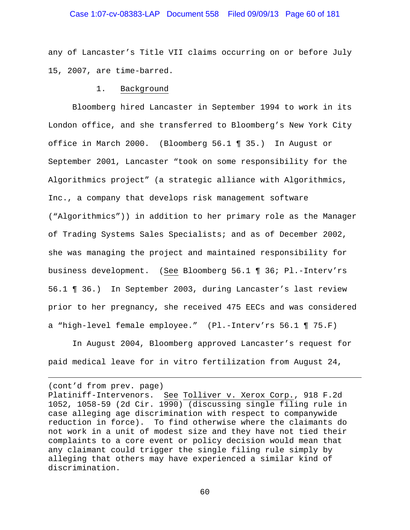### Case 1:07-cv-08383-LAP Document 558 Filed 09/09/13 Page 60 of 181

any of Lancaster's Title VII claims occurring on or before July 15, 2007, are time-barred.

#### 1. Background

 Bloomberg hired Lancaster in September 1994 to work in its London office, and she transferred to Bloomberg's New York City office in March 2000. (Bloomberg 56.1 ¶ 35.) In August or September 2001, Lancaster "took on some responsibility for the Algorithmics project" (a strategic alliance with Algorithmics, Inc., a company that develops risk management software ("Algorithmics")) in addition to her primary role as the Manager of Trading Systems Sales Specialists; and as of December 2002, she was managing the project and maintained responsibility for business development. (See Bloomberg 56.1 ¶ 36; Pl.-Interv'rs 56.1 ¶ 36.) In September 2003, during Lancaster's last review prior to her pregnancy, she received 475 EECs and was considered a "high-level female employee." (Pl.-Interv'rs 56.1 ¶ 75.F)

 In August 2004, Bloomberg approved Lancaster's request for paid medical leave for in vitro fertilization from August 24,

(cont'd from prev. page)

 $\overline{\phantom{0}}$ 

Platiniff-Intervenors. See Tolliver v. Xerox Corp., 918 F.2d 1052, 1058-59 (2d Cir. 1990) (discussing single filing rule in case alleging age discrimination with respect to companywide reduction in force). To find otherwise where the claimants do not work in a unit of modest size and they have not tied their complaints to a core event or policy decision would mean that any claimant could trigger the single filing rule simply by alleging that others may have experienced a similar kind of discrimination.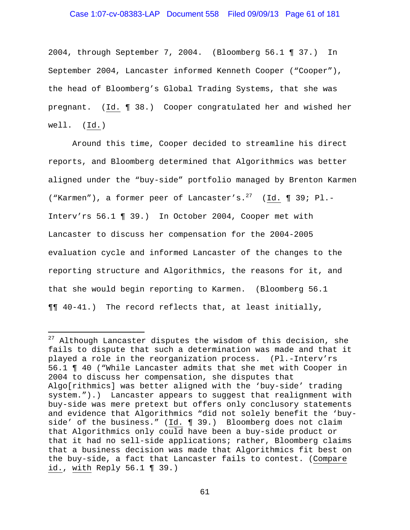### Case 1:07-cv-08383-LAP Document 558 Filed 09/09/13 Page 61 of 181

2004, through September 7, 2004. (Bloomberg 56.1 ¶ 37.) In September 2004, Lancaster informed Kenneth Cooper ("Cooper"), the head of Bloomberg's Global Trading Systems, that she was pregnant. (Id. ¶ 38.) Cooper congratulated her and wished her well. (Id.)

 Around this time, Cooper decided to streamline his direct reports, and Bloomberg determined that Algorithmics was better aligned under the "buy-side" portfolio managed by Brenton Karmen ("Karmen"), a former peer of Lancaster's.<sup>27</sup> (Id. ¶ 39; Pl.-Interv'rs 56.1 ¶ 39.) In October 2004, Cooper met with Lancaster to discuss her compensation for the 2004-2005 evaluation cycle and informed Lancaster of the changes to the reporting structure and Algorithmics, the reasons for it, and that she would begin reporting to Karmen. (Bloomberg 56.1 ¶¶ 40-41.) The record reflects that, at least initially,

i

 $27$  Although Lancaster disputes the wisdom of this decision, she fails to dispute that such a determination was made and that it played a role in the reorganization process. (Pl.-Interv'rs 56.1 ¶ 40 ("While Lancaster admits that she met with Cooper in 2004 to discuss her compensation, she disputes that Algo[rithmics] was better aligned with the 'buy-side' trading system.").) Lancaster appears to suggest that realignment with buy-side was mere pretext but offers only conclusory statements and evidence that Algorithmics "did not solely benefit the 'buyside' of the business." (Id. ¶ 39.) Bloomberg does not claim that Algorithmics only could have been a buy-side product or that it had no sell-side applications; rather, Bloomberg claims that a business decision was made that Algorithmics fit best on the buy-side, a fact that Lancaster fails to contest. (Compare id., with Reply 56.1 ¶ 39.)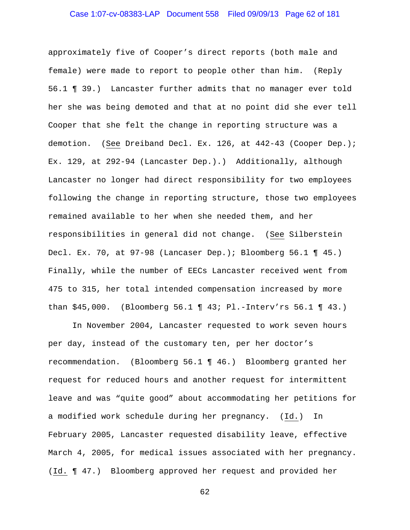### Case 1:07-cv-08383-LAP Document 558 Filed 09/09/13 Page 62 of 181

approximately five of Cooper's direct reports (both male and female) were made to report to people other than him. (Reply 56.1 ¶ 39.) Lancaster further admits that no manager ever told her she was being demoted and that at no point did she ever tell Cooper that she felt the change in reporting structure was a demotion. (See Dreiband Decl. Ex. 126, at 442-43 (Cooper Dep.); Ex. 129, at 292-94 (Lancaster Dep.).) Additionally, although Lancaster no longer had direct responsibility for two employees following the change in reporting structure, those two employees remained available to her when she needed them, and her responsibilities in general did not change. (See Silberstein Decl. Ex. 70, at 97-98 (Lancaser Dep.); Bloomberg 56.1 ¶ 45.) Finally, while the number of EECs Lancaster received went from 475 to 315, her total intended compensation increased by more than \$45,000. (Bloomberg 56.1 ¶ 43; Pl.-Interv'rs 56.1 ¶ 43.)

 In November 2004, Lancaster requested to work seven hours per day, instead of the customary ten, per her doctor's recommendation. (Bloomberg 56.1 ¶ 46.) Bloomberg granted her request for reduced hours and another request for intermittent leave and was "quite good" about accommodating her petitions for a modified work schedule during her pregnancy. (Id.) In February 2005, Lancaster requested disability leave, effective March 4, 2005, for medical issues associated with her pregnancy. (Id. ¶ 47.) Bloomberg approved her request and provided her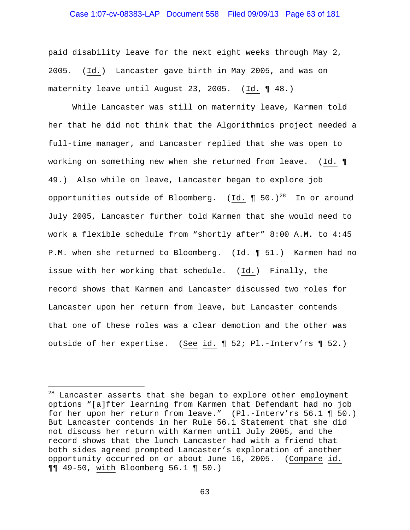### Case 1:07-cv-08383-LAP Document 558 Filed 09/09/13 Page 63 of 181

paid disability leave for the next eight weeks through May 2, 2005. (Id.) Lancaster gave birth in May 2005, and was on maternity leave until August 23, 2005. (Id. ¶ 48.)

 While Lancaster was still on maternity leave, Karmen told her that he did not think that the Algorithmics project needed a full-time manager, and Lancaster replied that she was open to working on something new when she returned from leave. (Id. ¶ 49.) Also while on leave, Lancaster began to explore job opportunities outside of Bloomberg. (Id.  $\P$  50.)<sup>28</sup> In or around July 2005, Lancaster further told Karmen that she would need to work a flexible schedule from "shortly after" 8:00 A.M. to 4:45 P.M. when she returned to Bloomberg. (Id. ¶ 51.) Karmen had no issue with her working that schedule. (Id.) Finally, the record shows that Karmen and Lancaster discussed two roles for Lancaster upon her return from leave, but Lancaster contends that one of these roles was a clear demotion and the other was outside of her expertise. (See id. ¶ 52; Pl.-Interv'rs ¶ 52.)

i<br>Li

<sup>&</sup>lt;sup>28</sup> Lancaster asserts that she began to explore other employment options "[a]fter learning from Karmen that Defendant had no job for her upon her return from leave." (Pl.-Interv'rs 56.1 ¶ 50.) But Lancaster contends in her Rule 56.1 Statement that she did not discuss her return with Karmen until July 2005, and the record shows that the lunch Lancaster had with a friend that both sides agreed prompted Lancaster's exploration of another opportunity occurred on or about June 16, 2005. (Compare id. ¶¶ 49-50, with Bloomberg 56.1 ¶ 50.)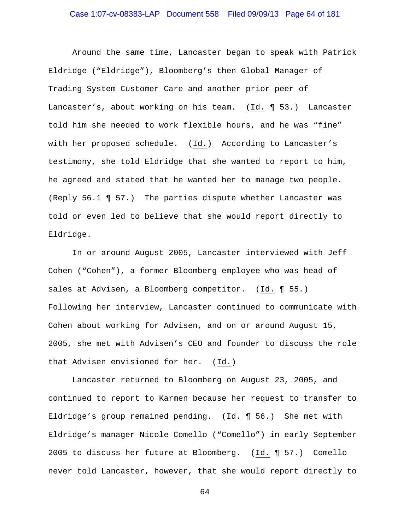### Case 1:07-cv-08383-LAP Document 558 Filed 09/09/13 Page 64 of 181

 Around the same time, Lancaster began to speak with Patrick Eldridge ("Eldridge"), Bloomberg's then Global Manager of Trading System Customer Care and another prior peer of Lancaster's, about working on his team. (Id. ¶ 53.) Lancaster told him she needed to work flexible hours, and he was "fine" with her proposed schedule. (Id.) According to Lancaster's testimony, she told Eldridge that she wanted to report to him, he agreed and stated that he wanted her to manage two people. (Reply 56.1 ¶ 57.) The parties dispute whether Lancaster was told or even led to believe that she would report directly to Eldridge.

In or around August 2005, Lancaster interviewed with Jeff Cohen ("Cohen"), a former Bloomberg employee who was head of sales at Advisen, a Bloomberg competitor. (Id. ¶ 55.) Following her interview, Lancaster continued to communicate with Cohen about working for Advisen, and on or around August 15, 2005, she met with Advisen's CEO and founder to discuss the role that Advisen envisioned for her. (Id.)

Lancaster returned to Bloomberg on August 23, 2005, and continued to report to Karmen because her request to transfer to Eldridge's group remained pending. (Id. ¶ 56.) She met with Eldridge's manager Nicole Comello ("Comello") in early September 2005 to discuss her future at Bloomberg. (Id. ¶ 57.) Comello never told Lancaster, however, that she would report directly to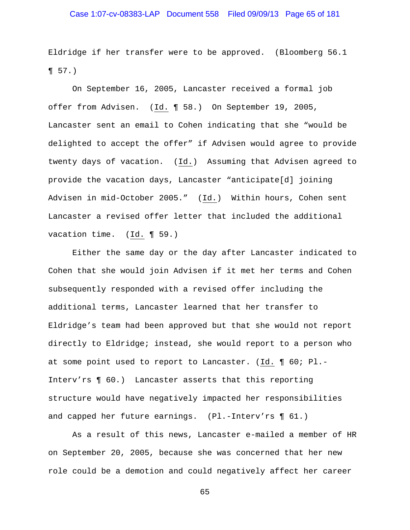# Case 1:07-cv-08383-LAP Document 558 Filed 09/09/13 Page 65 of 181

Eldridge if her transfer were to be approved. (Bloomberg 56.1 ¶ 57.)

On September 16, 2005, Lancaster received a formal job offer from Advisen. (Id. ¶ 58.) On September 19, 2005, Lancaster sent an email to Cohen indicating that she "would be delighted to accept the offer" if Advisen would agree to provide twenty days of vacation. (Id.) Assuming that Advisen agreed to provide the vacation days, Lancaster "anticipate[d] joining Advisen in mid-October 2005." (Id.) Within hours, Cohen sent Lancaster a revised offer letter that included the additional vacation time. (Id. ¶ 59.)

Either the same day or the day after Lancaster indicated to Cohen that she would join Advisen if it met her terms and Cohen subsequently responded with a revised offer including the additional terms, Lancaster learned that her transfer to Eldridge's team had been approved but that she would not report directly to Eldridge; instead, she would report to a person who at some point used to report to Lancaster. (Id. ¶ 60; Pl.- Interv'rs ¶ 60.) Lancaster asserts that this reporting structure would have negatively impacted her responsibilities and capped her future earnings. (Pl.-Interv'rs ¶ 61.)

As a result of this news, Lancaster e-mailed a member of HR on September 20, 2005, because she was concerned that her new role could be a demotion and could negatively affect her career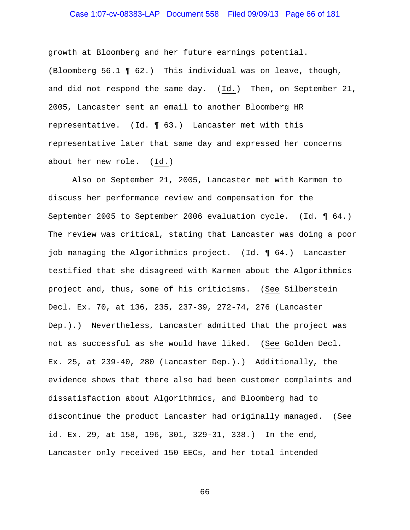### Case 1:07-cv-08383-LAP Document 558 Filed 09/09/13 Page 66 of 181

growth at Bloomberg and her future earnings potential. (Bloomberg 56.1 ¶ 62.) This individual was on leave, though, and did not respond the same day. (Id.) Then, on September 21, 2005, Lancaster sent an email to another Bloomberg HR representative. (Id. ¶ 63.) Lancaster met with this representative later that same day and expressed her concerns about her new role. (Id.)

Also on September 21, 2005, Lancaster met with Karmen to discuss her performance review and compensation for the September 2005 to September 2006 evaluation cycle. (Id. ¶ 64.) The review was critical, stating that Lancaster was doing a poor job managing the Algorithmics project. (Id. ¶ 64.) Lancaster testified that she disagreed with Karmen about the Algorithmics project and, thus, some of his criticisms. (See Silberstein Decl. Ex. 70, at 136, 235, 237-39, 272-74, 276 (Lancaster Dep.).) Nevertheless, Lancaster admitted that the project was not as successful as she would have liked. (See Golden Decl. Ex. 25, at 239-40, 280 (Lancaster Dep.).) Additionally, the evidence shows that there also had been customer complaints and dissatisfaction about Algorithmics, and Bloomberg had to discontinue the product Lancaster had originally managed. (See id. Ex. 29, at 158, 196, 301, 329-31, 338.) In the end, Lancaster only received 150 EECs, and her total intended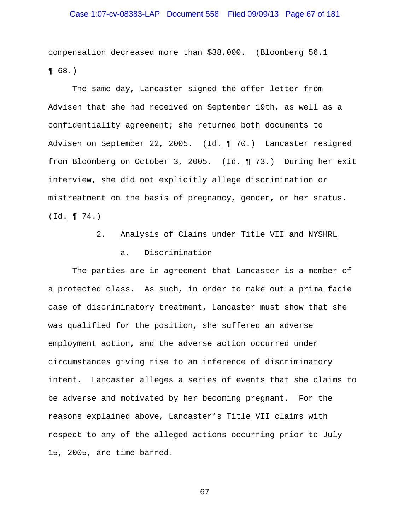# Case 1:07-cv-08383-LAP Document 558 Filed 09/09/13 Page 67 of 181

compensation decreased more than \$38,000. (Bloomberg 56.1 ¶ 68.)

The same day, Lancaster signed the offer letter from Advisen that she had received on September 19th, as well as a confidentiality agreement; she returned both documents to Advisen on September 22, 2005. (Id. 170.) Lancaster resigned from Bloomberg on October 3, 2005. (Id. ¶ 73.) During her exit interview, she did not explicitly allege discrimination or mistreatment on the basis of pregnancy, gender, or her status. (Id. ¶ 74.)

## 2. Analysis of Claims under Title VII and NYSHRL

### a. Discrimination

 The parties are in agreement that Lancaster is a member of a protected class. As such, in order to make out a prima facie case of discriminatory treatment, Lancaster must show that she was qualified for the position, she suffered an adverse employment action, and the adverse action occurred under circumstances giving rise to an inference of discriminatory intent. Lancaster alleges a series of events that she claims to be adverse and motivated by her becoming pregnant. For the reasons explained above, Lancaster's Title VII claims with respect to any of the alleged actions occurring prior to July 15, 2005, are time-barred.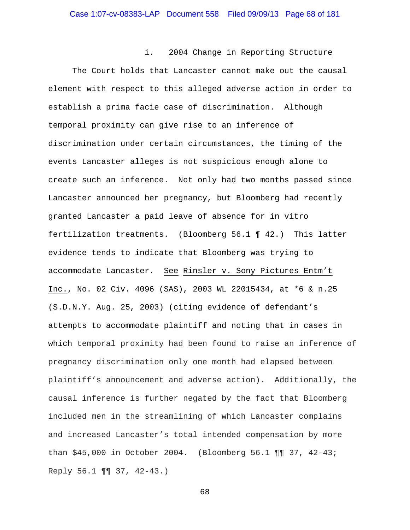#### i. 2004 Change in Reporting Structure

 The Court holds that Lancaster cannot make out the causal element with respect to this alleged adverse action in order to establish a prima facie case of discrimination. Although temporal proximity can give rise to an inference of discrimination under certain circumstances, the timing of the events Lancaster alleges is not suspicious enough alone to create such an inference. Not only had two months passed since Lancaster announced her pregnancy, but Bloomberg had recently granted Lancaster a paid leave of absence for in vitro fertilization treatments. (Bloomberg 56.1 ¶ 42.) This latter evidence tends to indicate that Bloomberg was trying to accommodate Lancaster. See Rinsler v. Sony Pictures Entm't Inc., No. 02 Civ. 4096 (SAS), 2003 WL 22015434, at \*6 & n.25 (S.D.N.Y. Aug. 25, 2003) (citing evidence of defendant's attempts to accommodate plaintiff and noting that in cases in which temporal proximity had been found to raise an inference of pregnancy discrimination only one month had elapsed between plaintiff's announcement and adverse action). Additionally, the causal inference is further negated by the fact that Bloomberg included men in the streamlining of which Lancaster complains and increased Lancaster's total intended compensation by more than \$45,000 in October 2004. (Bloomberg 56.1 ¶¶ 37, 42-43; Reply 56.1 ¶¶ 37, 42-43.)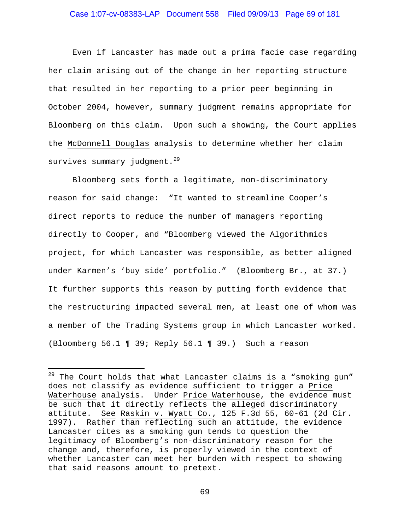### Case 1:07-cv-08383-LAP Document 558 Filed 09/09/13 Page 69 of 181

Even if Lancaster has made out a prima facie case regarding her claim arising out of the change in her reporting structure that resulted in her reporting to a prior peer beginning in October 2004, however, summary judgment remains appropriate for Bloomberg on this claim. Upon such a showing, the Court applies the McDonnell Douglas analysis to determine whether her claim survives summary judgment.<sup>29</sup>

Bloomberg sets forth a legitimate, non-discriminatory reason for said change: "It wanted to streamline Cooper's direct reports to reduce the number of managers reporting directly to Cooper, and "Bloomberg viewed the Algorithmics project, for which Lancaster was responsible, as better aligned under Karmen's 'buy side' portfolio." (Bloomberg Br., at 37.) It further supports this reason by putting forth evidence that the restructuring impacted several men, at least one of whom was a member of the Trading Systems group in which Lancaster worked. (Bloomberg 56.1 ¶ 39; Reply 56.1 ¶ 39.) Such a reason

i

 $29$  The Court holds that what Lancaster claims is a "smoking gun" does not classify as evidence sufficient to trigger a Price Waterhouse analysis. Under Price Waterhouse, the evidence must be such that it directly reflects the alleged discriminatory attitute. See Raskin v. Wyatt Co., 125 F.3d 55, 60-61 (2d Cir. 1997). Rather than reflecting such an attitude, the evidence Lancaster cites as a smoking gun tends to question the legitimacy of Bloomberg's non-discriminatory reason for the change and, therefore, is properly viewed in the context of whether Lancaster can meet her burden with respect to showing that said reasons amount to pretext.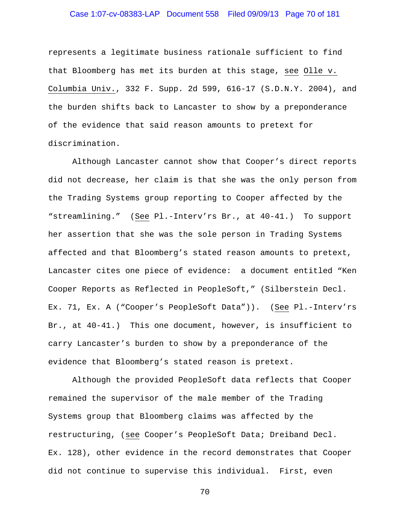# Case 1:07-cv-08383-LAP Document 558 Filed 09/09/13 Page 70 of 181

represents a legitimate business rationale sufficient to find that Bloomberg has met its burden at this stage, see Olle v. Columbia Univ., 332 F. Supp. 2d 599, 616-17 (S.D.N.Y. 2004), and the burden shifts back to Lancaster to show by a preponderance of the evidence that said reason amounts to pretext for discrimination.

 Although Lancaster cannot show that Cooper's direct reports did not decrease, her claim is that she was the only person from the Trading Systems group reporting to Cooper affected by the "streamlining." (See Pl.-Interv'rs Br., at 40-41.) To support her assertion that she was the sole person in Trading Systems affected and that Bloomberg's stated reason amounts to pretext, Lancaster cites one piece of evidence: a document entitled "Ken Cooper Reports as Reflected in PeopleSoft," (Silberstein Decl. Ex. 71, Ex. A ("Cooper's PeopleSoft Data")). (See Pl.-Interv'rs Br., at 40-41.) This one document, however, is insufficient to carry Lancaster's burden to show by a preponderance of the evidence that Bloomberg's stated reason is pretext.

 Although the provided PeopleSoft data reflects that Cooper remained the supervisor of the male member of the Trading Systems group that Bloomberg claims was affected by the restructuring, (see Cooper's PeopleSoft Data; Dreiband Decl. Ex. 128), other evidence in the record demonstrates that Cooper did not continue to supervise this individual. First, even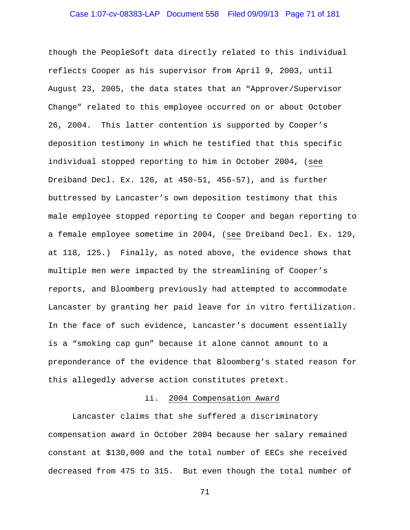### Case 1:07-cv-08383-LAP Document 558 Filed 09/09/13 Page 71 of 181

though the PeopleSoft data directly related to this individual reflects Cooper as his supervisor from April 9, 2003, until August 23, 2005, the data states that an "Approver/Supervisor Change" related to this employee occurred on or about October 26, 2004. This latter contention is supported by Cooper's deposition testimony in which he testified that this specific individual stopped reporting to him in October 2004, (see Dreiband Decl. Ex. 126, at 450-51, 456-57), and is further buttressed by Lancaster's own deposition testimony that this male employee stopped reporting to Cooper and began reporting to a female employee sometime in 2004, (see Dreiband Decl. Ex. 129, at 118, 125.) Finally, as noted above, the evidence shows that multiple men were impacted by the streamlining of Cooper's reports, and Bloomberg previously had attempted to accommodate Lancaster by granting her paid leave for in vitro fertilization. In the face of such evidence, Lancaster's document essentially is a "smoking cap gun" because it alone cannot amount to a preponderance of the evidence that Bloomberg's stated reason for this allegedly adverse action constitutes pretext.

#### ii. 2004 Compensation Award

 Lancaster claims that she suffered a discriminatory compensation award in October 2004 because her salary remained constant at \$130,000 and the total number of EECs she received decreased from 475 to 315. But even though the total number of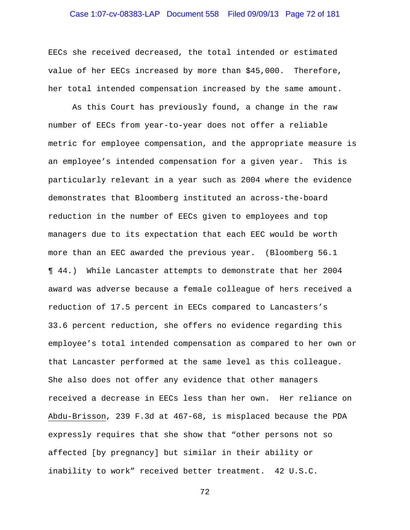# Case 1:07-cv-08383-LAP Document 558 Filed 09/09/13 Page 72 of 181

EECs she received decreased, the total intended or estimated value of her EECs increased by more than \$45,000. Therefore, her total intended compensation increased by the same amount.

 As this Court has previously found, a change in the raw number of EECs from year-to-year does not offer a reliable metric for employee compensation, and the appropriate measure is an employee's intended compensation for a given year. This is particularly relevant in a year such as 2004 where the evidence demonstrates that Bloomberg instituted an across-the-board reduction in the number of EECs given to employees and top managers due to its expectation that each EEC would be worth more than an EEC awarded the previous year. (Bloomberg 56.1 ¶ 44.) While Lancaster attempts to demonstrate that her 2004 award was adverse because a female colleague of hers received a reduction of 17.5 percent in EECs compared to Lancasters's 33.6 percent reduction, she offers no evidence regarding this employee's total intended compensation as compared to her own or that Lancaster performed at the same level as this colleague. She also does not offer any evidence that other managers received a decrease in EECs less than her own. Her reliance on Abdu-Brisson, 239 F.3d at 467-68, is misplaced because the PDA expressly requires that she show that "other persons not so affected [by pregnancy] but similar in their ability or inability to work" received better treatment. 42 U.S.C.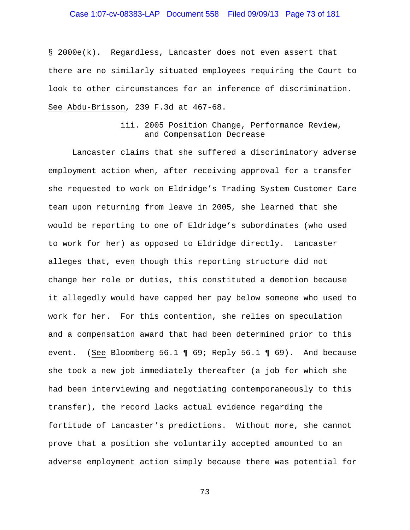# Case 1:07-cv-08383-LAP Document 558 Filed 09/09/13 Page 73 of 181

§ 2000e(k). Regardless, Lancaster does not even assert that there are no similarly situated employees requiring the Court to look to other circumstances for an inference of discrimination. See Abdu-Brisson, 239 F.3d at 467-68.

## iii. 2005 Position Change, Performance Review, and Compensation Decrease

 Lancaster claims that she suffered a discriminatory adverse employment action when, after receiving approval for a transfer she requested to work on Eldridge's Trading System Customer Care team upon returning from leave in 2005, she learned that she would be reporting to one of Eldridge's subordinates (who used to work for her) as opposed to Eldridge directly. Lancaster alleges that, even though this reporting structure did not change her role or duties, this constituted a demotion because it allegedly would have capped her pay below someone who used to work for her. For this contention, she relies on speculation and a compensation award that had been determined prior to this event. (See Bloomberg 56.1 ¶ 69; Reply 56.1 ¶ 69). And because she took a new job immediately thereafter (a job for which she had been interviewing and negotiating contemporaneously to this transfer), the record lacks actual evidence regarding the fortitude of Lancaster's predictions. Without more, she cannot prove that a position she voluntarily accepted amounted to an adverse employment action simply because there was potential for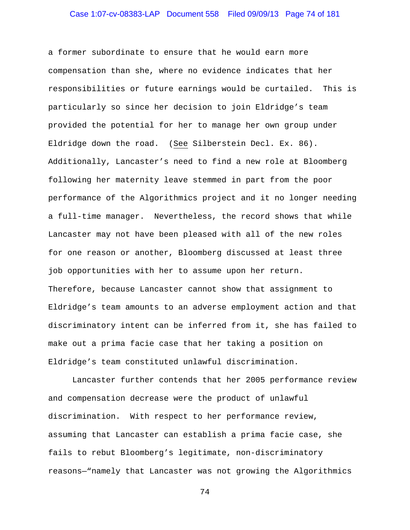# Case 1:07-cv-08383-LAP Document 558 Filed 09/09/13 Page 74 of 181

a former subordinate to ensure that he would earn more compensation than she, where no evidence indicates that her responsibilities or future earnings would be curtailed. This is particularly so since her decision to join Eldridge's team provided the potential for her to manage her own group under Eldridge down the road. (See Silberstein Decl. Ex. 86). Additionally, Lancaster's need to find a new role at Bloomberg following her maternity leave stemmed in part from the poor performance of the Algorithmics project and it no longer needing a full-time manager. Nevertheless, the record shows that while Lancaster may not have been pleased with all of the new roles for one reason or another, Bloomberg discussed at least three job opportunities with her to assume upon her return. Therefore, because Lancaster cannot show that assignment to Eldridge's team amounts to an adverse employment action and that discriminatory intent can be inferred from it, she has failed to make out a prima facie case that her taking a position on Eldridge's team constituted unlawful discrimination.

 Lancaster further contends that her 2005 performance review and compensation decrease were the product of unlawful discrimination. With respect to her performance review, assuming that Lancaster can establish a prima facie case, she fails to rebut Bloomberg's legitimate, non-discriminatory reasons—"namely that Lancaster was not growing the Algorithmics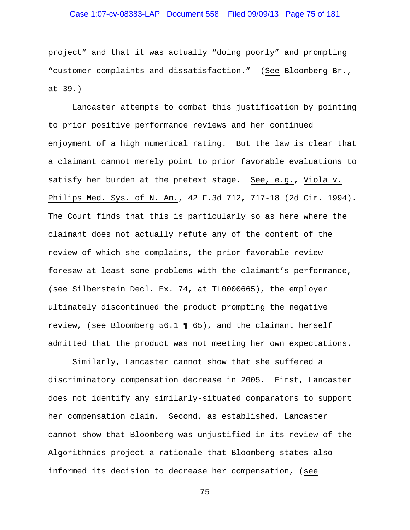## Case 1:07-cv-08383-LAP Document 558 Filed 09/09/13 Page 75 of 181

project" and that it was actually "doing poorly" and prompting "customer complaints and dissatisfaction." (See Bloomberg Br., at 39.)

Lancaster attempts to combat this justification by pointing to prior positive performance reviews and her continued enjoyment of a high numerical rating. But the law is clear that a claimant cannot merely point to prior favorable evaluations to satisfy her burden at the pretext stage. See, e.g., Viola v. Philips Med. Sys. of N. Am., 42 F.3d 712, 717-18 (2d Cir. 1994). The Court finds that this is particularly so as here where the claimant does not actually refute any of the content of the review of which she complains, the prior favorable review foresaw at least some problems with the claimant's performance, (see Silberstein Decl. Ex. 74, at TL0000665), the employer ultimately discontinued the product prompting the negative review, (see Bloomberg 56.1 ¶ 65), and the claimant herself admitted that the product was not meeting her own expectations.

Similarly, Lancaster cannot show that she suffered a discriminatory compensation decrease in 2005. First, Lancaster does not identify any similarly-situated comparators to support her compensation claim. Second, as established, Lancaster cannot show that Bloomberg was unjustified in its review of the Algorithmics project—a rationale that Bloomberg states also informed its decision to decrease her compensation, (see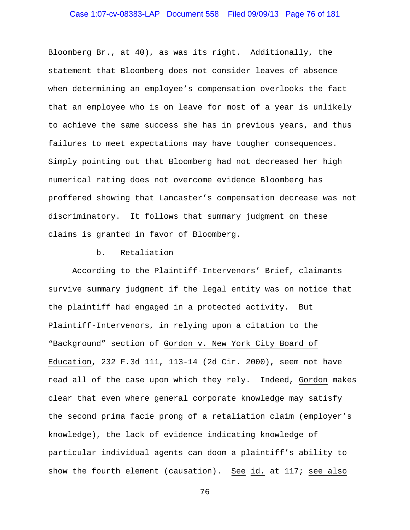# Case 1:07-cv-08383-LAP Document 558 Filed 09/09/13 Page 76 of 181

Bloomberg Br., at 40), as was its right. Additionally, the statement that Bloomberg does not consider leaves of absence when determining an employee's compensation overlooks the fact that an employee who is on leave for most of a year is unlikely to achieve the same success she has in previous years, and thus failures to meet expectations may have tougher consequences. Simply pointing out that Bloomberg had not decreased her high numerical rating does not overcome evidence Bloomberg has proffered showing that Lancaster's compensation decrease was not discriminatory. It follows that summary judgment on these claims is granted in favor of Bloomberg.

### b. Retaliation

 According to the Plaintiff-Intervenors' Brief, claimants survive summary judgment if the legal entity was on notice that the plaintiff had engaged in a protected activity. But Plaintiff-Intervenors, in relying upon a citation to the "Background" section of Gordon v. New York City Board of Education, 232 F.3d 111, 113-14 (2d Cir. 2000), seem not have read all of the case upon which they rely. Indeed, Gordon makes clear that even where general corporate knowledge may satisfy the second prima facie prong of a retaliation claim (employer's knowledge), the lack of evidence indicating knowledge of particular individual agents can doom a plaintiff's ability to show the fourth element (causation). See id. at 117; see also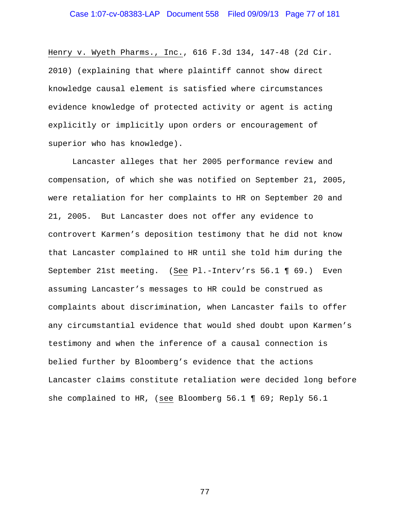Henry v. Wyeth Pharms., Inc., 616 F.3d 134, 147-48 (2d Cir. 2010) (explaining that where plaintiff cannot show direct knowledge causal element is satisfied where circumstances evidence knowledge of protected activity or agent is acting explicitly or implicitly upon orders or encouragement of superior who has knowledge).

 Lancaster alleges that her 2005 performance review and compensation, of which she was notified on September 21, 2005, were retaliation for her complaints to HR on September 20 and 21, 2005. But Lancaster does not offer any evidence to controvert Karmen's deposition testimony that he did not know that Lancaster complained to HR until she told him during the September 21st meeting. (See Pl.-Interv'rs 56.1 ¶ 69.) Even assuming Lancaster's messages to HR could be construed as complaints about discrimination, when Lancaster fails to offer any circumstantial evidence that would shed doubt upon Karmen's testimony and when the inference of a causal connection is belied further by Bloomberg's evidence that the actions Lancaster claims constitute retaliation were decided long before she complained to HR, (see Bloomberg 56.1 ¶ 69; Reply 56.1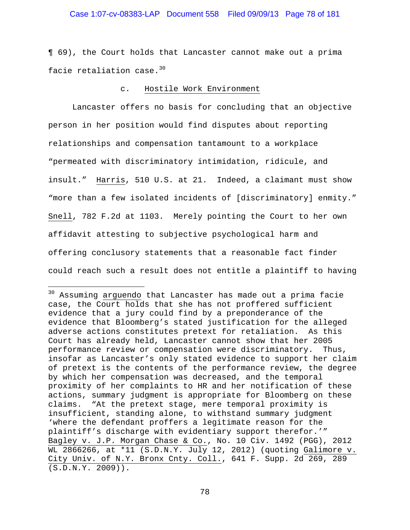## Case 1:07-cv-08383-LAP Document 558 Filed 09/09/13 Page 78 of 181

¶ 69), the Court holds that Lancaster cannot make out a prima facie retaliation case.<sup>30</sup>

### c. Hostile Work Environment

 Lancaster offers no basis for concluding that an objective person in her position would find disputes about reporting relationships and compensation tantamount to a workplace "permeated with discriminatory intimidation, ridicule, and insult." Harris, 510 U.S. at 21. Indeed, a claimant must show "more than a few isolated incidents of [discriminatory] enmity." Snell, 782 F.2d at 1103. Merely pointing the Court to her own affidavit attesting to subjective psychological harm and offering conclusory statements that a reasonable fact finder could reach such a result does not entitle a plaintiff to having

i<br>Li

<sup>&</sup>lt;sup>30</sup> Assuming arguendo that Lancaster has made out a prima facie case, the Court holds that she has not proffered sufficient evidence that a jury could find by a preponderance of the evidence that Bloomberg's stated justification for the alleged adverse actions constitutes pretext for retaliation. As this Court has already held, Lancaster cannot show that her 2005 performance review or compensation were discriminatory. Thus, insofar as Lancaster's only stated evidence to support her claim of pretext is the contents of the performance review, the degree by which her compensation was decreased, and the temporal proximity of her complaints to HR and her notification of these actions, summary judgment is appropriate for Bloomberg on these claims. "At the pretext stage, mere temporal proximity is insufficient, standing alone, to withstand summary judgment 'where the defendant proffers a legitimate reason for the plaintiff's discharge with evidentiary support therefor.'" Bagley v. J.P. Morgan Chase & Co., No. 10 Civ. 1492 (PGG), 2012 WL 2866266, at \*11 (S.D.N.Y. July 12, 2012) (quoting Galimore v. City Univ. of N.Y. Bronx Cnty. Coll., 641 F. Supp. 2d 269, 289 (S.D.N.Y. 2009)).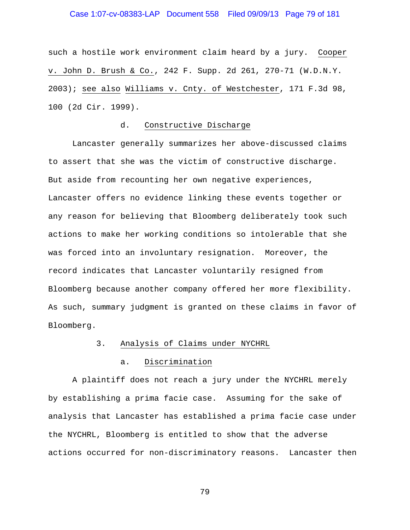## Case 1:07-cv-08383-LAP Document 558 Filed 09/09/13 Page 79 of 181

such a hostile work environment claim heard by a jury. Cooper v. John D. Brush & Co., 242 F. Supp. 2d 261, 270-71 (W.D.N.Y. 2003); see also Williams v. Cnty. of Westchester, 171 F.3d 98, 100 (2d Cir. 1999).

## d. Constructive Discharge

 Lancaster generally summarizes her above-discussed claims to assert that she was the victim of constructive discharge. But aside from recounting her own negative experiences, Lancaster offers no evidence linking these events together or any reason for believing that Bloomberg deliberately took such actions to make her working conditions so intolerable that she was forced into an involuntary resignation. Moreover, the record indicates that Lancaster voluntarily resigned from Bloomberg because another company offered her more flexibility. As such, summary judgment is granted on these claims in favor of Bloomberg.

## 3. Analysis of Claims under NYCHRL

#### a. Discrimination

 A plaintiff does not reach a jury under the NYCHRL merely by establishing a prima facie case. Assuming for the sake of analysis that Lancaster has established a prima facie case under the NYCHRL, Bloomberg is entitled to show that the adverse actions occurred for non-discriminatory reasons. Lancaster then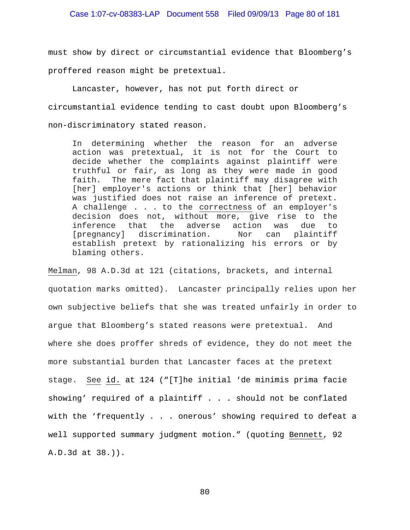## Case 1:07-cv-08383-LAP Document 558 Filed 09/09/13 Page 80 of 181

must show by direct or circumstantial evidence that Bloomberg's proffered reason might be pretextual.

 Lancaster, however, has not put forth direct or circumstantial evidence tending to cast doubt upon Bloomberg's non-discriminatory stated reason.

In determining whether the reason for an adverse action was pretextual, it is not for the Court to decide whether the complaints against plaintiff were truthful or fair, as long as they were made in good faith. The mere fact that plaintiff may disagree with [her] employer's actions or think that [her] behavior was justified does not raise an inference of pretext. A challenge . . . to the correctness of an employer's decision does not, without more, give rise to the inference that the adverse action was due to [pregnancy] discrimination. Nor can plaintiff establish pretext by rationalizing his errors or by blaming others.

Melman, 98 A.D.3d at 121 (citations, brackets, and internal quotation marks omitted). Lancaster principally relies upon her own subjective beliefs that she was treated unfairly in order to argue that Bloomberg's stated reasons were pretextual. And where she does proffer shreds of evidence, they do not meet the more substantial burden that Lancaster faces at the pretext stage. See id. at 124 ("[T]he initial 'de minimis prima facie showing' required of a plaintiff . . . should not be conflated with the 'frequently . . . onerous' showing required to defeat a well supported summary judgment motion." (quoting Bennett, 92 A.D.3d at 38.)).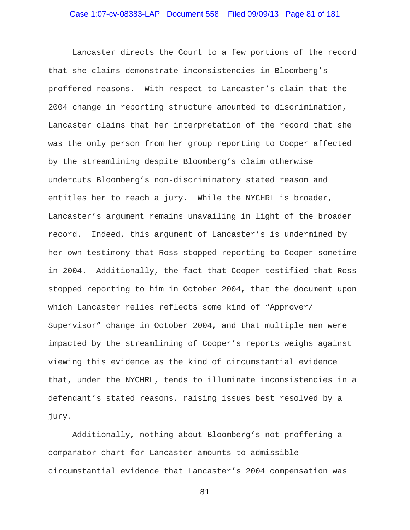Lancaster directs the Court to a few portions of the record that she claims demonstrate inconsistencies in Bloomberg's proffered reasons. With respect to Lancaster's claim that the 2004 change in reporting structure amounted to discrimination, Lancaster claims that her interpretation of the record that she was the only person from her group reporting to Cooper affected by the streamlining despite Bloomberg's claim otherwise undercuts Bloomberg's non-discriminatory stated reason and entitles her to reach a jury. While the NYCHRL is broader, Lancaster's argument remains unavailing in light of the broader record. Indeed, this argument of Lancaster's is undermined by her own testimony that Ross stopped reporting to Cooper sometime in 2004. Additionally, the fact that Cooper testified that Ross stopped reporting to him in October 2004, that the document upon which Lancaster relies reflects some kind of "Approver/ Supervisor" change in October 2004, and that multiple men were impacted by the streamlining of Cooper's reports weighs against viewing this evidence as the kind of circumstantial evidence that, under the NYCHRL, tends to illuminate inconsistencies in a defendant's stated reasons, raising issues best resolved by a jury.

 Additionally, nothing about Bloomberg's not proffering a comparator chart for Lancaster amounts to admissible circumstantial evidence that Lancaster's 2004 compensation was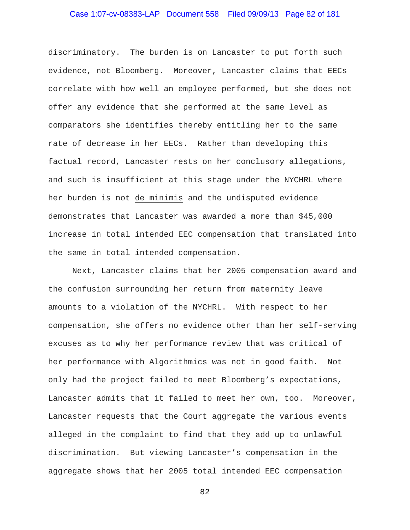# Case 1:07-cv-08383-LAP Document 558 Filed 09/09/13 Page 82 of 181

discriminatory. The burden is on Lancaster to put forth such evidence, not Bloomberg. Moreover, Lancaster claims that EECs correlate with how well an employee performed, but she does not offer any evidence that she performed at the same level as comparators she identifies thereby entitling her to the same rate of decrease in her EECs. Rather than developing this factual record, Lancaster rests on her conclusory allegations, and such is insufficient at this stage under the NYCHRL where her burden is not de minimis and the undisputed evidence demonstrates that Lancaster was awarded a more than \$45,000 increase in total intended EEC compensation that translated into the same in total intended compensation.

 Next, Lancaster claims that her 2005 compensation award and the confusion surrounding her return from maternity leave amounts to a violation of the NYCHRL. With respect to her compensation, she offers no evidence other than her self-serving excuses as to why her performance review that was critical of her performance with Algorithmics was not in good faith. Not only had the project failed to meet Bloomberg's expectations, Lancaster admits that it failed to meet her own, too. Moreover, Lancaster requests that the Court aggregate the various events alleged in the complaint to find that they add up to unlawful discrimination. But viewing Lancaster's compensation in the aggregate shows that her 2005 total intended EEC compensation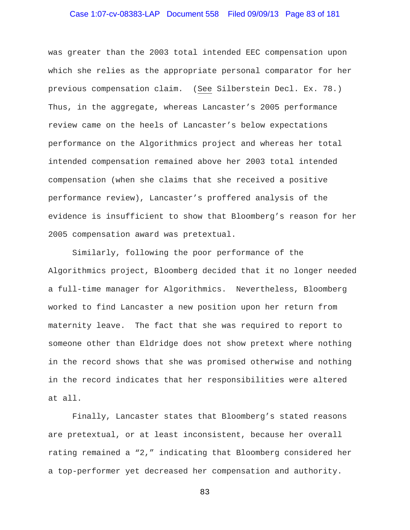# Case 1:07-cv-08383-LAP Document 558 Filed 09/09/13 Page 83 of 181

was greater than the 2003 total intended EEC compensation upon which she relies as the appropriate personal comparator for her previous compensation claim. (See Silberstein Decl. Ex. 78.) Thus, in the aggregate, whereas Lancaster's 2005 performance review came on the heels of Lancaster's below expectations performance on the Algorithmics project and whereas her total intended compensation remained above her 2003 total intended compensation (when she claims that she received a positive performance review), Lancaster's proffered analysis of the evidence is insufficient to show that Bloomberg's reason for her 2005 compensation award was pretextual.

 Similarly, following the poor performance of the Algorithmics project, Bloomberg decided that it no longer needed a full-time manager for Algorithmics. Nevertheless, Bloomberg worked to find Lancaster a new position upon her return from maternity leave. The fact that she was required to report to someone other than Eldridge does not show pretext where nothing in the record shows that she was promised otherwise and nothing in the record indicates that her responsibilities were altered at all.

 Finally, Lancaster states that Bloomberg's stated reasons are pretextual, or at least inconsistent, because her overall rating remained a "2," indicating that Bloomberg considered her a top-performer yet decreased her compensation and authority.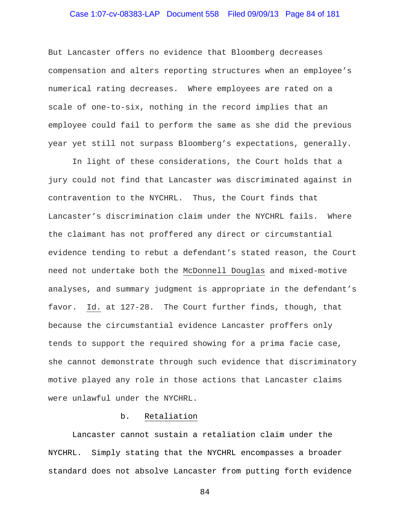# Case 1:07-cv-08383-LAP Document 558 Filed 09/09/13 Page 84 of 181

But Lancaster offers no evidence that Bloomberg decreases compensation and alters reporting structures when an employee's numerical rating decreases. Where employees are rated on a scale of one-to-six, nothing in the record implies that an employee could fail to perform the same as she did the previous year yet still not surpass Bloomberg's expectations, generally.

In light of these considerations, the Court holds that a jury could not find that Lancaster was discriminated against in contravention to the NYCHRL. Thus, the Court finds that Lancaster's discrimination claim under the NYCHRL fails. Where the claimant has not proffered any direct or circumstantial evidence tending to rebut a defendant's stated reason, the Court need not undertake both the McDonnell Douglas and mixed-motive analyses, and summary judgment is appropriate in the defendant's favor. Id. at 127-28. The Court further finds, though, that because the circumstantial evidence Lancaster proffers only tends to support the required showing for a prima facie case, she cannot demonstrate through such evidence that discriminatory motive played any role in those actions that Lancaster claims were unlawful under the NYCHRL.

### b. Retaliation

 Lancaster cannot sustain a retaliation claim under the NYCHRL. Simply stating that the NYCHRL encompasses a broader standard does not absolve Lancaster from putting forth evidence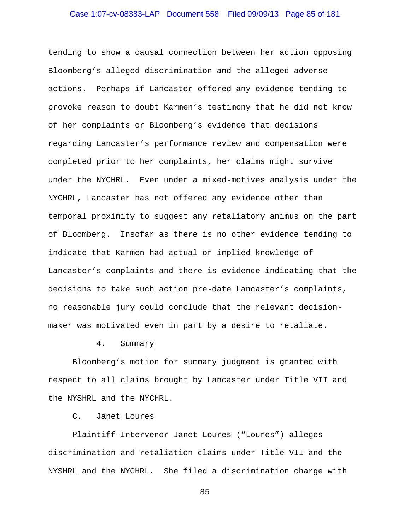# Case 1:07-cv-08383-LAP Document 558 Filed 09/09/13 Page 85 of 181

tending to show a causal connection between her action opposing Bloomberg's alleged discrimination and the alleged adverse actions. Perhaps if Lancaster offered any evidence tending to provoke reason to doubt Karmen's testimony that he did not know of her complaints or Bloomberg's evidence that decisions regarding Lancaster's performance review and compensation were completed prior to her complaints, her claims might survive under the NYCHRL. Even under a mixed-motives analysis under the NYCHRL, Lancaster has not offered any evidence other than temporal proximity to suggest any retaliatory animus on the part of Bloomberg. Insofar as there is no other evidence tending to indicate that Karmen had actual or implied knowledge of Lancaster's complaints and there is evidence indicating that the decisions to take such action pre-date Lancaster's complaints, no reasonable jury could conclude that the relevant decisionmaker was motivated even in part by a desire to retaliate.

## 4. Summary

 Bloomberg's motion for summary judgment is granted with respect to all claims brought by Lancaster under Title VII and the NYSHRL and the NYCHRL.

#### C. Janet Loures

 Plaintiff-Intervenor Janet Loures ("Loures") alleges discrimination and retaliation claims under Title VII and the NYSHRL and the NYCHRL. She filed a discrimination charge with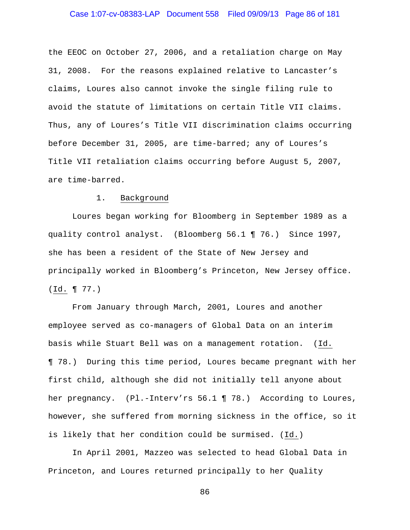## Case 1:07-cv-08383-LAP Document 558 Filed 09/09/13 Page 86 of 181

the EEOC on October 27, 2006, and a retaliation charge on May 31, 2008. For the reasons explained relative to Lancaster's claims, Loures also cannot invoke the single filing rule to avoid the statute of limitations on certain Title VII claims. Thus, any of Loures's Title VII discrimination claims occurring before December 31, 2005, are time-barred; any of Loures's Title VII retaliation claims occurring before August 5, 2007, are time-barred.

### 1. Background

 Loures began working for Bloomberg in September 1989 as a quality control analyst. (Bloomberg 56.1 ¶ 76.) Since 1997, she has been a resident of the State of New Jersey and principally worked in Bloomberg's Princeton, New Jersey office. (Id. ¶ 77.)

 From January through March, 2001, Loures and another employee served as co-managers of Global Data on an interim basis while Stuart Bell was on a management rotation. (Id. ¶ 78.) During this time period, Loures became pregnant with her first child, although she did not initially tell anyone about her pregnancy. (Pl.-Interv'rs 56.1 ¶ 78.) According to Loures, however, she suffered from morning sickness in the office, so it is likely that her condition could be surmised. (Id.)

 In April 2001, Mazzeo was selected to head Global Data in Princeton, and Loures returned principally to her Quality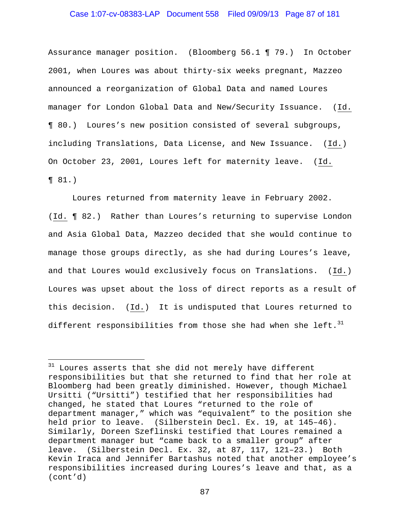## Case 1:07-cv-08383-LAP Document 558 Filed 09/09/13 Page 87 of 181

Assurance manager position. (Bloomberg 56.1 ¶ 79.) In October 2001, when Loures was about thirty-six weeks pregnant, Mazzeo announced a reorganization of Global Data and named Loures manager for London Global Data and New/Security Issuance. (Id. ¶ 80.) Loures's new position consisted of several subgroups, including Translations, Data License, and New Issuance. (Id.) On October 23, 2001, Loures left for maternity leave. (Id. ¶ 81.)

 Loures returned from maternity leave in February 2002. (Id. ¶ 82.) Rather than Loures's returning to supervise London and Asia Global Data, Mazzeo decided that she would continue to manage those groups directly, as she had during Loures's leave, and that Loures would exclusively focus on Translations. (Id.) Loures was upset about the loss of direct reports as a result of this decision. (Id.) It is undisputed that Loures returned to different responsibilities from those she had when she left.  $31$ 

i<br>Li

 $31$  Loures asserts that she did not merely have different responsibilities but that she returned to find that her role at Bloomberg had been greatly diminished. However, though Michael Ursitti ("Ursitti") testified that her responsibilities had changed, he stated that Loures "returned to the role of department manager," which was "equivalent" to the position she held prior to leave. (Silberstein Decl. Ex. 19, at 145–46). Similarly, Doreen Szeflinski testified that Loures remained a department manager but "came back to a smaller group" after leave. (Silberstein Decl. Ex. 32, at 87, 117, 121–23.) Both Kevin Iraca and Jennifer Bartashus noted that another employee's responsibilities increased during Loures's leave and that, as a (cont'd)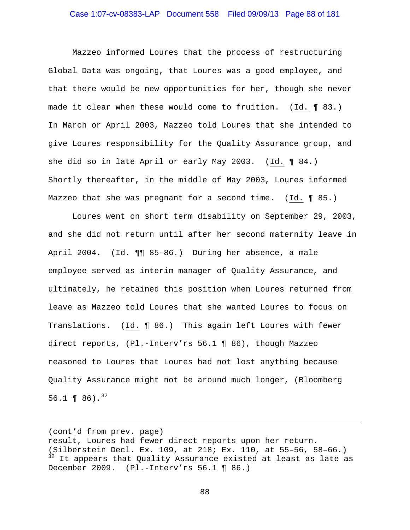## Case 1:07-cv-08383-LAP Document 558 Filed 09/09/13 Page 88 of 181

 Mazzeo informed Loures that the process of restructuring Global Data was ongoing, that Loures was a good employee, and that there would be new opportunities for her, though she never made it clear when these would come to fruition. (Id. ¶ 83.) In March or April 2003, Mazzeo told Loures that she intended to give Loures responsibility for the Quality Assurance group, and she did so in late April or early May 2003. (Id. ¶ 84.) Shortly thereafter, in the middle of May 2003, Loures informed Mazzeo that she was pregnant for a second time. (Id. ¶ 85.)

Loures went on short term disability on September 29, 2003, and she did not return until after her second maternity leave in April 2004. (Id. ¶¶ 85-86.) During her absence, a male employee served as interim manager of Quality Assurance, and ultimately, he retained this position when Loures returned from leave as Mazzeo told Loures that she wanted Loures to focus on Translations. (Id. ¶ 86.) This again left Loures with fewer direct reports, (Pl.-Interv'rs 56.1 ¶ 86), though Mazzeo reasoned to Loures that Loures had not lost anything because Quality Assurance might not be around much longer, (Bloomberg 56.1 ¶ 86).<sup>32</sup>

(cont'd from prev. page)

i<br>Li

result, Loures had fewer direct reports upon her return. (Silberstein Decl. Ex. 109, at 218; Ex. 110, at 55–56, 58–66.)  $32$  It appears that Quality Assurance existed at least as late as December 2009. (Pl.-Interv'rs 56.1 ¶ 86.)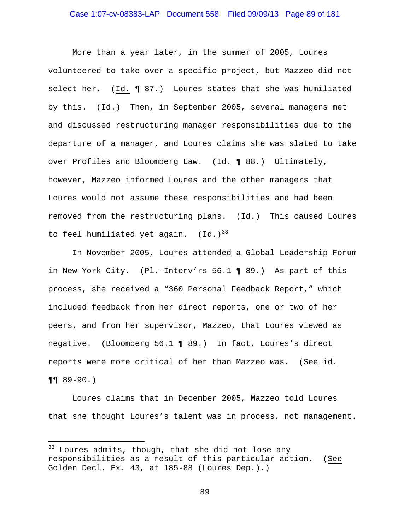## Case 1:07-cv-08383-LAP Document 558 Filed 09/09/13 Page 89 of 181

More than a year later, in the summer of 2005, Loures volunteered to take over a specific project, but Mazzeo did not select her. (Id. ¶ 87.) Loures states that she was humiliated by this. (Id.) Then, in September 2005, several managers met and discussed restructuring manager responsibilities due to the departure of a manager, and Loures claims she was slated to take over Profiles and Bloomberg Law. (Id. ¶ 88.) Ultimately, however, Mazzeo informed Loures and the other managers that Loures would not assume these responsibilities and had been removed from the restructuring plans. (Id.) This caused Loures to feel humiliated yet again.  $(Id.)^{33}$ 

In November 2005, Loures attended a Global Leadership Forum in New York City. (Pl.-Interv'rs 56.1 ¶ 89.) As part of this process, she received a "360 Personal Feedback Report," which included feedback from her direct reports, one or two of her peers, and from her supervisor, Mazzeo, that Loures viewed as negative. (Bloomberg 56.1 ¶ 89.) In fact, Loures's direct reports were more critical of her than Mazzeo was. (See id. ¶¶ 89-90.)

Loures claims that in December 2005, Mazzeo told Loures that she thought Loures's talent was in process, not management.

 $\overline{\phantom{0}}$ 

<sup>&</sup>lt;sup>33</sup> Loures admits, though, that she did not lose any responsibilities as a result of this particular action. (See Golden Decl. Ex. 43, at 185-88 (Loures Dep.).)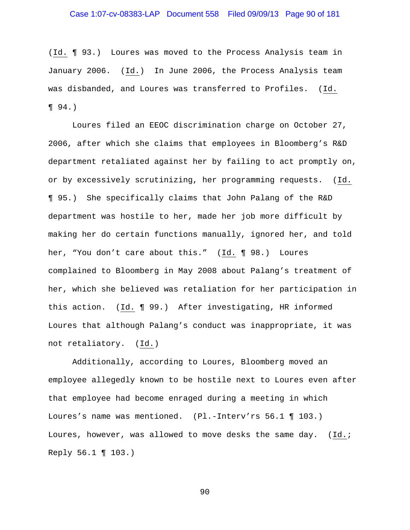## Case 1:07-cv-08383-LAP Document 558 Filed 09/09/13 Page 90 of 181

(Id. ¶ 93.) Loures was moved to the Process Analysis team in January 2006. (Id.) In June 2006, the Process Analysis team was disbanded, and Loures was transferred to Profiles. (Id. ¶ 94.)

Loures filed an EEOC discrimination charge on October 27, 2006, after which she claims that employees in Bloomberg's R&D department retaliated against her by failing to act promptly on, or by excessively scrutinizing, her programming requests. (Id. ¶ 95.) She specifically claims that John Palang of the R&D department was hostile to her, made her job more difficult by making her do certain functions manually, ignored her, and told her, "You don't care about this." (Id. ¶ 98.) Loures complained to Bloomberg in May 2008 about Palang's treatment of her, which she believed was retaliation for her participation in this action. (Id. ¶ 99.) After investigating, HR informed Loures that although Palang's conduct was inappropriate, it was not retaliatory. (Id.)

Additionally, according to Loures, Bloomberg moved an employee allegedly known to be hostile next to Loures even after that employee had become enraged during a meeting in which Loures's name was mentioned. (Pl.-Interv'rs 56.1 ¶ 103.) Loures, however, was allowed to move desks the same day. (Id.; Reply 56.1 ¶ 103.)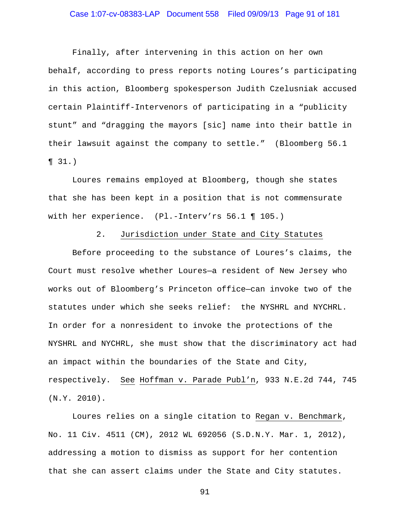## Case 1:07-cv-08383-LAP Document 558 Filed 09/09/13 Page 91 of 181

Finally, after intervening in this action on her own behalf, according to press reports noting Loures's participating in this action, Bloomberg spokesperson Judith Czelusniak accused certain Plaintiff-Intervenors of participating in a "publicity stunt" and "dragging the mayors [sic] name into their battle in their lawsuit against the company to settle." (Bloomberg 56.1 ¶ 31.)

Loures remains employed at Bloomberg, though she states that she has been kept in a position that is not commensurate with her experience. (Pl.-Interv'rs 56.1 ¶ 105.)

### 2. Jurisdiction under State and City Statutes

 Before proceeding to the substance of Loures's claims, the Court must resolve whether Loures—a resident of New Jersey who works out of Bloomberg's Princeton office—can invoke two of the statutes under which she seeks relief: the NYSHRL and NYCHRL. In order for a nonresident to invoke the protections of the NYSHRL and NYCHRL, she must show that the discriminatory act had an impact within the boundaries of the State and City, respectively. See Hoffman v. Parade Publ'n, 933 N.E.2d 744, 745 (N.Y. 2010).

 Loures relies on a single citation to Regan v. Benchmark, No. 11 Civ. 4511 (CM), 2012 WL 692056 (S.D.N.Y. Mar. 1, 2012), addressing a motion to dismiss as support for her contention that she can assert claims under the State and City statutes.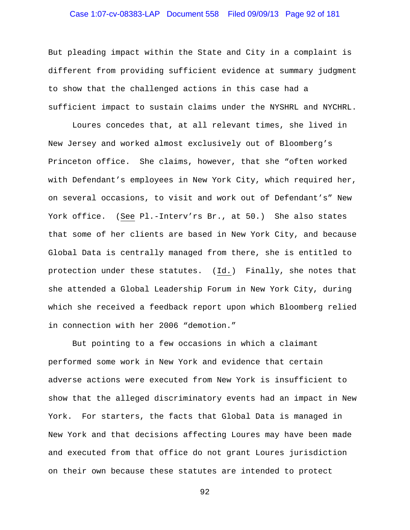## Case 1:07-cv-08383-LAP Document 558 Filed 09/09/13 Page 92 of 181

But pleading impact within the State and City in a complaint is different from providing sufficient evidence at summary judgment to show that the challenged actions in this case had a sufficient impact to sustain claims under the NYSHRL and NYCHRL.

 Loures concedes that, at all relevant times, she lived in New Jersey and worked almost exclusively out of Bloomberg's Princeton office. She claims, however, that she "often worked with Defendant's employees in New York City, which required her, on several occasions, to visit and work out of Defendant's" New York office. (See Pl.-Interv'rs Br., at 50.) She also states that some of her clients are based in New York City, and because Global Data is centrally managed from there, she is entitled to protection under these statutes. (Id.) Finally, she notes that she attended a Global Leadership Forum in New York City, during which she received a feedback report upon which Bloomberg relied in connection with her 2006 "demotion."

 But pointing to a few occasions in which a claimant performed some work in New York and evidence that certain adverse actions were executed from New York is insufficient to show that the alleged discriminatory events had an impact in New York. For starters, the facts that Global Data is managed in New York and that decisions affecting Loures may have been made and executed from that office do not grant Loures jurisdiction on their own because these statutes are intended to protect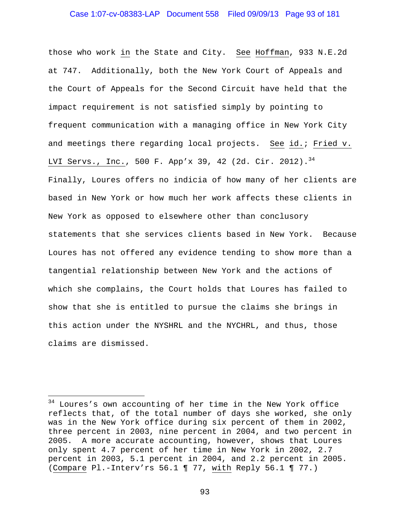## Case 1:07-cv-08383-LAP Document 558 Filed 09/09/13 Page 93 of 181

those who work in the State and City. See Hoffman, 933 N.E.2d at 747. Additionally, both the New York Court of Appeals and the Court of Appeals for the Second Circuit have held that the impact requirement is not satisfied simply by pointing to frequent communication with a managing office in New York City and meetings there regarding local projects. See id.; Fried v. LVI Servs., Inc., 500 F. App'x 39, 42 (2d. Cir. 2012).<sup>34</sup> Finally, Loures offers no indicia of how many of her clients are based in New York or how much her work affects these clients in New York as opposed to elsewhere other than conclusory statements that she services clients based in New York. Because Loures has not offered any evidence tending to show more than a tangential relationship between New York and the actions of which she complains, the Court holds that Loures has failed to show that she is entitled to pursue the claims she brings in this action under the NYSHRL and the NYCHRL, and thus, those claims are dismissed.

 $\overline{\phantom{0}}$ 

<sup>&</sup>lt;sup>34</sup> Loures's own accounting of her time in the New York office reflects that, of the total number of days she worked, she only was in the New York office during six percent of them in 2002, three percent in 2003, nine percent in 2004, and two percent in 2005. A more accurate accounting, however, shows that Loures only spent 4.7 percent of her time in New York in 2002, 2.7 percent in 2003, 5.1 percent in 2004, and 2.2 percent in 2005. (Compare Pl.-Interv'rs 56.1 ¶ 77, with Reply 56.1 ¶ 77.)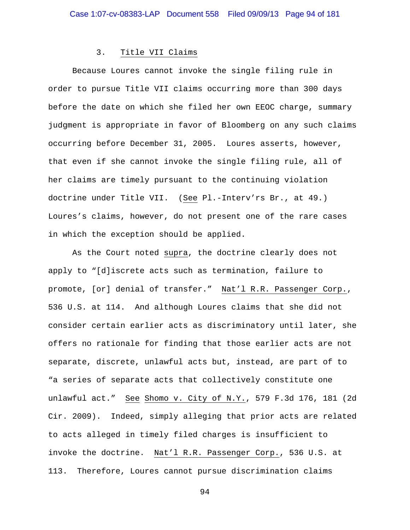#### 3. Title VII Claims

 Because Loures cannot invoke the single filing rule in order to pursue Title VII claims occurring more than 300 days before the date on which she filed her own EEOC charge, summary judgment is appropriate in favor of Bloomberg on any such claims occurring before December 31, 2005. Loures asserts, however, that even if she cannot invoke the single filing rule, all of her claims are timely pursuant to the continuing violation doctrine under Title VII. (See Pl.-Interv'rs Br., at 49.) Loures's claims, however, do not present one of the rare cases in which the exception should be applied.

 As the Court noted supra, the doctrine clearly does not apply to "[d]iscrete acts such as termination, failure to promote, [or] denial of transfer." Nat'l R.R. Passenger Corp., 536 U.S. at 114. And although Loures claims that she did not consider certain earlier acts as discriminatory until later, she offers no rationale for finding that those earlier acts are not separate, discrete, unlawful acts but, instead, are part of to "a series of separate acts that collectively constitute one unlawful act." See Shomo v. City of N.Y., 579 F.3d 176, 181 (2d Cir. 2009). Indeed, simply alleging that prior acts are related to acts alleged in timely filed charges is insufficient to invoke the doctrine. Nat'l R.R. Passenger Corp., 536 U.S. at 113. Therefore, Loures cannot pursue discrimination claims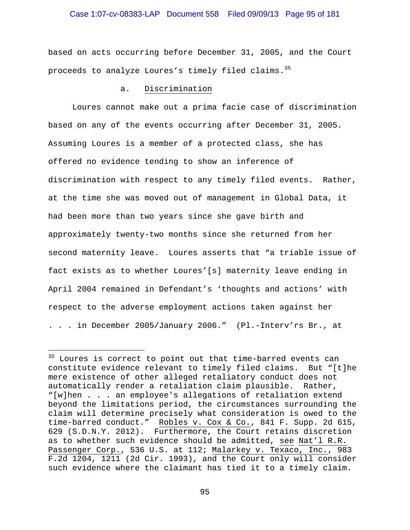## Case 1:07-cv-08383-LAP Document 558 Filed 09/09/13 Page 95 of 181

based on acts occurring before December 31, 2005, and the Court proceeds to analyze Loures's timely filed claims.<sup>35</sup>

## a. Discrimination

 Loures cannot make out a prima facie case of discrimination based on any of the events occurring after December 31, 2005. Assuming Loures is a member of a protected class, she has offered no evidence tending to show an inference of discrimination with respect to any timely filed events. Rather, at the time she was moved out of management in Global Data, it had been more than two years since she gave birth and approximately twenty-two months since she returned from her second maternity leave. Loures asserts that "a triable issue of fact exists as to whether Loures'[s] maternity leave ending in April 2004 remained in Defendant's 'thoughts and actions' with respect to the adverse employment actions taken against her . . . in December 2005/January 2006." (Pl.-Interv'rs Br., at

i<br>Li

 $35$  Loures is correct to point out that time-barred events can constitute evidence relevant to timely filed claims. But "[t]he mere existence of other alleged retaliatory conduct does not automatically render a retaliation claim plausible. Rather, "[w]hen . . . an employee's allegations of retaliation extend beyond the limitations period, the circumstances surrounding the claim will determine precisely what consideration is owed to the time-barred conduct." Robles v. Cox & Co., 841 F. Supp. 2d 615, 629 (S.D.N.Y. 2012). Furthermore, the Court retains discretion as to whether such evidence should be admitted, see Nat'l R.R. Passenger Corp., 536 U.S. at 112; Malarkey v. Texaco, Inc., 983 F.2d 1204, 1211 (2d Cir. 1993), and the Court only will consider such evidence where the claimant has tied it to a timely claim.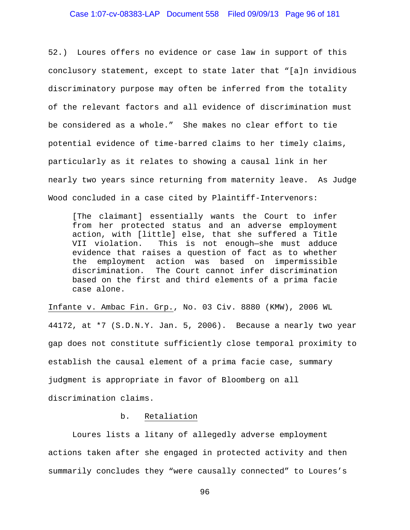## Case 1:07-cv-08383-LAP Document 558 Filed 09/09/13 Page 96 of 181

52.) Loures offers no evidence or case law in support of this conclusory statement, except to state later that "[a]n invidious discriminatory purpose may often be inferred from the totality of the relevant factors and all evidence of discrimination must be considered as a whole." She makes no clear effort to tie potential evidence of time-barred claims to her timely claims, particularly as it relates to showing a causal link in her nearly two years since returning from maternity leave. As Judge Wood concluded in a case cited by Plaintiff-Intervenors:

[The claimant] essentially wants the Court to infer from her protected status and an adverse employment action, with [little] else, that she suffered a Title VII violation. This is not enough—she must adduce evidence that raises a question of fact as to whether the employment action was based on impermissible discrimination. The Court cannot infer discrimination based on the first and third elements of a prima facie case alone.

Infante v. Ambac Fin. Grp., No. 03 Civ. 8880 (KMW), 2006 WL 44172, at \*7 (S.D.N.Y. Jan. 5, 2006). Because a nearly two year gap does not constitute sufficiently close temporal proximity to establish the causal element of a prima facie case, summary judgment is appropriate in favor of Bloomberg on all discrimination claims.

### b. Retaliation

 Loures lists a litany of allegedly adverse employment actions taken after she engaged in protected activity and then summarily concludes they "were causally connected" to Loures's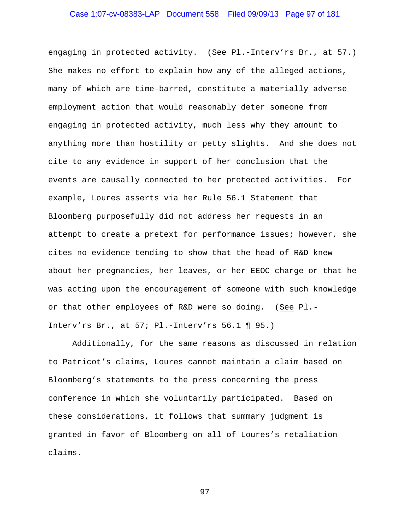# Case 1:07-cv-08383-LAP Document 558 Filed 09/09/13 Page 97 of 181

engaging in protected activity. (See Pl.-Interv'rs Br., at 57.) She makes no effort to explain how any of the alleged actions, many of which are time-barred, constitute a materially adverse employment action that would reasonably deter someone from engaging in protected activity, much less why they amount to anything more than hostility or petty slights. And she does not cite to any evidence in support of her conclusion that the events are causally connected to her protected activities. For example, Loures asserts via her Rule 56.1 Statement that Bloomberg purposefully did not address her requests in an attempt to create a pretext for performance issues; however, she cites no evidence tending to show that the head of R&D knew about her pregnancies, her leaves, or her EEOC charge or that he was acting upon the encouragement of someone with such knowledge or that other employees of R&D were so doing. (See Pl.- Interv'rs Br., at 57; Pl.-Interv'rs 56.1 ¶ 95.)

Additionally, for the same reasons as discussed in relation to Patricot's claims, Loures cannot maintain a claim based on Bloomberg's statements to the press concerning the press conference in which she voluntarily participated. Based on these considerations, it follows that summary judgment is granted in favor of Bloomberg on all of Loures's retaliation claims.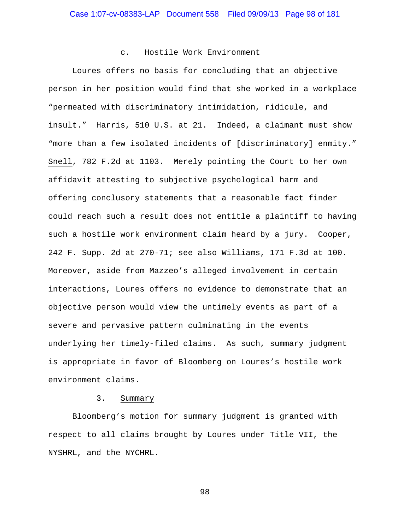#### c. Hostile Work Environment

 Loures offers no basis for concluding that an objective person in her position would find that she worked in a workplace "permeated with discriminatory intimidation, ridicule, and insult." Harris, 510 U.S. at 21. Indeed, a claimant must show "more than a few isolated incidents of [discriminatory] enmity." Snell, 782 F.2d at 1103. Merely pointing the Court to her own affidavit attesting to subjective psychological harm and offering conclusory statements that a reasonable fact finder could reach such a result does not entitle a plaintiff to having such a hostile work environment claim heard by a jury. Cooper, 242 F. Supp. 2d at 270-71; see also Williams, 171 F.3d at 100. Moreover, aside from Mazzeo's alleged involvement in certain interactions, Loures offers no evidence to demonstrate that an objective person would view the untimely events as part of a severe and pervasive pattern culminating in the events underlying her timely-filed claims. As such, summary judgment is appropriate in favor of Bloomberg on Loures's hostile work environment claims.

#### 3. Summary

 Bloomberg's motion for summary judgment is granted with respect to all claims brought by Loures under Title VII, the NYSHRL, and the NYCHRL.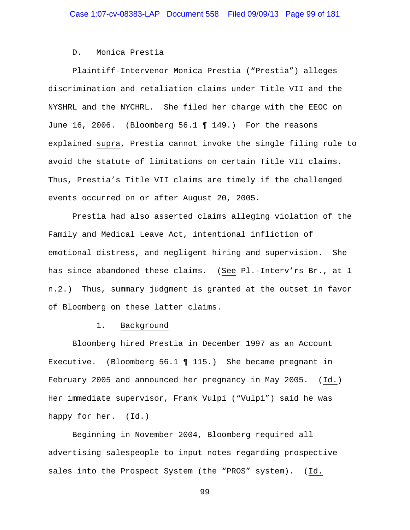#### D. Monica Prestia

Plaintiff-Intervenor Monica Prestia ("Prestia") alleges discrimination and retaliation claims under Title VII and the NYSHRL and the NYCHRL. She filed her charge with the EEOC on June 16, 2006. (Bloomberg 56.1 ¶ 149.) For the reasons explained supra, Prestia cannot invoke the single filing rule to avoid the statute of limitations on certain Title VII claims. Thus, Prestia's Title VII claims are timely if the challenged events occurred on or after August 20, 2005.

Prestia had also asserted claims alleging violation of the Family and Medical Leave Act, intentional infliction of emotional distress, and negligent hiring and supervision. She has since abandoned these claims. (See Pl.-Interv'rs Br., at 1 n.2.) Thus, summary judgment is granted at the outset in favor of Bloomberg on these latter claims.

#### 1. Background

 Bloomberg hired Prestia in December 1997 as an Account Executive. (Bloomberg 56.1 ¶ 115.) She became pregnant in February 2005 and announced her pregnancy in May 2005. (Id.) Her immediate supervisor, Frank Vulpi ("Vulpi") said he was happy for her. (Id.)

 Beginning in November 2004, Bloomberg required all advertising salespeople to input notes regarding prospective sales into the Prospect System (the "PROS" system). (Id.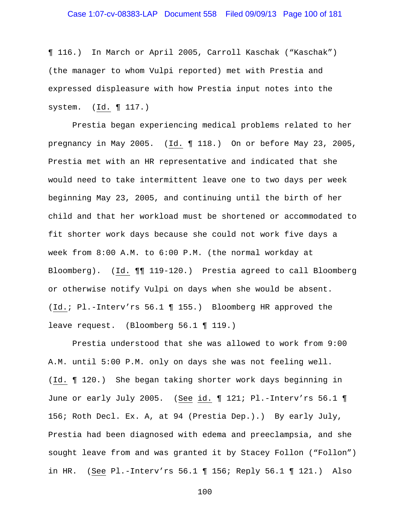# Case 1:07-cv-08383-LAP Document 558 Filed 09/09/13 Page 100 of 181

¶ 116.) In March or April 2005, Carroll Kaschak ("Kaschak") (the manager to whom Vulpi reported) met with Prestia and expressed displeasure with how Prestia input notes into the system. (Id. ¶ 117.)

 Prestia began experiencing medical problems related to her pregnancy in May 2005. (Id. ¶ 118.) On or before May 23, 2005, Prestia met with an HR representative and indicated that she would need to take intermittent leave one to two days per week beginning May 23, 2005, and continuing until the birth of her child and that her workload must be shortened or accommodated to fit shorter work days because she could not work five days a week from 8:00 A.M. to 6:00 P.M. (the normal workday at Bloomberg). (Id. ¶¶ 119-120.) Prestia agreed to call Bloomberg or otherwise notify Vulpi on days when she would be absent. (Id.; Pl.-Interv'rs 56.1 ¶ 155.) Bloomberg HR approved the leave request. (Bloomberg 56.1 ¶ 119.)

 Prestia understood that she was allowed to work from 9:00 A.M. until 5:00 P.M. only on days she was not feeling well. (Id. ¶ 120.) She began taking shorter work days beginning in June or early July 2005. (See id. 121; Pl.-Interv'rs 56.1 1 156; Roth Decl. Ex. A, at 94 (Prestia Dep.).) By early July, Prestia had been diagnosed with edema and preeclampsia, and she sought leave from and was granted it by Stacey Follon ("Follon") in HR. (See Pl.-Interv'rs 56.1 ¶ 156; Reply 56.1 ¶ 121.) Also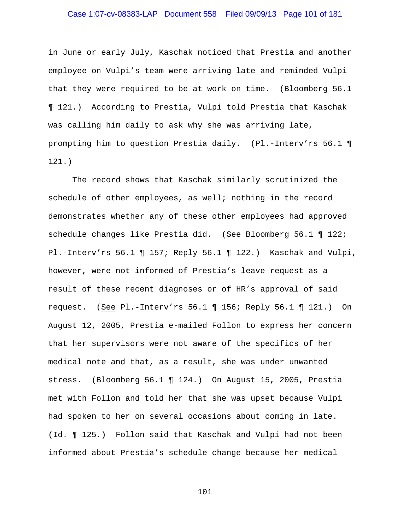# Case 1:07-cv-08383-LAP Document 558 Filed 09/09/13 Page 101 of 181

in June or early July, Kaschak noticed that Prestia and another employee on Vulpi's team were arriving late and reminded Vulpi that they were required to be at work on time. (Bloomberg 56.1 ¶ 121.) According to Prestia, Vulpi told Prestia that Kaschak was calling him daily to ask why she was arriving late, prompting him to question Prestia daily. (Pl.-Interv'rs 56.1 ¶ 121.)

 The record shows that Kaschak similarly scrutinized the schedule of other employees, as well; nothing in the record demonstrates whether any of these other employees had approved schedule changes like Prestia did. (See Bloomberg 56.1 ¶ 122; Pl.-Interv'rs 56.1 ¶ 157; Reply 56.1 ¶ 122.) Kaschak and Vulpi, however, were not informed of Prestia's leave request as a result of these recent diagnoses or of HR's approval of said request. (See Pl.-Interv'rs 56.1 ¶ 156; Reply 56.1 ¶ 121.) On August 12, 2005, Prestia e-mailed Follon to express her concern that her supervisors were not aware of the specifics of her medical note and that, as a result, she was under unwanted stress. (Bloomberg 56.1 ¶ 124.) On August 15, 2005, Prestia met with Follon and told her that she was upset because Vulpi had spoken to her on several occasions about coming in late. (Id. ¶ 125.) Follon said that Kaschak and Vulpi had not been informed about Prestia's schedule change because her medical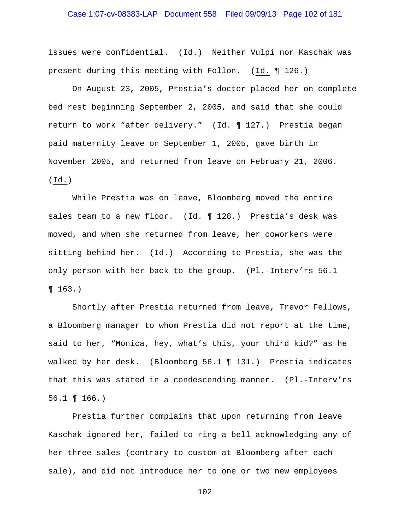# Case 1:07-cv-08383-LAP Document 558 Filed 09/09/13 Page 102 of 181

issues were confidential. (Id.) Neither Vulpi nor Kaschak was present during this meeting with Follon. (Id. ¶ 126.)

 On August 23, 2005, Prestia's doctor placed her on complete bed rest beginning September 2, 2005, and said that she could return to work "after delivery." (Id. ¶ 127.) Prestia began paid maternity leave on September 1, 2005, gave birth in November 2005, and returned from leave on February 21, 2006. (Id.)

 While Prestia was on leave, Bloomberg moved the entire sales team to a new floor. (Id. 128.) Prestia's desk was moved, and when she returned from leave, her coworkers were sitting behind her. (Id.) According to Prestia, she was the only person with her back to the group. (Pl.-Interv'rs 56.1 ¶ 163.)

 Shortly after Prestia returned from leave, Trevor Fellows, a Bloomberg manager to whom Prestia did not report at the time, said to her, "Monica, hey, what's this, your third kid?" as he walked by her desk. (Bloomberg 56.1 ¶ 131.) Prestia indicates that this was stated in a condescending manner. (Pl.-Interv'rs 56.1 ¶ 166.)

Prestia further complains that upon returning from leave Kaschak ignored her, failed to ring a bell acknowledging any of her three sales (contrary to custom at Bloomberg after each sale), and did not introduce her to one or two new employees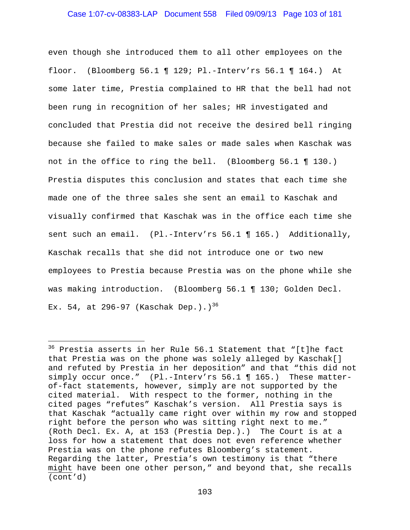## Case 1:07-cv-08383-LAP Document 558 Filed 09/09/13 Page 103 of 181

even though she introduced them to all other employees on the floor. (Bloomberg 56.1 ¶ 129; Pl.-Interv'rs 56.1 ¶ 164.) At some later time, Prestia complained to HR that the bell had not been rung in recognition of her sales; HR investigated and concluded that Prestia did not receive the desired bell ringing because she failed to make sales or made sales when Kaschak was not in the office to ring the bell. (Bloomberg 56.1 ¶ 130.) Prestia disputes this conclusion and states that each time she made one of the three sales she sent an email to Kaschak and visually confirmed that Kaschak was in the office each time she sent such an email. (Pl.-Interv'rs 56.1 ¶ 165.) Additionally, Kaschak recalls that she did not introduce one or two new employees to Prestia because Prestia was on the phone while she was making introduction. (Bloomberg 56.1 ¶ 130; Golden Decl. Ex. 54, at 296-97 (Kaschak Dep.).)<sup>36</sup>

 $\overline{\phantom{0}}$ 

<sup>36</sup> Prestia asserts in her Rule 56.1 Statement that "[t]he fact that Prestia was on the phone was solely alleged by Kaschak[] and refuted by Prestia in her deposition" and that "this did not simply occur once." (Pl.-Interv'rs 56.1 ¶ 165.) These matterof-fact statements, however, simply are not supported by the cited material. With respect to the former, nothing in the cited pages "refutes" Kaschak's version. All Prestia says is that Kaschak "actually came right over within my row and stopped right before the person who was sitting right next to me." (Roth Decl. Ex. A, at 153 (Prestia Dep.).) The Court is at a loss for how a statement that does not even reference whether Prestia was on the phone refutes Bloomberg's statement. Regarding the latter, Prestia's own testimony is that "there might have been one other person," and beyond that, she recalls (cont'd)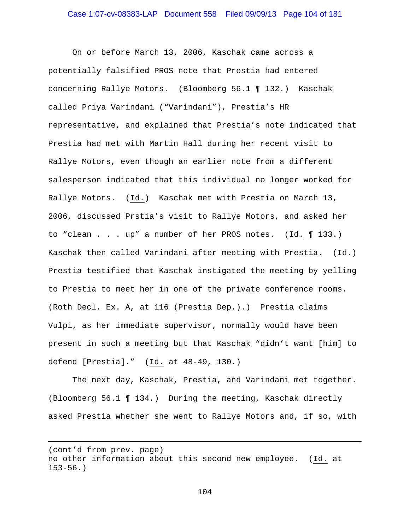On or before March 13, 2006, Kaschak came across a potentially falsified PROS note that Prestia had entered concerning Rallye Motors. (Bloomberg 56.1 ¶ 132.) Kaschak called Priya Varindani ("Varindani"), Prestia's HR representative, and explained that Prestia's note indicated that Prestia had met with Martin Hall during her recent visit to Rallye Motors, even though an earlier note from a different salesperson indicated that this individual no longer worked for Rallye Motors. (Id.) Kaschak met with Prestia on March 13, 2006, discussed Prstia's visit to Rallye Motors, and asked her to "clean . . . up" a number of her PROS notes. (Id. ¶ 133.) Kaschak then called Varindani after meeting with Prestia. (Id.) Prestia testified that Kaschak instigated the meeting by yelling to Prestia to meet her in one of the private conference rooms. (Roth Decl. Ex. A, at 116 (Prestia Dep.).) Prestia claims Vulpi, as her immediate supervisor, normally would have been present in such a meeting but that Kaschak "didn't want [him] to defend [Prestia]." (Id. at 48-49, 130.)

 The next day, Kaschak, Prestia, and Varindani met together. (Bloomberg 56.1 ¶ 134.) During the meeting, Kaschak directly asked Prestia whether she went to Rallye Motors and, if so, with

i

```
104
```
<sup>(</sup>cont'd from prev. page) no other information about this second new employee. (Id. at 153-56.)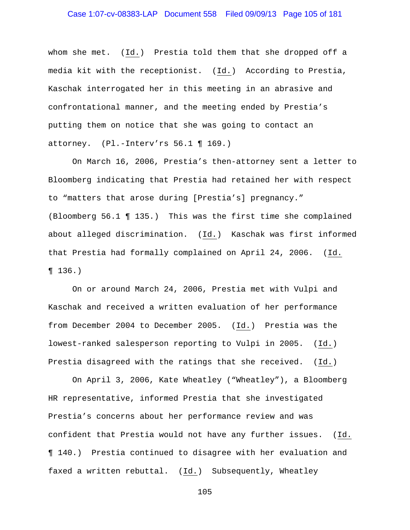whom she met. (Id.) Prestia told them that she dropped off a media kit with the receptionist. (Id.) According to Prestia, Kaschak interrogated her in this meeting in an abrasive and confrontational manner, and the meeting ended by Prestia's putting them on notice that she was going to contact an attorney. (Pl.-Interv'rs 56.1 ¶ 169.)

On March 16, 2006, Prestia's then-attorney sent a letter to Bloomberg indicating that Prestia had retained her with respect to "matters that arose during [Prestia's] pregnancy." (Bloomberg 56.1 ¶ 135.) This was the first time she complained about alleged discrimination. (Id.) Kaschak was first informed that Prestia had formally complained on April 24, 2006. (Id. ¶ 136.)

 On or around March 24, 2006, Prestia met with Vulpi and Kaschak and received a written evaluation of her performance from December 2004 to December 2005. (Id.) Prestia was the lowest-ranked salesperson reporting to Vulpi in 2005. (Id.) Prestia disagreed with the ratings that she received. (Id.)

 On April 3, 2006, Kate Wheatley ("Wheatley"), a Bloomberg HR representative, informed Prestia that she investigated Prestia's concerns about her performance review and was confident that Prestia would not have any further issues. (Id. ¶ 140.) Prestia continued to disagree with her evaluation and faxed a written rebuttal. (Id.) Subsequently, Wheatley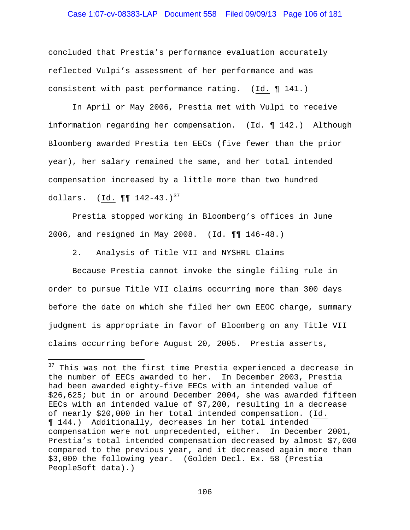## Case 1:07-cv-08383-LAP Document 558 Filed 09/09/13 Page 106 of 181

concluded that Prestia's performance evaluation accurately reflected Vulpi's assessment of her performance and was consistent with past performance rating. (Id. ¶ 141.)

 In April or May 2006, Prestia met with Vulpi to receive information regarding her compensation. (Id. ¶ 142.) Although Bloomberg awarded Prestia ten EECs (five fewer than the prior year), her salary remained the same, and her total intended compensation increased by a little more than two hundred dollars.  $(\underline{Id.} \P \P 142-43.)^{37}$ 

 Prestia stopped working in Bloomberg's offices in June 2006, and resigned in May 2008. (Id. ¶¶ 146-48.)

### 2. Analysis of Title VII and NYSHRL Claims

i<br>Li

Because Prestia cannot invoke the single filing rule in order to pursue Title VII claims occurring more than 300 days before the date on which she filed her own EEOC charge, summary judgment is appropriate in favor of Bloomberg on any Title VII claims occurring before August 20, 2005. Prestia asserts,

 $37$  This was not the first time Prestia experienced a decrease in the number of EECs awarded to her. In December 2003, Prestia had been awarded eighty-five EECs with an intended value of \$26,625; but in or around December 2004, she was awarded fifteen EECs with an intended value of \$7,200, resulting in a decrease of nearly \$20,000 in her total intended compensation. (Id. ¶ 144.) Additionally, decreases in her total intended compensation were not unprecedented, either. In December 2001, Prestia's total intended compensation decreased by almost \$7,000 compared to the previous year, and it decreased again more than \$3,000 the following year. (Golden Decl. Ex. 58 (Prestia PeopleSoft data).)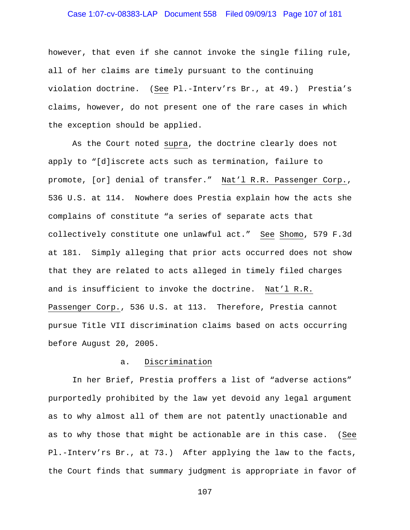# Case 1:07-cv-08383-LAP Document 558 Filed 09/09/13 Page 107 of 181

however, that even if she cannot invoke the single filing rule, all of her claims are timely pursuant to the continuing violation doctrine. (See Pl.-Interv'rs Br., at 49.) Prestia's claims, however, do not present one of the rare cases in which the exception should be applied.

 As the Court noted supra, the doctrine clearly does not apply to "[d]iscrete acts such as termination, failure to promote, [or] denial of transfer." Nat'l R.R. Passenger Corp., 536 U.S. at 114. Nowhere does Prestia explain how the acts she complains of constitute "a series of separate acts that collectively constitute one unlawful act." See Shomo, 579 F.3d at 181. Simply alleging that prior acts occurred does not show that they are related to acts alleged in timely filed charges and is insufficient to invoke the doctrine. Nat'l R.R. Passenger Corp., 536 U.S. at 113. Therefore, Prestia cannot pursue Title VII discrimination claims based on acts occurring before August 20, 2005.

### a. Discrimination

 In her Brief, Prestia proffers a list of "adverse actions" purportedly prohibited by the law yet devoid any legal argument as to why almost all of them are not patently unactionable and as to why those that might be actionable are in this case. (See Pl.-Interv'rs Br., at 73.) After applying the law to the facts, the Court finds that summary judgment is appropriate in favor of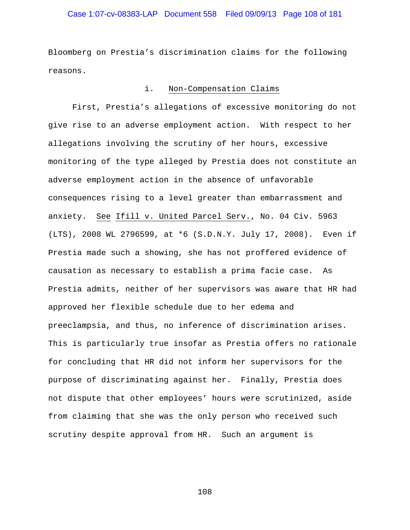# Case 1:07-cv-08383-LAP Document 558 Filed 09/09/13 Page 108 of 181

Bloomberg on Prestia's discrimination claims for the following reasons.

#### i. Non-Compensation Claims

 First, Prestia's allegations of excessive monitoring do not give rise to an adverse employment action. With respect to her allegations involving the scrutiny of her hours, excessive monitoring of the type alleged by Prestia does not constitute an adverse employment action in the absence of unfavorable consequences rising to a level greater than embarrassment and anxiety. See Ifill v. United Parcel Serv., No. 04 Civ. 5963 (LTS), 2008 WL 2796599, at \*6 (S.D.N.Y. July 17, 2008). Even if Prestia made such a showing, she has not proffered evidence of causation as necessary to establish a prima facie case. As Prestia admits, neither of her supervisors was aware that HR had approved her flexible schedule due to her edema and preeclampsia, and thus, no inference of discrimination arises. This is particularly true insofar as Prestia offers no rationale for concluding that HR did not inform her supervisors for the purpose of discriminating against her. Finally, Prestia does not dispute that other employees' hours were scrutinized, aside from claiming that she was the only person who received such scrutiny despite approval from HR. Such an argument is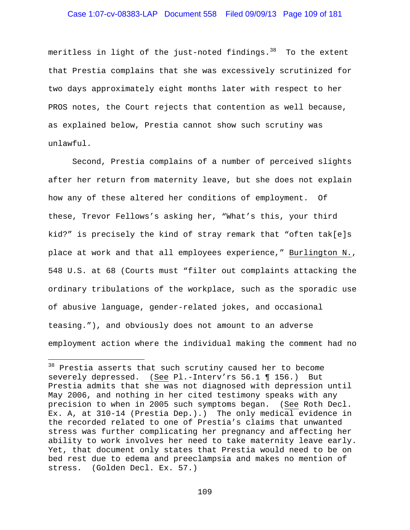### Case 1:07-cv-08383-LAP Document 558 Filed 09/09/13 Page 109 of 181

meritless in light of the just-noted findings. $38$  To the extent that Prestia complains that she was excessively scrutinized for two days approximately eight months later with respect to her PROS notes, the Court rejects that contention as well because, as explained below, Prestia cannot show such scrutiny was unlawful.

 Second, Prestia complains of a number of perceived slights after her return from maternity leave, but she does not explain how any of these altered her conditions of employment. Of these, Trevor Fellows's asking her, "What's this, your third kid?" is precisely the kind of stray remark that "often tak[e]s place at work and that all employees experience," Burlington N., 548 U.S. at 68 (Courts must "filter out complaints attacking the ordinary tribulations of the workplace, such as the sporadic use of abusive language, gender-related jokes, and occasional teasing."), and obviously does not amount to an adverse employment action where the individual making the comment had no

i<br>Li

<sup>&</sup>lt;sup>38</sup> Prestia asserts that such scrutiny caused her to become severely depressed. (See Pl.-Interv'rs 56.1 ¶ 156.) But Prestia admits that she was not diagnosed with depression until May 2006, and nothing in her cited testimony speaks with any precision to when in 2005 such symptoms began. (See Roth Decl. Ex. A, at 310-14 (Prestia Dep.).) The only medical evidence in the recorded related to one of Prestia's claims that unwanted stress was further complicating her pregnancy and affecting her ability to work involves her need to take maternity leave early. Yet, that document only states that Prestia would need to be on bed rest due to edema and preeclampsia and makes no mention of stress. (Golden Decl. Ex. 57.)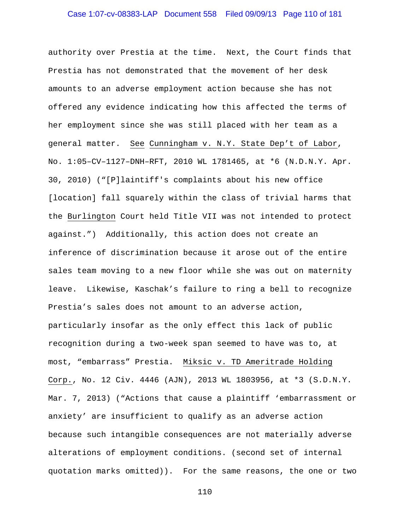# Case 1:07-cv-08383-LAP Document 558 Filed 09/09/13 Page 110 of 181

authority over Prestia at the time. Next, the Court finds that Prestia has not demonstrated that the movement of her desk amounts to an adverse employment action because she has not offered any evidence indicating how this affected the terms of her employment since she was still placed with her team as a general matter. See Cunningham v. N.Y. State Dep't of Labor, No. 1:05–CV–1127–DNH–RFT, 2010 WL 1781465, at \*6 (N.D.N.Y. Apr. 30, 2010) ("[P]laintiff's complaints about his new office [location] fall squarely within the class of trivial harms that the Burlington Court held Title VII was not intended to protect against.") Additionally, this action does not create an inference of discrimination because it arose out of the entire sales team moving to a new floor while she was out on maternity leave. Likewise, Kaschak's failure to ring a bell to recognize Prestia's sales does not amount to an adverse action, particularly insofar as the only effect this lack of public recognition during a two-week span seemed to have was to, at most, "embarrass" Prestia. Miksic v. TD Ameritrade Holding Corp., No. 12 Civ. 4446 (AJN), 2013 WL 1803956, at \*3 (S.D.N.Y. Mar. 7, 2013) ("Actions that cause a plaintiff 'embarrassment or anxiety' are insufficient to qualify as an adverse action because such intangible consequences are not materially adverse alterations of employment conditions. (second set of internal quotation marks omitted)). For the same reasons, the one or two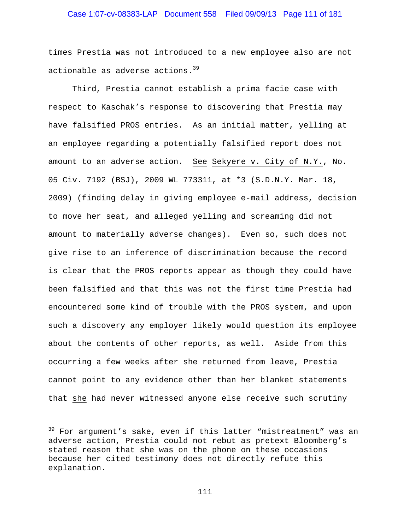### Case 1:07-cv-08383-LAP Document 558 Filed 09/09/13 Page 111 of 181

times Prestia was not introduced to a new employee also are not actionable as adverse actions.<sup>39</sup>

 Third, Prestia cannot establish a prima facie case with respect to Kaschak's response to discovering that Prestia may have falsified PROS entries. As an initial matter, yelling at an employee regarding a potentially falsified report does not amount to an adverse action. See Sekyere v. City of N.Y., No. 05 Civ. 7192 (BSJ), 2009 WL 773311, at \*3 (S.D.N.Y. Mar. 18, 2009) (finding delay in giving employee e-mail address, decision to move her seat, and alleged yelling and screaming did not amount to materially adverse changes). Even so, such does not give rise to an inference of discrimination because the record is clear that the PROS reports appear as though they could have been falsified and that this was not the first time Prestia had encountered some kind of trouble with the PROS system, and upon such a discovery any employer likely would question its employee about the contents of other reports, as well. Aside from this occurring a few weeks after she returned from leave, Prestia cannot point to any evidence other than her blanket statements that she had never witnessed anyone else receive such scrutiny

i<br>Li

<sup>&</sup>lt;sup>39</sup> For argument's sake, even if this latter "mistreatment" was an adverse action, Prestia could not rebut as pretext Bloomberg's stated reason that she was on the phone on these occasions because her cited testimony does not directly refute this explanation.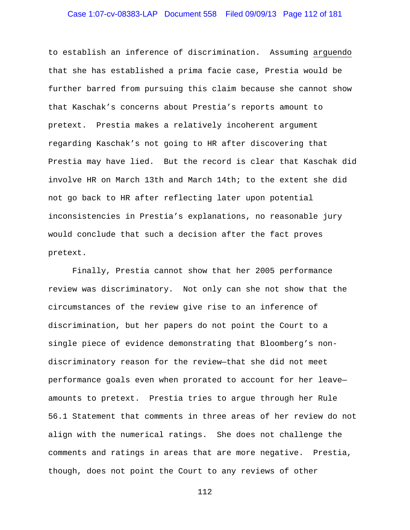# Case 1:07-cv-08383-LAP Document 558 Filed 09/09/13 Page 112 of 181

to establish an inference of discrimination. Assuming arguendo that she has established a prima facie case, Prestia would be further barred from pursuing this claim because she cannot show that Kaschak's concerns about Prestia's reports amount to pretext. Prestia makes a relatively incoherent argument regarding Kaschak's not going to HR after discovering that Prestia may have lied. But the record is clear that Kaschak did involve HR on March 13th and March 14th; to the extent she did not go back to HR after reflecting later upon potential inconsistencies in Prestia's explanations, no reasonable jury would conclude that such a decision after the fact proves pretext.

 Finally, Prestia cannot show that her 2005 performance review was discriminatory. Not only can she not show that the circumstances of the review give rise to an inference of discrimination, but her papers do not point the Court to a single piece of evidence demonstrating that Bloomberg's nondiscriminatory reason for the review—that she did not meet performance goals even when prorated to account for her leave amounts to pretext. Prestia tries to argue through her Rule 56.1 Statement that comments in three areas of her review do not align with the numerical ratings. She does not challenge the comments and ratings in areas that are more negative. Prestia, though, does not point the Court to any reviews of other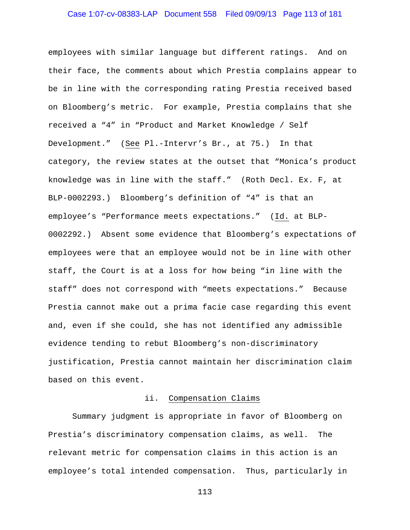# Case 1:07-cv-08383-LAP Document 558 Filed 09/09/13 Page 113 of 181

employees with similar language but different ratings. And on their face, the comments about which Prestia complains appear to be in line with the corresponding rating Prestia received based on Bloomberg's metric. For example, Prestia complains that she received a "4" in "Product and Market Knowledge / Self Development." (See Pl.-Intervr's Br., at 75.) In that category, the review states at the outset that "Monica's product knowledge was in line with the staff." (Roth Decl. Ex. F, at BLP-0002293.) Bloomberg's definition of "4" is that an employee's "Performance meets expectations." (Id. at BLP-0002292.) Absent some evidence that Bloomberg's expectations of employees were that an employee would not be in line with other staff, the Court is at a loss for how being "in line with the staff" does not correspond with "meets expectations." Because Prestia cannot make out a prima facie case regarding this event and, even if she could, she has not identified any admissible evidence tending to rebut Bloomberg's non-discriminatory justification, Prestia cannot maintain her discrimination claim based on this event.

#### ii. Compensation Claims

 Summary judgment is appropriate in favor of Bloomberg on Prestia's discriminatory compensation claims, as well. The relevant metric for compensation claims in this action is an employee's total intended compensation. Thus, particularly in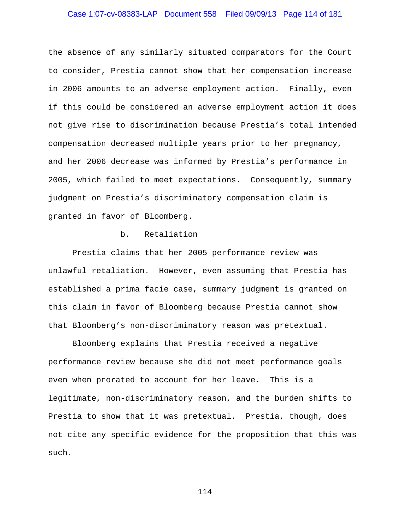# Case 1:07-cv-08383-LAP Document 558 Filed 09/09/13 Page 114 of 181

the absence of any similarly situated comparators for the Court to consider, Prestia cannot show that her compensation increase in 2006 amounts to an adverse employment action. Finally, even if this could be considered an adverse employment action it does not give rise to discrimination because Prestia's total intended compensation decreased multiple years prior to her pregnancy, and her 2006 decrease was informed by Prestia's performance in 2005, which failed to meet expectations. Consequently, summary judgment on Prestia's discriminatory compensation claim is granted in favor of Bloomberg.

#### b. Retaliation

 Prestia claims that her 2005 performance review was unlawful retaliation. However, even assuming that Prestia has established a prima facie case, summary judgment is granted on this claim in favor of Bloomberg because Prestia cannot show that Bloomberg's non-discriminatory reason was pretextual.

 Bloomberg explains that Prestia received a negative performance review because she did not meet performance goals even when prorated to account for her leave. This is a legitimate, non-discriminatory reason, and the burden shifts to Prestia to show that it was pretextual. Prestia, though, does not cite any specific evidence for the proposition that this was such.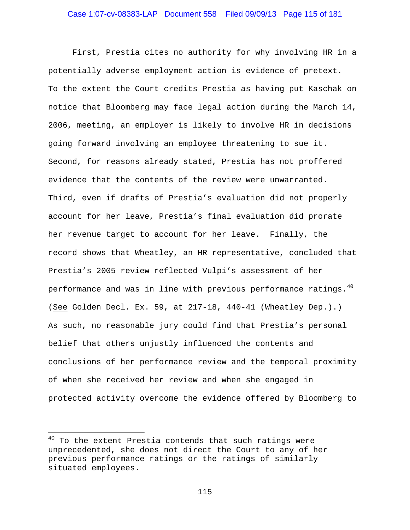First, Prestia cites no authority for why involving HR in a potentially adverse employment action is evidence of pretext. To the extent the Court credits Prestia as having put Kaschak on notice that Bloomberg may face legal action during the March 14, 2006, meeting, an employer is likely to involve HR in decisions going forward involving an employee threatening to sue it. Second, for reasons already stated, Prestia has not proffered evidence that the contents of the review were unwarranted. Third, even if drafts of Prestia's evaluation did not properly account for her leave, Prestia's final evaluation did prorate her revenue target to account for her leave. Finally, the record shows that Wheatley, an HR representative, concluded that Prestia's 2005 review reflected Vulpi's assessment of her performance and was in line with previous performance ratings.<sup>40</sup> (See Golden Decl. Ex. 59, at 217-18, 440-41 (Wheatley Dep.).) As such, no reasonable jury could find that Prestia's personal belief that others unjustly influenced the contents and conclusions of her performance review and the temporal proximity of when she received her review and when she engaged in protected activity overcome the evidence offered by Bloomberg to

i<br>Li

 $^{40}$  To the extent Prestia contends that such ratings were unprecedented, she does not direct the Court to any of her previous performance ratings or the ratings of similarly situated employees.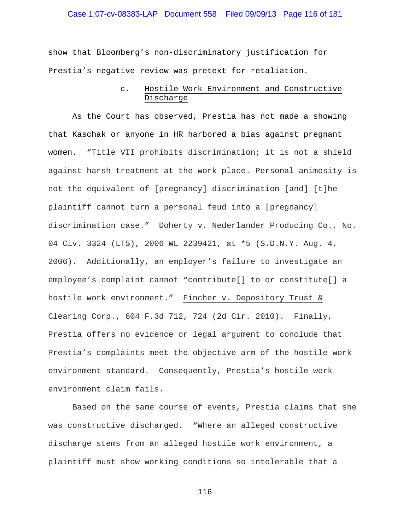### Case 1:07-cv-08383-LAP Document 558 Filed 09/09/13 Page 116 of 181

show that Bloomberg's non-discriminatory justification for Prestia's negative review was pretext for retaliation.

### c. Hostile Work Environment and Constructive Discharge

 As the Court has observed, Prestia has not made a showing that Kaschak or anyone in HR harbored a bias against pregnant women. "Title VII prohibits discrimination; it is not a shield against harsh treatment at the work place. Personal animosity is not the equivalent of [pregnancy] discrimination [and] [t]he plaintiff cannot turn a personal feud into a [pregnancy] discrimination case." Doherty v. Nederlander Producing Co., No. 04 Civ. 3324 (LTS), 2006 WL 2239421, at \*5 (S.D.N.Y. Aug. 4, 2006). Additionally, an employer's failure to investigate an employee's complaint cannot "contribute[] to or constitute[] a hostile work environment." Fincher v. Depository Trust & Clearing Corp., 604 F.3d 712, 724 (2d Cir. 2010). Finally, Prestia offers no evidence or legal argument to conclude that Prestia's complaints meet the objective arm of the hostile work environment standard. Consequently, Prestia's hostile work environment claim fails.

Based on the same course of events, Prestia claims that she was constructive discharged. "Where an alleged constructive discharge stems from an alleged hostile work environment, a plaintiff must show working conditions so intolerable that a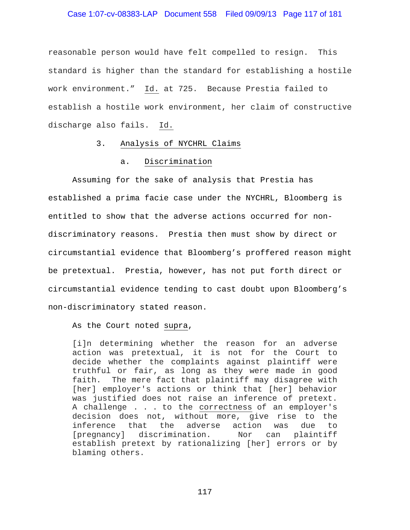### Case 1:07-cv-08383-LAP Document 558 Filed 09/09/13 Page 117 of 181

reasonable person would have felt compelled to resign. This standard is higher than the standard for establishing a hostile work environment." Id. at 725. Because Prestia failed to establish a hostile work environment, her claim of constructive discharge also fails. Id.

### 3. Analysis of NYCHRL Claims

### a. Discrimination

 Assuming for the sake of analysis that Prestia has established a prima facie case under the NYCHRL, Bloomberg is entitled to show that the adverse actions occurred for nondiscriminatory reasons. Prestia then must show by direct or circumstantial evidence that Bloomberg's proffered reason might be pretextual. Prestia, however, has not put forth direct or circumstantial evidence tending to cast doubt upon Bloomberg's non-discriminatory stated reason.

As the Court noted supra,

[i]n determining whether the reason for an adverse action was pretextual, it is not for the Court to decide whether the complaints against plaintiff were truthful or fair, as long as they were made in good faith. The mere fact that plaintiff may disagree with [her] employer's actions or think that [her] behavior was justified does not raise an inference of pretext. A challenge . . . to the correctness of an employer's decision does not, without more, give rise to the inference that the adverse action was due to [pregnancy] discrimination. Nor can plaintiff establish pretext by rationalizing [her] errors or by blaming others.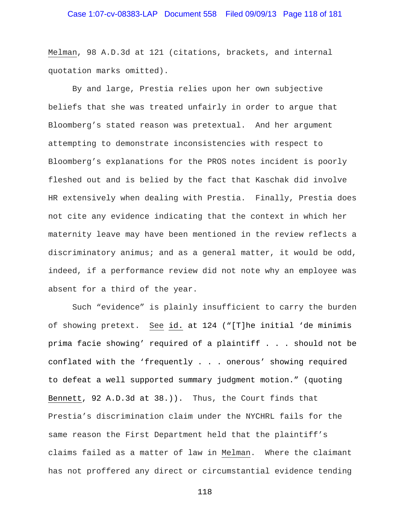Melman, 98 A.D.3d at 121 (citations, brackets, and internal quotation marks omitted).

 By and large, Prestia relies upon her own subjective beliefs that she was treated unfairly in order to argue that Bloomberg's stated reason was pretextual. And her argument attempting to demonstrate inconsistencies with respect to Bloomberg's explanations for the PROS notes incident is poorly fleshed out and is belied by the fact that Kaschak did involve HR extensively when dealing with Prestia. Finally, Prestia does not cite any evidence indicating that the context in which her maternity leave may have been mentioned in the review reflects a discriminatory animus; and as a general matter, it would be odd, indeed, if a performance review did not note why an employee was absent for a third of the year.

Such "evidence" is plainly insufficient to carry the burden of showing pretext. See id. at 124 ("[T]he initial 'de minimis prima facie showing' required of a plaintiff . . . should not be conflated with the 'frequently . . . onerous' showing required to defeat a well supported summary judgment motion." (quoting Bennett, 92 A.D.3d at 38.)). Thus, the Court finds that Prestia's discrimination claim under the NYCHRL fails for the same reason the First Department held that the plaintiff's claims failed as a matter of law in Melman. Where the claimant has not proffered any direct or circumstantial evidence tending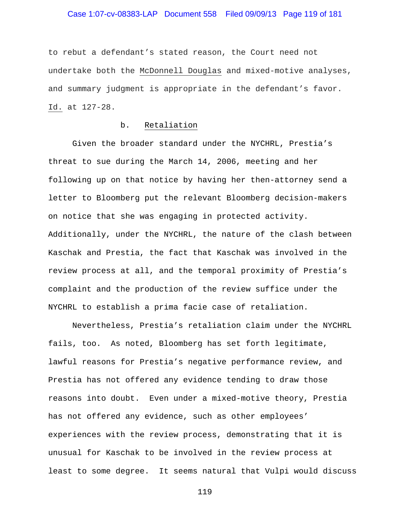### Case 1:07-cv-08383-LAP Document 558 Filed 09/09/13 Page 119 of 181

to rebut a defendant's stated reason, the Court need not undertake both the McDonnell Douglas and mixed-motive analyses, and summary judgment is appropriate in the defendant's favor. Id. at 127-28.

### b. Retaliation

 Given the broader standard under the NYCHRL, Prestia's threat to sue during the March 14, 2006, meeting and her following up on that notice by having her then-attorney send a letter to Bloomberg put the relevant Bloomberg decision-makers on notice that she was engaging in protected activity. Additionally, under the NYCHRL, the nature of the clash between Kaschak and Prestia, the fact that Kaschak was involved in the review process at all, and the temporal proximity of Prestia's complaint and the production of the review suffice under the NYCHRL to establish a prima facie case of retaliation.

 Nevertheless, Prestia's retaliation claim under the NYCHRL fails, too. As noted, Bloomberg has set forth legitimate, lawful reasons for Prestia's negative performance review, and Prestia has not offered any evidence tending to draw those reasons into doubt. Even under a mixed-motive theory, Prestia has not offered any evidence, such as other employees' experiences with the review process, demonstrating that it is unusual for Kaschak to be involved in the review process at least to some degree. It seems natural that Vulpi would discuss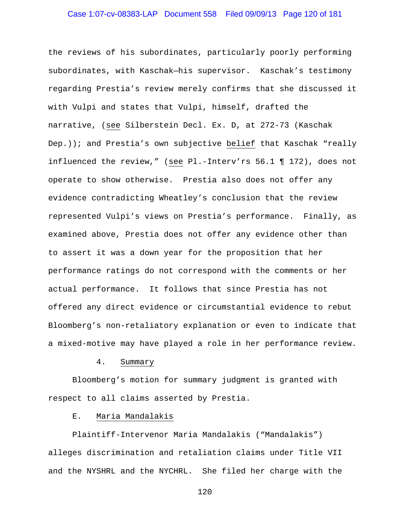# Case 1:07-cv-08383-LAP Document 558 Filed 09/09/13 Page 120 of 181

the reviews of his subordinates, particularly poorly performing subordinates, with Kaschak—his supervisor. Kaschak's testimony regarding Prestia's review merely confirms that she discussed it with Vulpi and states that Vulpi, himself, drafted the narrative, (see Silberstein Decl. Ex. D, at 272-73 (Kaschak Dep.)); and Prestia's own subjective belief that Kaschak "really influenced the review," (see Pl.-Interv'rs 56.1 ¶ 172), does not operate to show otherwise. Prestia also does not offer any evidence contradicting Wheatley's conclusion that the review represented Vulpi's views on Prestia's performance. Finally, as examined above, Prestia does not offer any evidence other than to assert it was a down year for the proposition that her performance ratings do not correspond with the comments or her actual performance. It follows that since Prestia has not offered any direct evidence or circumstantial evidence to rebut Bloomberg's non-retaliatory explanation or even to indicate that a mixed-motive may have played a role in her performance review.

#### 4. Summary

 Bloomberg's motion for summary judgment is granted with respect to all claims asserted by Prestia.

#### E. Maria Mandalakis

Plaintiff-Intervenor Maria Mandalakis ("Mandalakis") alleges discrimination and retaliation claims under Title VII and the NYSHRL and the NYCHRL. She filed her charge with the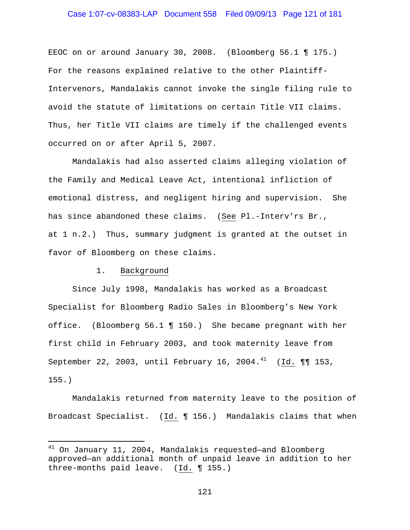### Case 1:07-cv-08383-LAP Document 558 Filed 09/09/13 Page 121 of 181

EEOC on or around January 30, 2008. (Bloomberg 56.1 ¶ 175.) For the reasons explained relative to the other Plaintiff-Intervenors, Mandalakis cannot invoke the single filing rule to avoid the statute of limitations on certain Title VII claims. Thus, her Title VII claims are timely if the challenged events occurred on or after April 5, 2007.

Mandalakis had also asserted claims alleging violation of the Family and Medical Leave Act, intentional infliction of emotional distress, and negligent hiring and supervision. She has since abandoned these claims. (See Pl.-Interv'rs Br., at 1 n.2.) Thus, summary judgment is granted at the outset in favor of Bloomberg on these claims.

#### 1. Background

 $\overline{\phantom{0}}$ 

Since July 1998, Mandalakis has worked as a Broadcast Specialist for Bloomberg Radio Sales in Bloomberg's New York office. (Bloomberg 56.1 ¶ 150.) She became pregnant with her first child in February 2003, and took maternity leave from September 22, 2003, until February 16, 2004. $^{41}$  (Id. ¶¶ 153, 155.)

Mandalakis returned from maternity leave to the position of Broadcast Specialist. (Id. ¶ 156.) Mandalakis claims that when

<sup>&</sup>lt;sup>41</sup> On January 11, 2004, Mandalakis requested-and Bloomberg approved—an additional month of unpaid leave in addition to her three-months paid leave. (Id. ¶ 155.)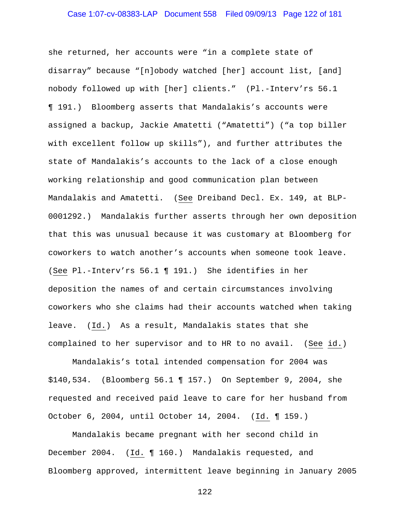# Case 1:07-cv-08383-LAP Document 558 Filed 09/09/13 Page 122 of 181

she returned, her accounts were "in a complete state of disarray" because "[n]obody watched [her] account list, [and] nobody followed up with [her] clients." (Pl.-Interv'rs 56.1 ¶ 191.) Bloomberg asserts that Mandalakis's accounts were assigned a backup, Jackie Amatetti ("Amatetti") ("a top biller with excellent follow up skills"), and further attributes the state of Mandalakis's accounts to the lack of a close enough working relationship and good communication plan between Mandalakis and Amatetti. (See Dreiband Decl. Ex. 149, at BLP-0001292.) Mandalakis further asserts through her own deposition that this was unusual because it was customary at Bloomberg for coworkers to watch another's accounts when someone took leave. (See Pl.-Interv'rs 56.1 ¶ 191.) She identifies in her deposition the names of and certain circumstances involving coworkers who she claims had their accounts watched when taking leave. (Id.) As a result, Mandalakis states that she complained to her supervisor and to HR to no avail. (See id.)

Mandalakis's total intended compensation for 2004 was \$140,534. (Bloomberg 56.1 ¶ 157.) On September 9, 2004, she requested and received paid leave to care for her husband from October 6, 2004, until October 14, 2004. (Id. ¶ 159.)

Mandalakis became pregnant with her second child in December 2004. (Id. ¶ 160.) Mandalakis requested, and Bloomberg approved, intermittent leave beginning in January 2005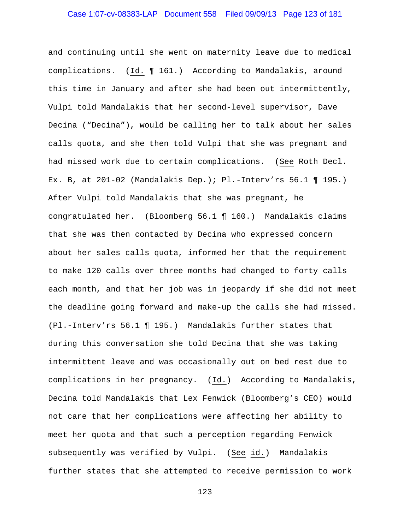# Case 1:07-cv-08383-LAP Document 558 Filed 09/09/13 Page 123 of 181

and continuing until she went on maternity leave due to medical complications. (Id. ¶ 161.) According to Mandalakis, around this time in January and after she had been out intermittently, Vulpi told Mandalakis that her second-level supervisor, Dave Decina ("Decina"), would be calling her to talk about her sales calls quota, and she then told Vulpi that she was pregnant and had missed work due to certain complications. (See Roth Decl. Ex. B, at  $201-02$  (Mandalakis Dep.); Pl.-Interv'rs 56.1 ¶ 195.) After Vulpi told Mandalakis that she was pregnant, he congratulated her. (Bloomberg 56.1 ¶ 160.) Mandalakis claims that she was then contacted by Decina who expressed concern about her sales calls quota, informed her that the requirement to make 120 calls over three months had changed to forty calls each month, and that her job was in jeopardy if she did not meet the deadline going forward and make-up the calls she had missed. (Pl.-Interv'rs 56.1 ¶ 195.) Mandalakis further states that during this conversation she told Decina that she was taking intermittent leave and was occasionally out on bed rest due to complications in her pregnancy. (Id.) According to Mandalakis, Decina told Mandalakis that Lex Fenwick (Bloomberg's CEO) would not care that her complications were affecting her ability to meet her quota and that such a perception regarding Fenwick subsequently was verified by Vulpi. (See id.) Mandalakis further states that she attempted to receive permission to work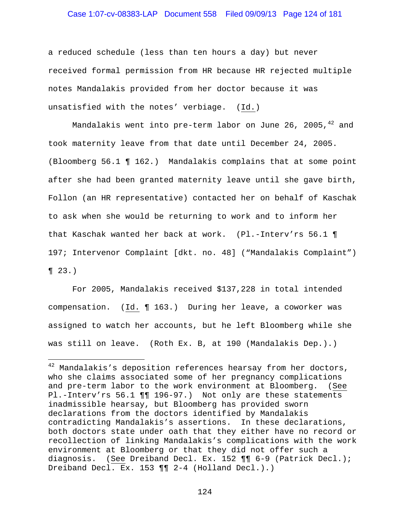### Case 1:07-cv-08383-LAP Document 558 Filed 09/09/13 Page 124 of 181

a reduced schedule (less than ten hours a day) but never received formal permission from HR because HR rejected multiple notes Mandalakis provided from her doctor because it was unsatisfied with the notes' verbiage. (Id.)

Mandalakis went into pre-term labor on June 26, 2005, $42$  and took maternity leave from that date until December 24, 2005. (Bloomberg 56.1 ¶ 162.) Mandalakis complains that at some point after she had been granted maternity leave until she gave birth, Follon (an HR representative) contacted her on behalf of Kaschak to ask when she would be returning to work and to inform her that Kaschak wanted her back at work. (Pl.-Interv'rs 56.1 ¶ 197; Intervenor Complaint [dkt. no. 48] ("Mandalakis Complaint")  $\P$  23.)

For 2005, Mandalakis received \$137,228 in total intended compensation. (Id. ¶ 163.) During her leave, a coworker was assigned to watch her accounts, but he left Bloomberg while she was still on leave. (Roth Ex. B, at 190 (Mandalakis Dep.).)

i<br>Li

 $42$  Mandalakis's deposition references hearsay from her doctors, who she claims associated some of her pregnancy complications and pre-term labor to the work environment at Bloomberg. (See Pl.-Interv'rs 56.1 ¶¶ 196-97.) Not only are these statements inadmissible hearsay, but Bloomberg has provided sworn declarations from the doctors identified by Mandalakis contradicting Mandalakis's assertions. In these declarations, both doctors state under oath that they either have no record or recollection of linking Mandalakis's complications with the work environment at Bloomberg or that they did not offer such a diagnosis. (See Dreiband Decl. Ex. 152 ¶¶ 6-9 (Patrick Decl.); Dreiband Decl. Ex. 153 ¶¶ 2-4 (Holland Decl.).)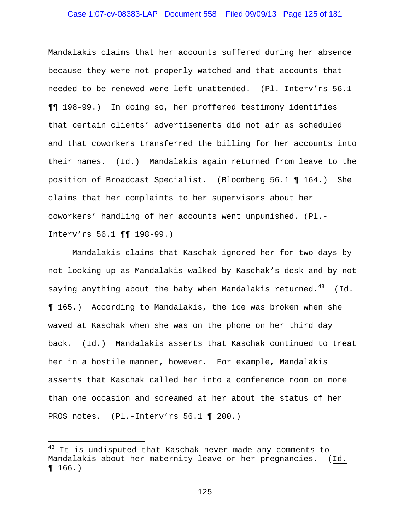### Case 1:07-cv-08383-LAP Document 558 Filed 09/09/13 Page 125 of 181

Mandalakis claims that her accounts suffered during her absence because they were not properly watched and that accounts that needed to be renewed were left unattended. (Pl.-Interv'rs 56.1 ¶¶ 198-99.) In doing so, her proffered testimony identifies that certain clients' advertisements did not air as scheduled and that coworkers transferred the billing for her accounts into their names. (Id.) Mandalakis again returned from leave to the position of Broadcast Specialist. (Bloomberg 56.1 ¶ 164.) She claims that her complaints to her supervisors about her coworkers' handling of her accounts went unpunished. (Pl.- Interv'rs 56.1 ¶¶ 198-99.)

Mandalakis claims that Kaschak ignored her for two days by not looking up as Mandalakis walked by Kaschak's desk and by not saying anything about the baby when Mandalakis returned.<sup>43</sup> (Id. ¶ 165.) According to Mandalakis, the ice was broken when she waved at Kaschak when she was on the phone on her third day back. (Id.) Mandalakis asserts that Kaschak continued to treat her in a hostile manner, however. For example, Mandalakis asserts that Kaschak called her into a conference room on more than one occasion and screamed at her about the status of her PROS notes. (Pl.-Interv'rs 56.1 ¶ 200.)

i

 $43$  It is undisputed that Kaschak never made any comments to Mandalakis about her maternity leave or her pregnancies. (Id. ¶ 166.)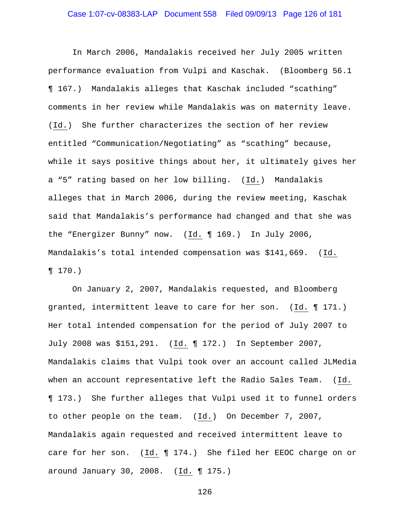### Case 1:07-cv-08383-LAP Document 558 Filed 09/09/13 Page 126 of 181

In March 2006, Mandalakis received her July 2005 written performance evaluation from Vulpi and Kaschak. (Bloomberg 56.1 ¶ 167.) Mandalakis alleges that Kaschak included "scathing" comments in her review while Mandalakis was on maternity leave. (Id.) She further characterizes the section of her review entitled "Communication/Negotiating" as "scathing" because, while it says positive things about her, it ultimately gives her a "5" rating based on her low billing. (Id.) Mandalakis alleges that in March 2006, during the review meeting, Kaschak said that Mandalakis's performance had changed and that she was the "Energizer Bunny" now. (Id. ¶ 169.) In July 2006, Mandalakis's total intended compensation was \$141,669. (Id.  $\P 170.$ 

On January 2, 2007, Mandalakis requested, and Bloomberg granted, intermittent leave to care for her son. (Id. ¶ 171.) Her total intended compensation for the period of July 2007 to July 2008 was \$151,291. (Id. ¶ 172.) In September 2007, Mandalakis claims that Vulpi took over an account called JLMedia when an account representative left the Radio Sales Team. (Id. ¶ 173.) She further alleges that Vulpi used it to funnel orders to other people on the team. (Id.) On December 7, 2007, Mandalakis again requested and received intermittent leave to care for her son. (Id. ¶ 174.) She filed her EEOC charge on or around January 30, 2008. (Id. ¶ 175.)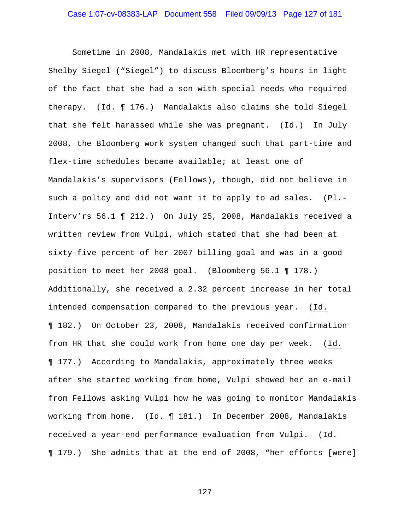Sometime in 2008, Mandalakis met with HR representative Shelby Siegel ("Siegel") to discuss Bloomberg's hours in light of the fact that she had a son with special needs who required therapy. (Id. ¶ 176.) Mandalakis also claims she told Siegel that she felt harassed while she was pregnant. (Id.) In July 2008, the Bloomberg work system changed such that part-time and flex-time schedules became available; at least one of Mandalakis's supervisors (Fellows), though, did not believe in such a policy and did not want it to apply to ad sales. (Pl.- Interv'rs 56.1 ¶ 212.) On July 25, 2008, Mandalakis received a written review from Vulpi, which stated that she had been at sixty-five percent of her 2007 billing goal and was in a good position to meet her 2008 goal. (Bloomberg 56.1 ¶ 178.) Additionally, she received a 2.32 percent increase in her total intended compensation compared to the previous year. (Id. ¶ 182.) On October 23, 2008, Mandalakis received confirmation from HR that she could work from home one day per week. (Id. ¶ 177.) According to Mandalakis, approximately three weeks after she started working from home, Vulpi showed her an e-mail from Fellows asking Vulpi how he was going to monitor Mandalakis working from home. (Id. 181.) In December 2008, Mandalakis received a year-end performance evaluation from Vulpi. (Id. ¶ 179.) She admits that at the end of 2008, "her efforts [were]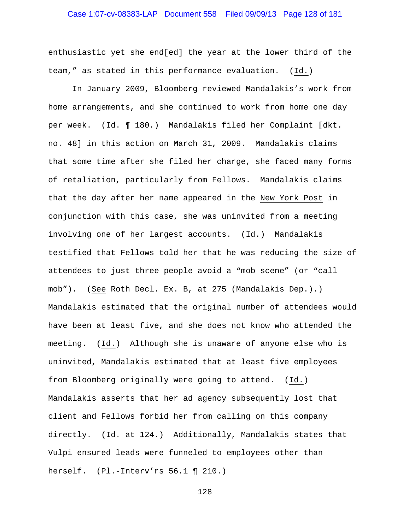### Case 1:07-cv-08383-LAP Document 558 Filed 09/09/13 Page 128 of 181

enthusiastic yet she end[ed] the year at the lower third of the team," as stated in this performance evaluation. (Id.)

In January 2009, Bloomberg reviewed Mandalakis's work from home arrangements, and she continued to work from home one day per week. (Id. ¶ 180.) Mandalakis filed her Complaint [dkt. no. 48] in this action on March 31, 2009. Mandalakis claims that some time after she filed her charge, she faced many forms of retaliation, particularly from Fellows. Mandalakis claims that the day after her name appeared in the New York Post in conjunction with this case, she was uninvited from a meeting involving one of her largest accounts. (Id.) Mandalakis testified that Fellows told her that he was reducing the size of attendees to just three people avoid a "mob scene" (or "call mob"). (See Roth Decl. Ex. B, at 275 (Mandalakis Dep.).) Mandalakis estimated that the original number of attendees would have been at least five, and she does not know who attended the meeting. (Id.) Although she is unaware of anyone else who is uninvited, Mandalakis estimated that at least five employees from Bloomberg originally were going to attend. (Id.) Mandalakis asserts that her ad agency subsequently lost that client and Fellows forbid her from calling on this company directly. (Id. at 124.) Additionally, Mandalakis states that Vulpi ensured leads were funneled to employees other than herself. (Pl.-Interv'rs 56.1 ¶ 210.)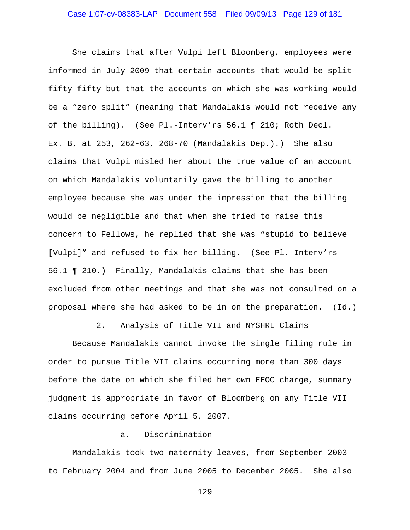She claims that after Vulpi left Bloomberg, employees were informed in July 2009 that certain accounts that would be split fifty-fifty but that the accounts on which she was working would be a "zero split" (meaning that Mandalakis would not receive any of the billing). (See Pl.-Interv'rs 56.1 ¶ 210; Roth Decl. Ex. B, at 253, 262-63, 268-70 (Mandalakis Dep.).) She also claims that Vulpi misled her about the true value of an account on which Mandalakis voluntarily gave the billing to another employee because she was under the impression that the billing would be negligible and that when she tried to raise this concern to Fellows, he replied that she was "stupid to believe [Vulpi]" and refused to fix her billing. (See Pl.-Interv'rs 56.1 ¶ 210.) Finally, Mandalakis claims that she has been excluded from other meetings and that she was not consulted on a proposal where she had asked to be in on the preparation. (Id.)

### 2. Analysis of Title VII and NYSHRL Claims

Because Mandalakis cannot invoke the single filing rule in order to pursue Title VII claims occurring more than 300 days before the date on which she filed her own EEOC charge, summary judgment is appropriate in favor of Bloomberg on any Title VII claims occurring before April 5, 2007.

### a. Discrimination

Mandalakis took two maternity leaves, from September 2003 to February 2004 and from June 2005 to December 2005. She also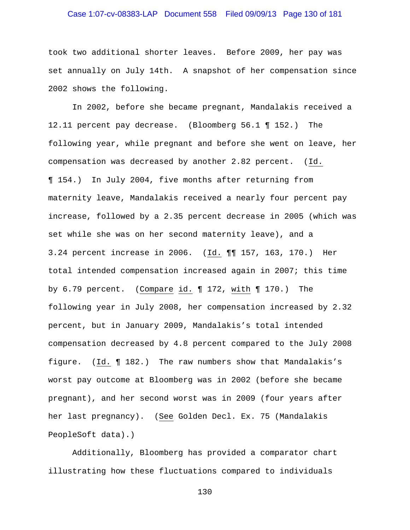# Case 1:07-cv-08383-LAP Document 558 Filed 09/09/13 Page 130 of 181

took two additional shorter leaves. Before 2009, her pay was set annually on July 14th. A snapshot of her compensation since 2002 shows the following.

In 2002, before she became pregnant, Mandalakis received a 12.11 percent pay decrease. (Bloomberg 56.1 ¶ 152.) The following year, while pregnant and before she went on leave, her compensation was decreased by another 2.82 percent. (Id. ¶ 154.) In July 2004, five months after returning from maternity leave, Mandalakis received a nearly four percent pay increase, followed by a 2.35 percent decrease in 2005 (which was set while she was on her second maternity leave), and a 3.24 percent increase in 2006. (Id. ¶¶ 157, 163, 170.) Her total intended compensation increased again in 2007; this time by 6.79 percent. (Compare id. ¶ 172, with ¶ 170.) The following year in July 2008, her compensation increased by 2.32 percent, but in January 2009, Mandalakis's total intended compensation decreased by 4.8 percent compared to the July 2008 figure. (Id. ¶ 182.) The raw numbers show that Mandalakis's worst pay outcome at Bloomberg was in 2002 (before she became pregnant), and her second worst was in 2009 (four years after her last pregnancy). (See Golden Decl. Ex. 75 (Mandalakis PeopleSoft data).)

Additionally, Bloomberg has provided a comparator chart illustrating how these fluctuations compared to individuals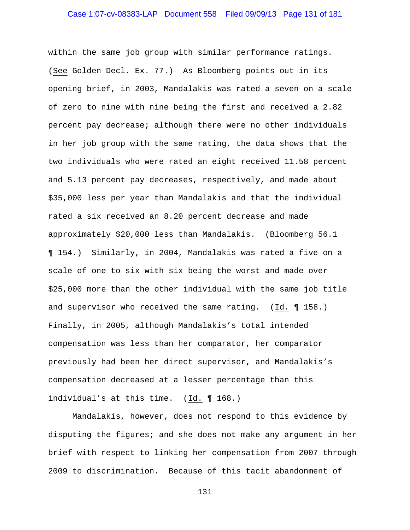within the same job group with similar performance ratings. (See Golden Decl. Ex. 77.) As Bloomberg points out in its opening brief, in 2003, Mandalakis was rated a seven on a scale of zero to nine with nine being the first and received a 2.82 percent pay decrease; although there were no other individuals in her job group with the same rating, the data shows that the two individuals who were rated an eight received 11.58 percent and 5.13 percent pay decreases, respectively, and made about \$35,000 less per year than Mandalakis and that the individual rated a six received an 8.20 percent decrease and made approximately \$20,000 less than Mandalakis. (Bloomberg 56.1 ¶ 154.) Similarly, in 2004, Mandalakis was rated a five on a scale of one to six with six being the worst and made over \$25,000 more than the other individual with the same job title and supervisor who received the same rating. (Id. ¶ 158.) Finally, in 2005, although Mandalakis's total intended compensation was less than her comparator, her comparator previously had been her direct supervisor, and Mandalakis's compensation decreased at a lesser percentage than this individual's at this time. (Id. ¶ 168.)

Mandalakis, however, does not respond to this evidence by disputing the figures; and she does not make any argument in her brief with respect to linking her compensation from 2007 through 2009 to discrimination. Because of this tacit abandonment of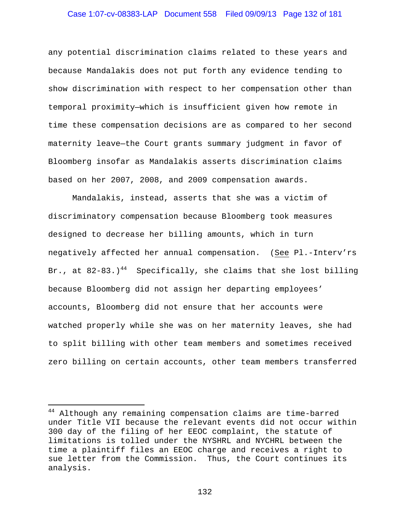# Case 1:07-cv-08383-LAP Document 558 Filed 09/09/13 Page 132 of 181

any potential discrimination claims related to these years and because Mandalakis does not put forth any evidence tending to show discrimination with respect to her compensation other than temporal proximity—which is insufficient given how remote in time these compensation decisions are as compared to her second maternity leave—the Court grants summary judgment in favor of Bloomberg insofar as Mandalakis asserts discrimination claims based on her 2007, 2008, and 2009 compensation awards.

Mandalakis, instead, asserts that she was a victim of discriminatory compensation because Bloomberg took measures designed to decrease her billing amounts, which in turn negatively affected her annual compensation. (See Pl.-Interv'rs Br., at  $82-83.$ )<sup>44</sup> Specifically, she claims that she lost billing because Bloomberg did not assign her departing employees' accounts, Bloomberg did not ensure that her accounts were watched properly while she was on her maternity leaves, she had to split billing with other team members and sometimes received zero billing on certain accounts, other team members transferred

i

<sup>&</sup>lt;sup>44</sup> Although any remaining compensation claims are time-barred under Title VII because the relevant events did not occur within 300 day of the filing of her EEOC complaint, the statute of limitations is tolled under the NYSHRL and NYCHRL between the time a plaintiff files an EEOC charge and receives a right to sue letter from the Commission. Thus, the Court continues its analysis.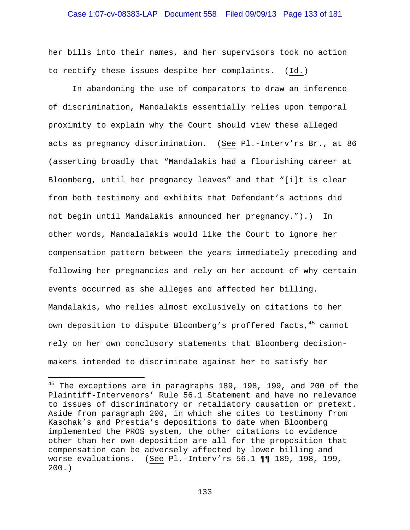### Case 1:07-cv-08383-LAP Document 558 Filed 09/09/13 Page 133 of 181

her bills into their names, and her supervisors took no action to rectify these issues despite her complaints. (Id.)

In abandoning the use of comparators to draw an inference of discrimination, Mandalakis essentially relies upon temporal proximity to explain why the Court should view these alleged acts as pregnancy discrimination. (See Pl.-Interv'rs Br., at 86 (asserting broadly that "Mandalakis had a flourishing career at Bloomberg, until her pregnancy leaves" and that "[i]t is clear from both testimony and exhibits that Defendant's actions did not begin until Mandalakis announced her pregnancy.").) In other words, Mandalalakis would like the Court to ignore her compensation pattern between the years immediately preceding and following her pregnancies and rely on her account of why certain events occurred as she alleges and affected her billing. Mandalakis, who relies almost exclusively on citations to her own deposition to dispute Bloomberg's proffered facts, 45 cannot rely on her own conclusory statements that Bloomberg decisionmakers intended to discriminate against her to satisfy her

 $\overline{\phantom{0}}$ 

<sup>&</sup>lt;sup>45</sup> The exceptions are in paragraphs 189, 198, 199, and 200 of the Plaintiff-Intervenors' Rule 56.1 Statement and have no relevance to issues of discriminatory or retaliatory causation or pretext. Aside from paragraph 200, in which she cites to testimony from Kaschak's and Prestia's depositions to date when Bloomberg implemented the PROS system, the other citations to evidence other than her own deposition are all for the proposition that compensation can be adversely affected by lower billing and worse evaluations. (See Pl.-Interv'rs 56.1 ¶¶ 189, 198, 199, 200.)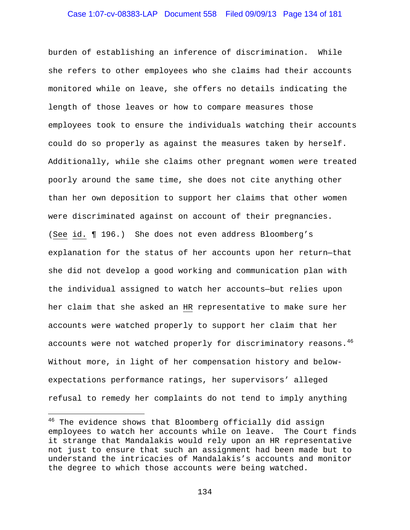### Case 1:07-cv-08383-LAP Document 558 Filed 09/09/13 Page 134 of 181

burden of establishing an inference of discrimination. While she refers to other employees who she claims had their accounts monitored while on leave, she offers no details indicating the length of those leaves or how to compare measures those employees took to ensure the individuals watching their accounts could do so properly as against the measures taken by herself. Additionally, while she claims other pregnant women were treated poorly around the same time, she does not cite anything other than her own deposition to support her claims that other women were discriminated against on account of their pregnancies. (See id. ¶ 196.) She does not even address Bloomberg's explanation for the status of her accounts upon her return—that she did not develop a good working and communication plan with the individual assigned to watch her accounts—but relies upon her claim that she asked an HR representative to make sure her accounts were watched properly to support her claim that her accounts were not watched properly for discriminatory reasons. $4^{6}$ Without more, in light of her compensation history and belowexpectations performance ratings, her supervisors' alleged refusal to remedy her complaints do not tend to imply anything

 $\overline{\phantom{0}}$ 

<sup>&</sup>lt;sup>46</sup> The evidence shows that Bloomberg officially did assign employees to watch her accounts while on leave. The Court finds it strange that Mandalakis would rely upon an HR representative not just to ensure that such an assignment had been made but to understand the intricacies of Mandalakis's accounts and monitor the degree to which those accounts were being watched.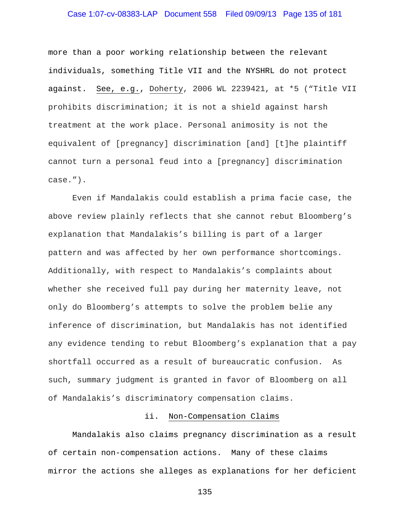# Case 1:07-cv-08383-LAP Document 558 Filed 09/09/13 Page 135 of 181

more than a poor working relationship between the relevant individuals, something Title VII and the NYSHRL do not protect against. See, e.g., Doherty, 2006 WL 2239421, at \*5 ("Title VII prohibits discrimination; it is not a shield against harsh treatment at the work place. Personal animosity is not the equivalent of [pregnancy] discrimination [and] [t]he plaintiff cannot turn a personal feud into a [pregnancy] discrimination case.").

Even if Mandalakis could establish a prima facie case, the above review plainly reflects that she cannot rebut Bloomberg's explanation that Mandalakis's billing is part of a larger pattern and was affected by her own performance shortcomings. Additionally, with respect to Mandalakis's complaints about whether she received full pay during her maternity leave, not only do Bloomberg's attempts to solve the problem belie any inference of discrimination, but Mandalakis has not identified any evidence tending to rebut Bloomberg's explanation that a pay shortfall occurred as a result of bureaucratic confusion. As such, summary judgment is granted in favor of Bloomberg on all of Mandalakis's discriminatory compensation claims.

#### ii. Non-Compensation Claims

Mandalakis also claims pregnancy discrimination as a result of certain non-compensation actions. Many of these claims mirror the actions she alleges as explanations for her deficient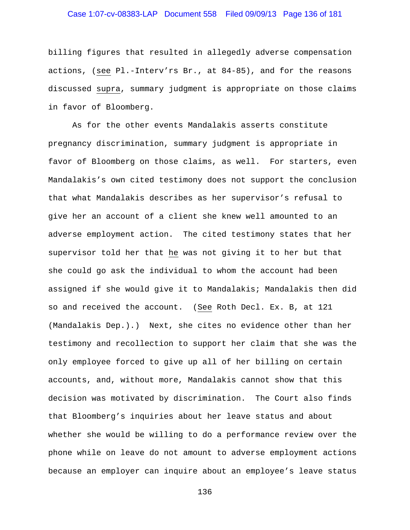# Case 1:07-cv-08383-LAP Document 558 Filed 09/09/13 Page 136 of 181

billing figures that resulted in allegedly adverse compensation actions, (see Pl.-Interv'rs Br., at 84-85), and for the reasons discussed supra, summary judgment is appropriate on those claims in favor of Bloomberg.

As for the other events Mandalakis asserts constitute pregnancy discrimination, summary judgment is appropriate in favor of Bloomberg on those claims, as well. For starters, even Mandalakis's own cited testimony does not support the conclusion that what Mandalakis describes as her supervisor's refusal to give her an account of a client she knew well amounted to an adverse employment action. The cited testimony states that her supervisor told her that he was not giving it to her but that she could go ask the individual to whom the account had been assigned if she would give it to Mandalakis; Mandalakis then did so and received the account. (See Roth Decl. Ex. B, at 121 (Mandalakis Dep.).) Next, she cites no evidence other than her testimony and recollection to support her claim that she was the only employee forced to give up all of her billing on certain accounts, and, without more, Mandalakis cannot show that this decision was motivated by discrimination. The Court also finds that Bloomberg's inquiries about her leave status and about whether she would be willing to do a performance review over the phone while on leave do not amount to adverse employment actions because an employer can inquire about an employee's leave status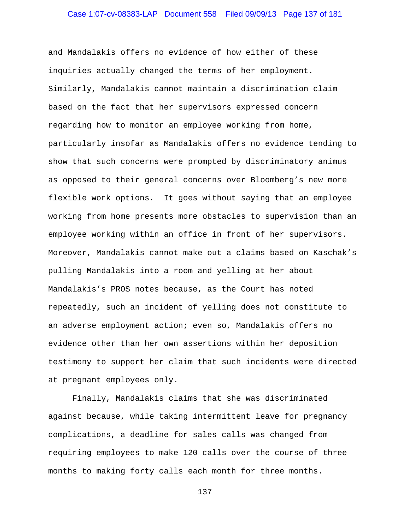and Mandalakis offers no evidence of how either of these inquiries actually changed the terms of her employment. Similarly, Mandalakis cannot maintain a discrimination claim based on the fact that her supervisors expressed concern regarding how to monitor an employee working from home, particularly insofar as Mandalakis offers no evidence tending to show that such concerns were prompted by discriminatory animus as opposed to their general concerns over Bloomberg's new more flexible work options. It goes without saying that an employee working from home presents more obstacles to supervision than an employee working within an office in front of her supervisors. Moreover, Mandalakis cannot make out a claims based on Kaschak's pulling Mandalakis into a room and yelling at her about Mandalakis's PROS notes because, as the Court has noted repeatedly, such an incident of yelling does not constitute to an adverse employment action; even so, Mandalakis offers no evidence other than her own assertions within her deposition testimony to support her claim that such incidents were directed at pregnant employees only.

Finally, Mandalakis claims that she was discriminated against because, while taking intermittent leave for pregnancy complications, a deadline for sales calls was changed from requiring employees to make 120 calls over the course of three months to making forty calls each month for three months.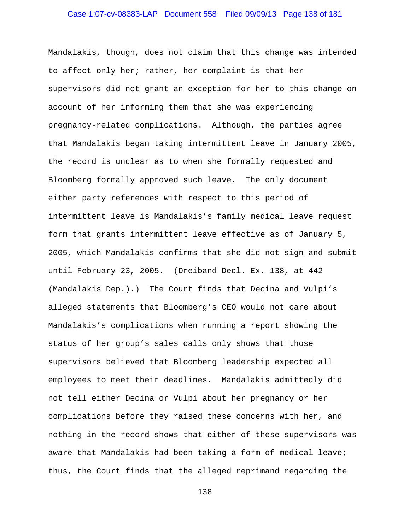# Case 1:07-cv-08383-LAP Document 558 Filed 09/09/13 Page 138 of 181

Mandalakis, though, does not claim that this change was intended to affect only her; rather, her complaint is that her supervisors did not grant an exception for her to this change on account of her informing them that she was experiencing pregnancy-related complications. Although, the parties agree that Mandalakis began taking intermittent leave in January 2005, the record is unclear as to when she formally requested and Bloomberg formally approved such leave. The only document either party references with respect to this period of intermittent leave is Mandalakis's family medical leave request form that grants intermittent leave effective as of January 5, 2005, which Mandalakis confirms that she did not sign and submit until February 23, 2005. (Dreiband Decl. Ex. 138, at 442 (Mandalakis Dep.).) The Court finds that Decina and Vulpi's alleged statements that Bloomberg's CEO would not care about Mandalakis's complications when running a report showing the status of her group's sales calls only shows that those supervisors believed that Bloomberg leadership expected all employees to meet their deadlines. Mandalakis admittedly did not tell either Decina or Vulpi about her pregnancy or her complications before they raised these concerns with her, and nothing in the record shows that either of these supervisors was aware that Mandalakis had been taking a form of medical leave; thus, the Court finds that the alleged reprimand regarding the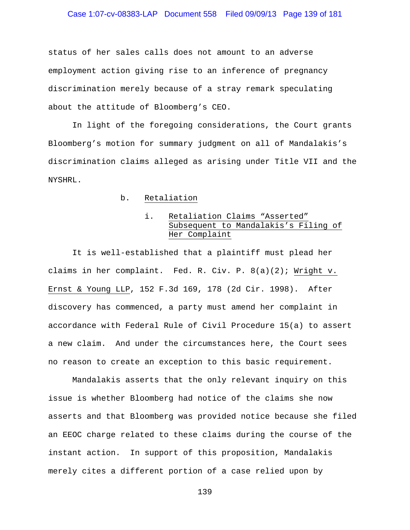### Case 1:07-cv-08383-LAP Document 558 Filed 09/09/13 Page 139 of 181

status of her sales calls does not amount to an adverse employment action giving rise to an inference of pregnancy discrimination merely because of a stray remark speculating about the attitude of Bloomberg's CEO.

In light of the foregoing considerations, the Court grants Bloomberg's motion for summary judgment on all of Mandalakis's discrimination claims alleged as arising under Title VII and the NYSHRL.

### b. Retaliation

### i. Retaliation Claims "Asserted" Subsequent to Mandalakis's Filing of Her Complaint

 It is well-established that a plaintiff must plead her claims in her complaint. Fed. R. Civ. P. 8(a)(2); Wright v. Ernst & Young LLP, 152 F.3d 169, 178 (2d Cir. 1998). After discovery has commenced, a party must amend her complaint in accordance with Federal Rule of Civil Procedure 15(a) to assert a new claim. And under the circumstances here, the Court sees no reason to create an exception to this basic requirement.

 Mandalakis asserts that the only relevant inquiry on this issue is whether Bloomberg had notice of the claims she now asserts and that Bloomberg was provided notice because she filed an EEOC charge related to these claims during the course of the instant action. In support of this proposition, Mandalakis merely cites a different portion of a case relied upon by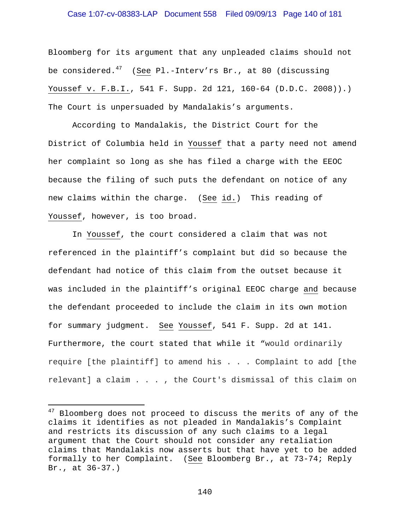### Case 1:07-cv-08383-LAP Document 558 Filed 09/09/13 Page 140 of 181

Bloomberg for its argument that any unpleaded claims should not be considered.<sup>47</sup> (See Pl.-Interv'rs Br., at 80 (discussing Youssef v. F.B.I., 541 F. Supp. 2d 121, 160-64 (D.D.C. 2008)).) The Court is unpersuaded by Mandalakis's arguments.

 According to Mandalakis, the District Court for the District of Columbia held in Youssef that a party need not amend her complaint so long as she has filed a charge with the EEOC because the filing of such puts the defendant on notice of any new claims within the charge. (See id.) This reading of Youssef, however, is too broad.

In Youssef, the court considered a claim that was not referenced in the plaintiff's complaint but did so because the defendant had notice of this claim from the outset because it was included in the plaintiff's original EEOC charge and because the defendant proceeded to include the claim in its own motion for summary judgment. See Youssef, 541 F. Supp. 2d at 141. Furthermore, the court stated that while it "would ordinarily require [the plaintiff] to amend his . . . Complaint to add [the relevant] a claim . . . , the Court's dismissal of this claim on

i

<sup>&</sup>lt;sup>47</sup> Bloomberg does not proceed to discuss the merits of any of the claims it identifies as not pleaded in Mandalakis's Complaint and restricts its discussion of any such claims to a legal argument that the Court should not consider any retaliation claims that Mandalakis now asserts but that have yet to be added formally to her Complaint. (See Bloomberg Br., at 73-74; Reply Br., at 36-37.)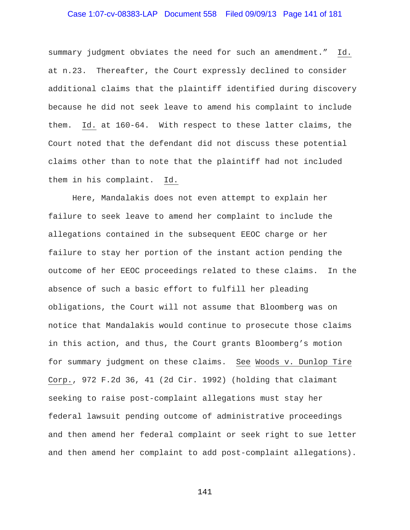### Case 1:07-cv-08383-LAP Document 558 Filed 09/09/13 Page 141 of 181

summary judgment obviates the need for such an amendment." Id. at n.23. Thereafter, the Court expressly declined to consider additional claims that the plaintiff identified during discovery because he did not seek leave to amend his complaint to include them. Id. at 160-64. With respect to these latter claims, the Court noted that the defendant did not discuss these potential claims other than to note that the plaintiff had not included them in his complaint. Id.

Here, Mandalakis does not even attempt to explain her failure to seek leave to amend her complaint to include the allegations contained in the subsequent EEOC charge or her failure to stay her portion of the instant action pending the outcome of her EEOC proceedings related to these claims. In the absence of such a basic effort to fulfill her pleading obligations, the Court will not assume that Bloomberg was on notice that Mandalakis would continue to prosecute those claims in this action, and thus, the Court grants Bloomberg's motion for summary judgment on these claims. See Woods v. Dunlop Tire Corp., 972 F.2d 36, 41 (2d Cir. 1992) (holding that claimant seeking to raise post-complaint allegations must stay her federal lawsuit pending outcome of administrative proceedings and then amend her federal complaint or seek right to sue letter and then amend her complaint to add post-complaint allegations).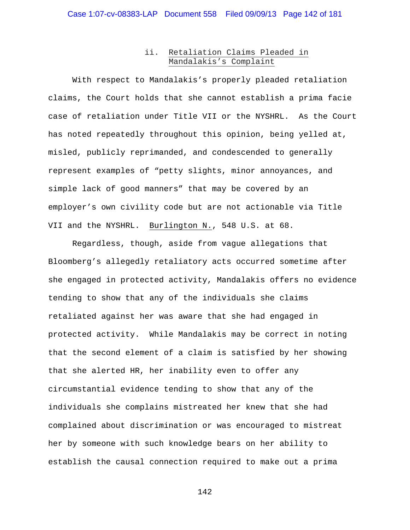### ii. Retaliation Claims Pleaded in Mandalakis's Complaint

 With respect to Mandalakis's properly pleaded retaliation claims, the Court holds that she cannot establish a prima facie case of retaliation under Title VII or the NYSHRL. As the Court has noted repeatedly throughout this opinion, being yelled at, misled, publicly reprimanded, and condescended to generally represent examples of "petty slights, minor annoyances, and simple lack of good manners" that may be covered by an employer's own civility code but are not actionable via Title VII and the NYSHRL. Burlington N., 548 U.S. at 68.

 Regardless, though, aside from vague allegations that Bloomberg's allegedly retaliatory acts occurred sometime after she engaged in protected activity, Mandalakis offers no evidence tending to show that any of the individuals she claims retaliated against her was aware that she had engaged in protected activity. While Mandalakis may be correct in noting that the second element of a claim is satisfied by her showing that she alerted HR, her inability even to offer any circumstantial evidence tending to show that any of the individuals she complains mistreated her knew that she had complained about discrimination or was encouraged to mistreat her by someone with such knowledge bears on her ability to establish the causal connection required to make out a prima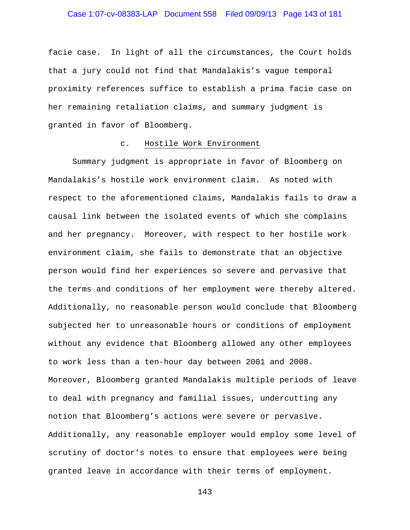# Case 1:07-cv-08383-LAP Document 558 Filed 09/09/13 Page 143 of 181

facie case. In light of all the circumstances, the Court holds that a jury could not find that Mandalakis's vague temporal proximity references suffice to establish a prima facie case on her remaining retaliation claims, and summary judgment is granted in favor of Bloomberg.

#### c. Hostile Work Environment

Summary judgment is appropriate in favor of Bloomberg on Mandalakis's hostile work environment claim. As noted with respect to the aforementioned claims, Mandalakis fails to draw a causal link between the isolated events of which she complains and her pregnancy. Moreover, with respect to her hostile work environment claim, she fails to demonstrate that an objective person would find her experiences so severe and pervasive that the terms and conditions of her employment were thereby altered. Additionally, no reasonable person would conclude that Bloomberg subjected her to unreasonable hours or conditions of employment without any evidence that Bloomberg allowed any other employees to work less than a ten-hour day between 2001 and 2008. Moreover, Bloomberg granted Mandalakis multiple periods of leave to deal with pregnancy and familial issues, undercutting any notion that Bloomberg's actions were severe or pervasive. Additionally, any reasonable employer would employ some level of scrutiny of doctor's notes to ensure that employees were being granted leave in accordance with their terms of employment.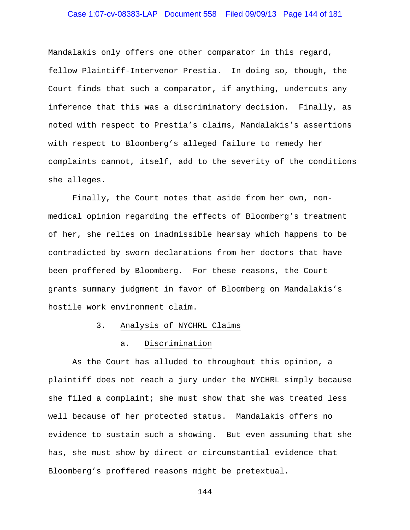# Case 1:07-cv-08383-LAP Document 558 Filed 09/09/13 Page 144 of 181

Mandalakis only offers one other comparator in this regard, fellow Plaintiff-Intervenor Prestia. In doing so, though, the Court finds that such a comparator, if anything, undercuts any inference that this was a discriminatory decision. Finally, as noted with respect to Prestia's claims, Mandalakis's assertions with respect to Bloomberg's alleged failure to remedy her complaints cannot, itself, add to the severity of the conditions she alleges.

Finally, the Court notes that aside from her own, nonmedical opinion regarding the effects of Bloomberg's treatment of her, she relies on inadmissible hearsay which happens to be contradicted by sworn declarations from her doctors that have been proffered by Bloomberg. For these reasons, the Court grants summary judgment in favor of Bloomberg on Mandalakis's hostile work environment claim.

#### 3. Analysis of NYCHRL Claims

### a. Discrimination

As the Court has alluded to throughout this opinion, a plaintiff does not reach a jury under the NYCHRL simply because she filed a complaint; she must show that she was treated less well because of her protected status. Mandalakis offers no evidence to sustain such a showing. But even assuming that she has, she must show by direct or circumstantial evidence that Bloomberg's proffered reasons might be pretextual.

```
144
```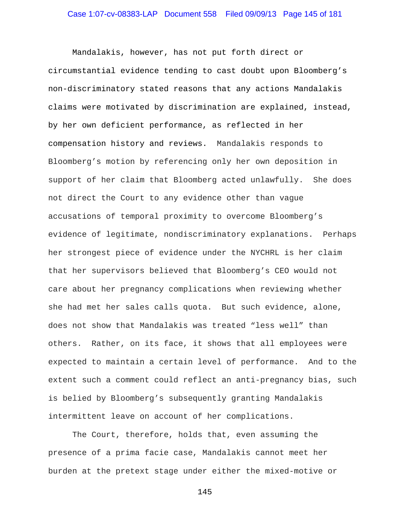Mandalakis, however, has not put forth direct or circumstantial evidence tending to cast doubt upon Bloomberg's non-discriminatory stated reasons that any actions Mandalakis claims were motivated by discrimination are explained, instead, by her own deficient performance, as reflected in her compensation history and reviews. Mandalakis responds to Bloomberg's motion by referencing only her own deposition in support of her claim that Bloomberg acted unlawfully. She does not direct the Court to any evidence other than vague accusations of temporal proximity to overcome Bloomberg's evidence of legitimate, nondiscriminatory explanations. Perhaps her strongest piece of evidence under the NYCHRL is her claim that her supervisors believed that Bloomberg's CEO would not care about her pregnancy complications when reviewing whether she had met her sales calls quota. But such evidence, alone, does not show that Mandalakis was treated "less well" than others. Rather, on its face, it shows that all employees were expected to maintain a certain level of performance. And to the extent such a comment could reflect an anti-pregnancy bias, such is belied by Bloomberg's subsequently granting Mandalakis intermittent leave on account of her complications.

The Court, therefore, holds that, even assuming the presence of a prima facie case, Mandalakis cannot meet her burden at the pretext stage under either the mixed-motive or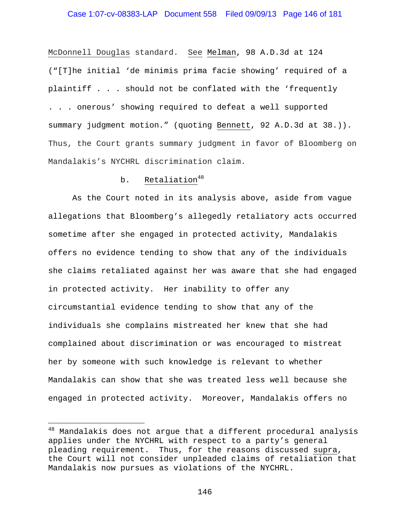### Case 1:07-cv-08383-LAP Document 558 Filed 09/09/13 Page 146 of 181

McDonnell Douglas standard. See Melman, 98 A.D.3d at 124 ("[T]he initial 'de minimis prima facie showing' required of a plaintiff . . . should not be conflated with the 'frequently . . . onerous' showing required to defeat a well supported summary judgment motion." (quoting Bennett, 92 A.D.3d at 38.)). Thus, the Court grants summary judgment in favor of Bloomberg on Mandalakis's NYCHRL discrimination claim.

### b. Retaliation $48$

As the Court noted in its analysis above, aside from vague allegations that Bloomberg's allegedly retaliatory acts occurred sometime after she engaged in protected activity, Mandalakis offers no evidence tending to show that any of the individuals she claims retaliated against her was aware that she had engaged in protected activity. Her inability to offer any circumstantial evidence tending to show that any of the individuals she complains mistreated her knew that she had complained about discrimination or was encouraged to mistreat her by someone with such knowledge is relevant to whether Mandalakis can show that she was treated less well because she engaged in protected activity. Moreover, Mandalakis offers no

i<br>Li

 $^{48}$  Mandalakis does not argue that a different procedural analysis applies under the NYCHRL with respect to a party's general pleading requirement. Thus, for the reasons discussed supra, the Court will not consider unpleaded claims of retaliation that Mandalakis now pursues as violations of the NYCHRL.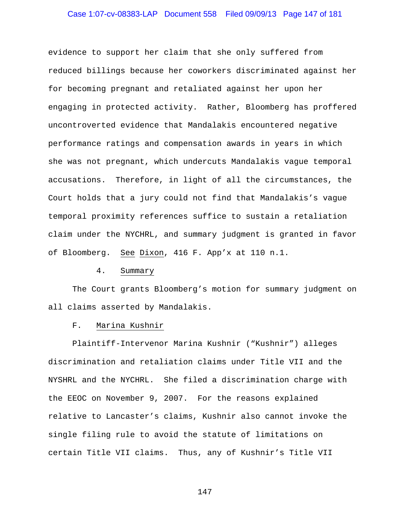# Case 1:07-cv-08383-LAP Document 558 Filed 09/09/13 Page 147 of 181

evidence to support her claim that she only suffered from reduced billings because her coworkers discriminated against her for becoming pregnant and retaliated against her upon her engaging in protected activity. Rather, Bloomberg has proffered uncontroverted evidence that Mandalakis encountered negative performance ratings and compensation awards in years in which she was not pregnant, which undercuts Mandalakis vague temporal accusations. Therefore, in light of all the circumstances, the Court holds that a jury could not find that Mandalakis's vague temporal proximity references suffice to sustain a retaliation claim under the NYCHRL, and summary judgment is granted in favor of Bloomberg. See Dixon, 416 F. App'x at 110 n.1.

#### 4. Summary

The Court grants Bloomberg's motion for summary judgment on all claims asserted by Mandalakis.

#### F. Marina Kushnir

 Plaintiff-Intervenor Marina Kushnir ("Kushnir") alleges discrimination and retaliation claims under Title VII and the NYSHRL and the NYCHRL. She filed a discrimination charge with the EEOC on November 9, 2007. For the reasons explained relative to Lancaster's claims, Kushnir also cannot invoke the single filing rule to avoid the statute of limitations on certain Title VII claims. Thus, any of Kushnir's Title VII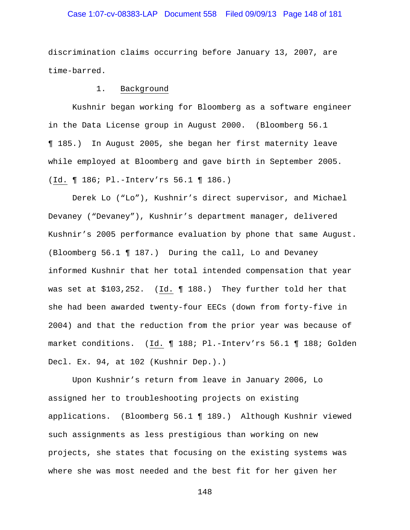# Case 1:07-cv-08383-LAP Document 558 Filed 09/09/13 Page 148 of 181

discrimination claims occurring before January 13, 2007, are time-barred.

### 1. Background

 Kushnir began working for Bloomberg as a software engineer in the Data License group in August 2000. (Bloomberg 56.1 ¶ 185.) In August 2005, she began her first maternity leave while employed at Bloomberg and gave birth in September 2005. (Id. ¶ 186; Pl.-Interv'rs 56.1 ¶ 186.)

Derek Lo ("Lo"), Kushnir's direct supervisor, and Michael Devaney ("Devaney"), Kushnir's department manager, delivered Kushnir's 2005 performance evaluation by phone that same August. (Bloomberg 56.1 ¶ 187.) During the call, Lo and Devaney informed Kushnir that her total intended compensation that year was set at \$103,252. (Id. ¶ 188.) They further told her that she had been awarded twenty-four EECs (down from forty-five in 2004) and that the reduction from the prior year was because of market conditions. (Id. ¶ 188; Pl.-Interv'rs 56.1 ¶ 188; Golden Decl. Ex. 94, at 102 (Kushnir Dep.).)

Upon Kushnir's return from leave in January 2006, Lo assigned her to troubleshooting projects on existing applications. (Bloomberg 56.1 ¶ 189.) Although Kushnir viewed such assignments as less prestigious than working on new projects, she states that focusing on the existing systems was where she was most needed and the best fit for her given her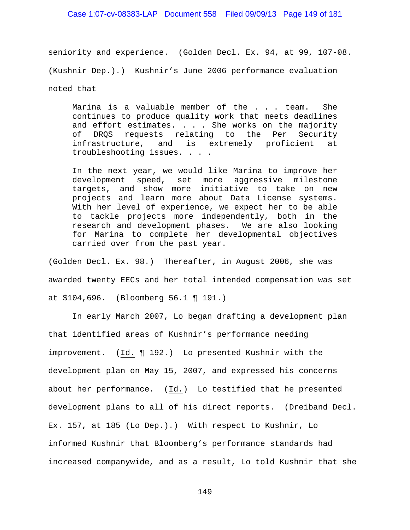### Case 1:07-cv-08383-LAP Document 558 Filed 09/09/13 Page 149 of 181

seniority and experience. (Golden Decl. Ex. 94, at 99, 107-08. (Kushnir Dep.).) Kushnir's June 2006 performance evaluation noted that

Marina is a valuable member of the . . . team. She continues to produce quality work that meets deadlines and effort estimates. . . . She works on the majority of DRQS requests relating to the Per Security infrastructure, and is extremely proficient at troubleshooting issues. . . .

In the next year, we would like Marina to improve her development speed, set more aggressive milestone targets, and show more initiative to take on new projects and learn more about Data License systems. With her level of experience, we expect her to be able to tackle projects more independently, both in the research and development phases. We are also looking for Marina to complete her developmental objectives carried over from the past year.

(Golden Decl. Ex. 98.) Thereafter, in August 2006, she was awarded twenty EECs and her total intended compensation was set at \$104,696. (Bloomberg 56.1 ¶ 191.)

In early March 2007, Lo began drafting a development plan that identified areas of Kushnir's performance needing improvement. (Id. ¶ 192.) Lo presented Kushnir with the development plan on May 15, 2007, and expressed his concerns about her performance. (Id.) Lo testified that he presented development plans to all of his direct reports. (Dreiband Decl. Ex. 157, at 185 (Lo Dep.).) With respect to Kushnir, Lo informed Kushnir that Bloomberg's performance standards had increased companywide, and as a result, Lo told Kushnir that she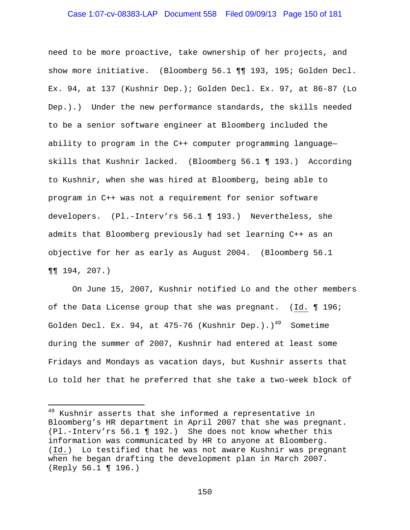### Case 1:07-cv-08383-LAP Document 558 Filed 09/09/13 Page 150 of 181

need to be more proactive, take ownership of her projects, and show more initiative. (Bloomberg 56.1 ¶¶ 193, 195; Golden Decl. Ex. 94, at 137 (Kushnir Dep.); Golden Decl. Ex. 97, at 86-87 (Lo Dep.).) Under the new performance standards, the skills needed to be a senior software engineer at Bloomberg included the ability to program in the C++ computer programming language skills that Kushnir lacked. (Bloomberg 56.1 ¶ 193.) According to Kushnir, when she was hired at Bloomberg, being able to program in C++ was not a requirement for senior software developers. (Pl.-Interv'rs 56.1 ¶ 193.) Nevertheless, she admits that Bloomberg previously had set learning C++ as an objective for her as early as August 2004. (Bloomberg 56.1 ¶¶ 194, 207.)

On June 15, 2007, Kushnir notified Lo and the other members of the Data License group that she was pregnant. (Id. ¶ 196; Golden Decl. Ex. 94, at 475-76 (Kushnir Dep.).)<sup>49</sup> Sometime during the summer of 2007, Kushnir had entered at least some Fridays and Mondays as vacation days, but Kushnir asserts that Lo told her that he preferred that she take a two-week block of

i

<sup>&</sup>lt;sup>49</sup> Kushnir asserts that she informed a representative in Bloomberg's HR department in April 2007 that she was pregnant. (Pl.-Interv'rs 56.1 ¶ 192.) She does not know whether this information was communicated by HR to anyone at Bloomberg. (Id.) Lo testified that he was not aware Kushnir was pregnant when he began drafting the development plan in March 2007. (Reply 56.1 ¶ 196.)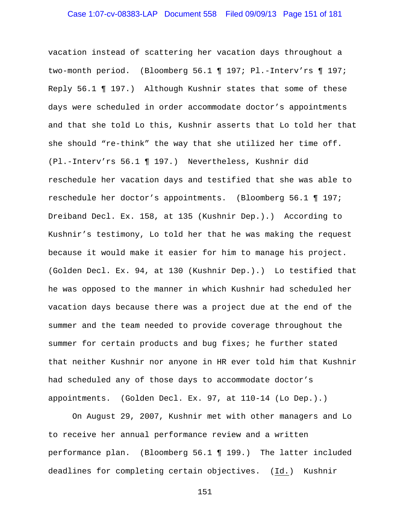# Case 1:07-cv-08383-LAP Document 558 Filed 09/09/13 Page 151 of 181

vacation instead of scattering her vacation days throughout a two-month period. (Bloomberg 56.1 ¶ 197; Pl.-Interv'rs ¶ 197; Reply 56.1 ¶ 197.) Although Kushnir states that some of these days were scheduled in order accommodate doctor's appointments and that she told Lo this, Kushnir asserts that Lo told her that she should "re-think" the way that she utilized her time off. (Pl.-Interv'rs 56.1 ¶ 197.) Nevertheless, Kushnir did reschedule her vacation days and testified that she was able to reschedule her doctor's appointments. (Bloomberg 56.1 ¶ 197; Dreiband Decl. Ex. 158, at 135 (Kushnir Dep.).) According to Kushnir's testimony, Lo told her that he was making the request because it would make it easier for him to manage his project. (Golden Decl. Ex. 94, at 130 (Kushnir Dep.).) Lo testified that he was opposed to the manner in which Kushnir had scheduled her vacation days because there was a project due at the end of the summer and the team needed to provide coverage throughout the summer for certain products and bug fixes; he further stated that neither Kushnir nor anyone in HR ever told him that Kushnir had scheduled any of those days to accommodate doctor's appointments. (Golden Decl. Ex. 97, at 110-14 (Lo Dep.).)

On August 29, 2007, Kushnir met with other managers and Lo to receive her annual performance review and a written performance plan. (Bloomberg 56.1 ¶ 199.) The latter included deadlines for completing certain objectives. (Id.) Kushnir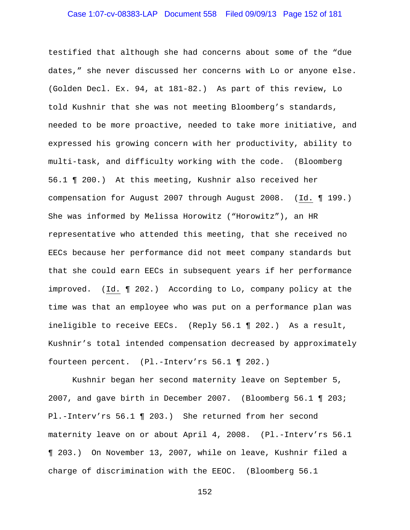# Case 1:07-cv-08383-LAP Document 558 Filed 09/09/13 Page 152 of 181

testified that although she had concerns about some of the "due dates," she never discussed her concerns with Lo or anyone else. (Golden Decl. Ex. 94, at 181-82.) As part of this review, Lo told Kushnir that she was not meeting Bloomberg's standards, needed to be more proactive, needed to take more initiative, and expressed his growing concern with her productivity, ability to multi-task, and difficulty working with the code. (Bloomberg 56.1 ¶ 200.) At this meeting, Kushnir also received her compensation for August 2007 through August 2008. (Id. ¶ 199.) She was informed by Melissa Horowitz ("Horowitz"), an HR representative who attended this meeting, that she received no EECs because her performance did not meet company standards but that she could earn EECs in subsequent years if her performance improved. (Id. ¶ 202.) According to Lo, company policy at the time was that an employee who was put on a performance plan was ineligible to receive EECs. (Reply 56.1 ¶ 202.) As a result, Kushnir's total intended compensation decreased by approximately fourteen percent. (Pl.-Interv'rs 56.1 ¶ 202.)

Kushnir began her second maternity leave on September 5, 2007, and gave birth in December 2007. (Bloomberg 56.1 ¶ 203; Pl.-Interv'rs 56.1 ¶ 203.) She returned from her second maternity leave on or about April 4, 2008. (Pl.-Interv'rs 56.1 ¶ 203.) On November 13, 2007, while on leave, Kushnir filed a charge of discrimination with the EEOC. (Bloomberg 56.1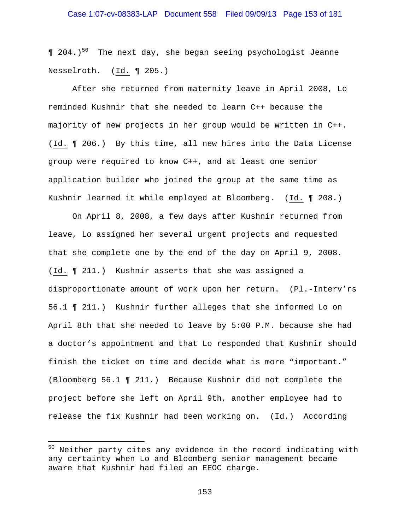$\llceil$  204.)<sup>50</sup> The next day, she began seeing psychologist Jeanne Nesselroth. (Id. ¶ 205.)

After she returned from maternity leave in April 2008, Lo reminded Kushnir that she needed to learn C++ because the majority of new projects in her group would be written in C++. (Id. ¶ 206.) By this time, all new hires into the Data License group were required to know C++, and at least one senior application builder who joined the group at the same time as Kushnir learned it while employed at Bloomberg. (Id. ¶ 208.)

On April 8, 2008, a few days after Kushnir returned from leave, Lo assigned her several urgent projects and requested that she complete one by the end of the day on April 9, 2008. (Id. ¶ 211.) Kushnir asserts that she was assigned a disproportionate amount of work upon her return. (Pl.-Interv'rs 56.1 ¶ 211.) Kushnir further alleges that she informed Lo on April 8th that she needed to leave by 5:00 P.M. because she had a doctor's appointment and that Lo responded that Kushnir should finish the ticket on time and decide what is more "important." (Bloomberg 56.1 ¶ 211.) Because Kushnir did not complete the project before she left on April 9th, another employee had to release the fix Kushnir had been working on. (Id.) According

i

<sup>&</sup>lt;sup>50</sup> Neither party cites any evidence in the record indicating with any certainty when Lo and Bloomberg senior management became aware that Kushnir had filed an EEOC charge.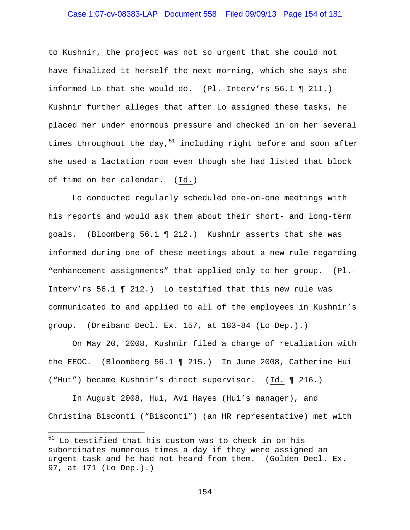# Case 1:07-cv-08383-LAP Document 558 Filed 09/09/13 Page 154 of 181

to Kushnir, the project was not so urgent that she could not have finalized it herself the next morning, which she says she informed Lo that she would do. (Pl.-Interv'rs 56.1 ¶ 211.) Kushnir further alleges that after Lo assigned these tasks, he placed her under enormous pressure and checked in on her several times throughout the day,  $51$  including right before and soon after she used a lactation room even though she had listed that block of time on her calendar. (Id.)

Lo conducted regularly scheduled one-on-one meetings with his reports and would ask them about their short- and long-term goals. (Bloomberg 56.1 ¶ 212.) Kushnir asserts that she was informed during one of these meetings about a new rule regarding "enhancement assignments" that applied only to her group. (Pl.- Interv'rs 56.1 ¶ 212.) Lo testified that this new rule was communicated to and applied to all of the employees in Kushnir's group. (Dreiband Decl. Ex. 157, at 183-84 (Lo Dep.).)

On May 20, 2008, Kushnir filed a charge of retaliation with the EEOC. (Bloomberg 56.1 ¶ 215.) In June 2008, Catherine Hui ("Hui") became Kushnir's direct supervisor. (Id. ¶ 216.)

In August 2008, Hui, Avi Hayes (Hui's manager), and Christina Bisconti ("Bisconti") (an HR representative) met with

i<br>Li

<sup>&</sup>lt;sup>51</sup> Lo testified that his custom was to check in on his subordinates numerous times a day if they were assigned an urgent task and he had not heard from them. (Golden Decl. Ex. 97, at 171 (Lo Dep.).)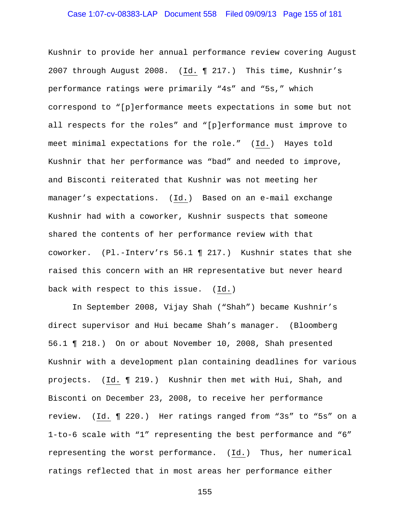# Case 1:07-cv-08383-LAP Document 558 Filed 09/09/13 Page 155 of 181

Kushnir to provide her annual performance review covering August 2007 through August 2008. (Id. ¶ 217.) This time, Kushnir's performance ratings were primarily "4s" and "5s," which correspond to "[p]erformance meets expectations in some but not all respects for the roles" and "[p]erformance must improve to meet minimal expectations for the role." (Id.) Hayes told Kushnir that her performance was "bad" and needed to improve, and Bisconti reiterated that Kushnir was not meeting her manager's expectations. (Id.) Based on an e-mail exchange Kushnir had with a coworker, Kushnir suspects that someone shared the contents of her performance review with that coworker. (Pl.-Interv'rs 56.1 ¶ 217.) Kushnir states that she raised this concern with an HR representative but never heard back with respect to this issue. (Id.)

In September 2008, Vijay Shah ("Shah") became Kushnir's direct supervisor and Hui became Shah's manager. (Bloomberg 56.1 ¶ 218.) On or about November 10, 2008, Shah presented Kushnir with a development plan containing deadlines for various projects. (Id. ¶ 219.) Kushnir then met with Hui, Shah, and Bisconti on December 23, 2008, to receive her performance review. (Id. ¶ 220.) Her ratings ranged from "3s" to "5s" on a 1-to-6 scale with "1" representing the best performance and "6" representing the worst performance. (Id.) Thus, her numerical ratings reflected that in most areas her performance either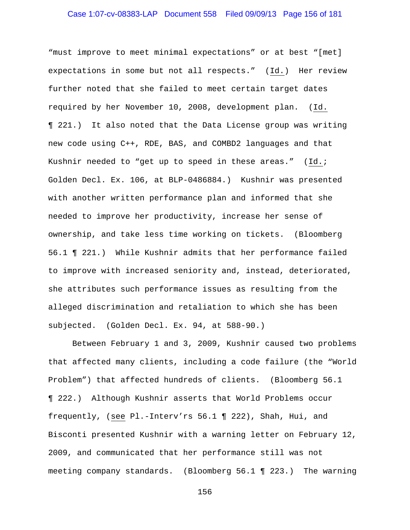# Case 1:07-cv-08383-LAP Document 558 Filed 09/09/13 Page 156 of 181

"must improve to meet minimal expectations" or at best "[met] expectations in some but not all respects." (Id.) Her review further noted that she failed to meet certain target dates required by her November 10, 2008, development plan. (Id. ¶ 221.) It also noted that the Data License group was writing new code using C++, RDE, BAS, and COMBD2 languages and that Kushnir needed to "get up to speed in these areas." (Id.; Golden Decl. Ex. 106, at BLP-0486884.) Kushnir was presented with another written performance plan and informed that she needed to improve her productivity, increase her sense of ownership, and take less time working on tickets. (Bloomberg 56.1 ¶ 221.) While Kushnir admits that her performance failed to improve with increased seniority and, instead, deteriorated, she attributes such performance issues as resulting from the alleged discrimination and retaliation to which she has been subjected. (Golden Decl. Ex. 94, at 588-90.)

Between February 1 and 3, 2009, Kushnir caused two problems that affected many clients, including a code failure (the "World Problem") that affected hundreds of clients. (Bloomberg 56.1 ¶ 222.) Although Kushnir asserts that World Problems occur frequently, (see Pl.-Interv'rs 56.1 ¶ 222), Shah, Hui, and Bisconti presented Kushnir with a warning letter on February 12, 2009, and communicated that her performance still was not meeting company standards. (Bloomberg 56.1 ¶ 223.) The warning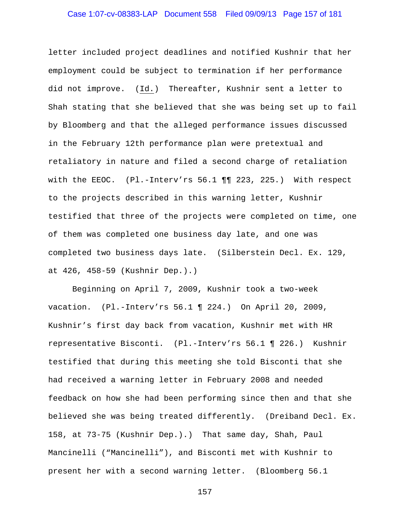# Case 1:07-cv-08383-LAP Document 558 Filed 09/09/13 Page 157 of 181

letter included project deadlines and notified Kushnir that her employment could be subject to termination if her performance did not improve. (Id.) Thereafter, Kushnir sent a letter to Shah stating that she believed that she was being set up to fail by Bloomberg and that the alleged performance issues discussed in the February 12th performance plan were pretextual and retaliatory in nature and filed a second charge of retaliation with the EEOC. (Pl.-Interv'rs 56.1 ¶¶ 223, 225.) With respect to the projects described in this warning letter, Kushnir testified that three of the projects were completed on time, one of them was completed one business day late, and one was completed two business days late. (Silberstein Decl. Ex. 129, at 426, 458-59 (Kushnir Dep.).)

Beginning on April 7, 2009, Kushnir took a two-week vacation. (Pl.-Interv'rs 56.1 ¶ 224.) On April 20, 2009, Kushnir's first day back from vacation, Kushnir met with HR representative Bisconti. (Pl.-Interv'rs 56.1 ¶ 226.) Kushnir testified that during this meeting she told Bisconti that she had received a warning letter in February 2008 and needed feedback on how she had been performing since then and that she believed she was being treated differently. (Dreiband Decl. Ex. 158, at 73-75 (Kushnir Dep.).) That same day, Shah, Paul Mancinelli ("Mancinelli"), and Bisconti met with Kushnir to present her with a second warning letter. (Bloomberg 56.1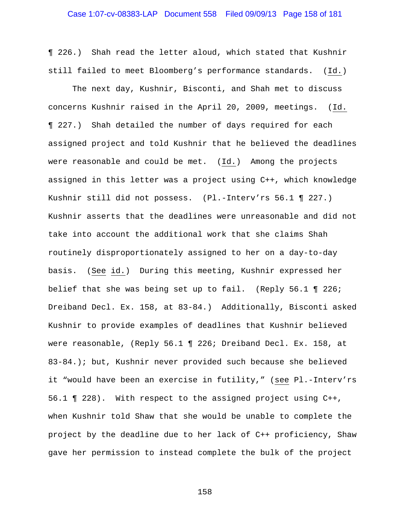¶ 226.) Shah read the letter aloud, which stated that Kushnir still failed to meet Bloomberg's performance standards. (Id.)

The next day, Kushnir, Bisconti, and Shah met to discuss concerns Kushnir raised in the April 20, 2009, meetings. (Id. ¶ 227.) Shah detailed the number of days required for each assigned project and told Kushnir that he believed the deadlines were reasonable and could be met. (Id.) Among the projects assigned in this letter was a project using C++, which knowledge Kushnir still did not possess. (Pl.-Interv'rs 56.1 ¶ 227.) Kushnir asserts that the deadlines were unreasonable and did not take into account the additional work that she claims Shah routinely disproportionately assigned to her on a day-to-day basis. (See id.) During this meeting, Kushnir expressed her belief that she was being set up to fail. (Reply 56.1 ¶ 226; Dreiband Decl. Ex. 158, at 83-84.) Additionally, Bisconti asked Kushnir to provide examples of deadlines that Kushnir believed were reasonable, (Reply 56.1 ¶ 226; Dreiband Decl. Ex. 158, at 83-84.); but, Kushnir never provided such because she believed it "would have been an exercise in futility," (see Pl.-Interv'rs 56.1 ¶ 228). With respect to the assigned project using C++, when Kushnir told Shaw that she would be unable to complete the project by the deadline due to her lack of C++ proficiency, Shaw gave her permission to instead complete the bulk of the project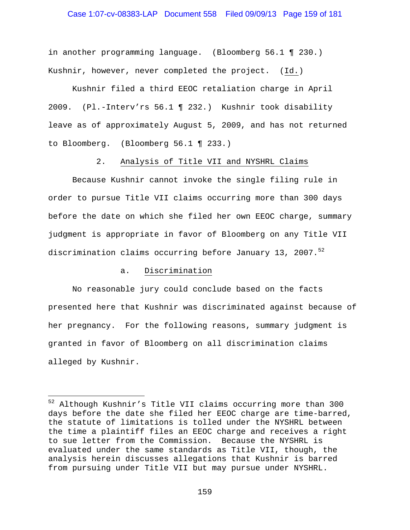### Case 1:07-cv-08383-LAP Document 558 Filed 09/09/13 Page 159 of 181

in another programming language. (Bloomberg 56.1 ¶ 230.) Kushnir, however, never completed the project. (Id.)

Kushnir filed a third EEOC retaliation charge in April 2009. (Pl.-Interv'rs 56.1 ¶ 232.) Kushnir took disability leave as of approximately August 5, 2009, and has not returned to Bloomberg. (Bloomberg 56.1 ¶ 233.)

2. Analysis of Title VII and NYSHRL Claims

Because Kushnir cannot invoke the single filing rule in order to pursue Title VII claims occurring more than 300 days before the date on which she filed her own EEOC charge, summary judgment is appropriate in favor of Bloomberg on any Title VII discrimination claims occurring before January 13, 2007. $5^2$ 

### a. Discrimination

i<br>Li

 No reasonable jury could conclude based on the facts presented here that Kushnir was discriminated against because of her pregnancy. For the following reasons, summary judgment is granted in favor of Bloomberg on all discrimination claims alleged by Kushnir.

<sup>&</sup>lt;sup>52</sup> Although Kushnir's Title VII claims occurring more than 300 days before the date she filed her EEOC charge are time-barred, the statute of limitations is tolled under the NYSHRL between the time a plaintiff files an EEOC charge and receives a right to sue letter from the Commission. Because the NYSHRL is evaluated under the same standards as Title VII, though, the analysis herein discusses allegations that Kushnir is barred from pursuing under Title VII but may pursue under NYSHRL.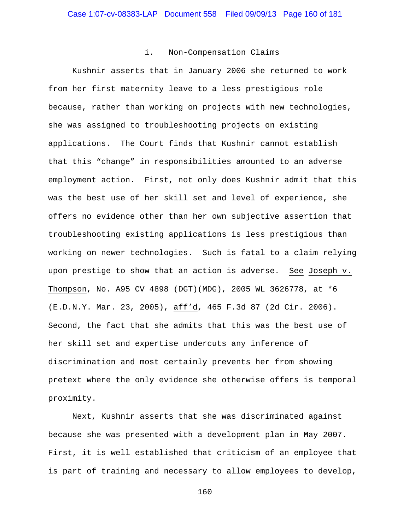#### i. Non-Compensation Claims

 Kushnir asserts that in January 2006 she returned to work from her first maternity leave to a less prestigious role because, rather than working on projects with new technologies, she was assigned to troubleshooting projects on existing applications. The Court finds that Kushnir cannot establish that this "change" in responsibilities amounted to an adverse employment action. First, not only does Kushnir admit that this was the best use of her skill set and level of experience, she offers no evidence other than her own subjective assertion that troubleshooting existing applications is less prestigious than working on newer technologies. Such is fatal to a claim relying upon prestige to show that an action is adverse. See Joseph v. Thompson, No. A95 CV 4898 (DGT)(MDG), 2005 WL 3626778, at \*6 (E.D.N.Y. Mar. 23, 2005), aff'd, 465 F.3d 87 (2d Cir. 2006). Second, the fact that she admits that this was the best use of her skill set and expertise undercuts any inference of discrimination and most certainly prevents her from showing pretext where the only evidence she otherwise offers is temporal proximity.

 Next, Kushnir asserts that she was discriminated against because she was presented with a development plan in May 2007. First, it is well established that criticism of an employee that is part of training and necessary to allow employees to develop,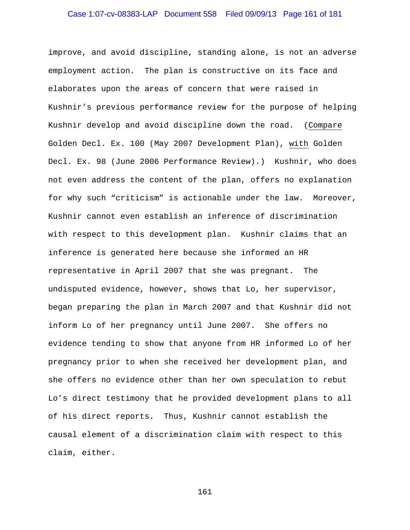# Case 1:07-cv-08383-LAP Document 558 Filed 09/09/13 Page 161 of 181

improve, and avoid discipline, standing alone, is not an adverse employment action. The plan is constructive on its face and elaborates upon the areas of concern that were raised in Kushnir's previous performance review for the purpose of helping Kushnir develop and avoid discipline down the road. (Compare Golden Decl. Ex. 100 (May 2007 Development Plan), with Golden Decl. Ex. 98 (June 2006 Performance Review).) Kushnir, who does not even address the content of the plan, offers no explanation for why such "criticism" is actionable under the law. Moreover, Kushnir cannot even establish an inference of discrimination with respect to this development plan. Kushnir claims that an inference is generated here because she informed an HR representative in April 2007 that she was pregnant. The undisputed evidence, however, shows that Lo, her supervisor, began preparing the plan in March 2007 and that Kushnir did not inform Lo of her pregnancy until June 2007. She offers no evidence tending to show that anyone from HR informed Lo of her pregnancy prior to when she received her development plan, and she offers no evidence other than her own speculation to rebut Lo's direct testimony that he provided development plans to all of his direct reports. Thus, Kushnir cannot establish the causal element of a discrimination claim with respect to this claim, either.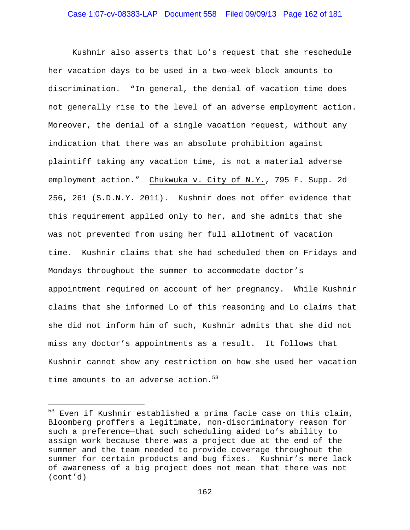Kushnir also asserts that Lo's request that she reschedule her vacation days to be used in a two-week block amounts to discrimination. "In general, the denial of vacation time does not generally rise to the level of an adverse employment action. Moreover, the denial of a single vacation request, without any indication that there was an absolute prohibition against plaintiff taking any vacation time, is not a material adverse employment action." Chukwuka v. City of N.Y., 795 F. Supp. 2d 256, 261 (S.D.N.Y. 2011). Kushnir does not offer evidence that this requirement applied only to her, and she admits that she was not prevented from using her full allotment of vacation time. Kushnir claims that she had scheduled them on Fridays and Mondays throughout the summer to accommodate doctor's appointment required on account of her pregnancy. While Kushnir claims that she informed Lo of this reasoning and Lo claims that she did not inform him of such, Kushnir admits that she did not miss any doctor's appointments as a result. It follows that Kushnir cannot show any restriction on how she used her vacation time amounts to an adverse action.  $53$ 

 $\overline{\phantom{0}}$ 

<sup>&</sup>lt;sup>53</sup> Even if Kushnir established a prima facie case on this claim, Bloomberg proffers a legitimate, non-discriminatory reason for such a preference—that such scheduling aided Lo's ability to assign work because there was a project due at the end of the summer and the team needed to provide coverage throughout the summer for certain products and bug fixes. Kushnir's mere lack of awareness of a big project does not mean that there was not (cont'd)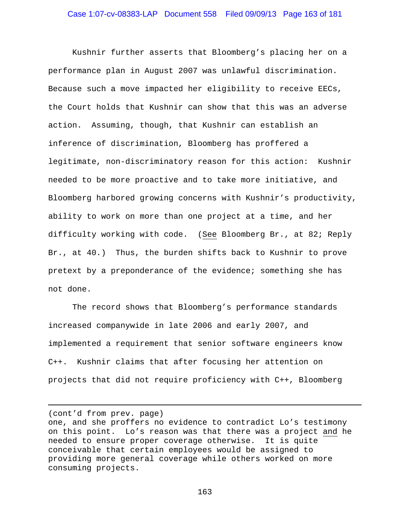Kushnir further asserts that Bloomberg's placing her on a performance plan in August 2007 was unlawful discrimination. Because such a move impacted her eligibility to receive EECs, the Court holds that Kushnir can show that this was an adverse action. Assuming, though, that Kushnir can establish an inference of discrimination, Bloomberg has proffered a legitimate, non-discriminatory reason for this action: Kushnir needed to be more proactive and to take more initiative, and Bloomberg harbored growing concerns with Kushnir's productivity, ability to work on more than one project at a time, and her difficulty working with code. (See Bloomberg Br., at 82; Reply Br., at 40.) Thus, the burden shifts back to Kushnir to prove pretext by a preponderance of the evidence; something she has not done.

 The record shows that Bloomberg's performance standards increased companywide in late 2006 and early 2007, and implemented a requirement that senior software engineers know C++. Kushnir claims that after focusing her attention on projects that did not require proficiency with C++, Bloomberg

(cont'd from prev. page)

i

one, and she proffers no evidence to contradict Lo's testimony on this point. Lo's reason was that there was a project and he needed to ensure proper coverage otherwise. It is quite conceivable that certain employees would be assigned to providing more general coverage while others worked on more consuming projects.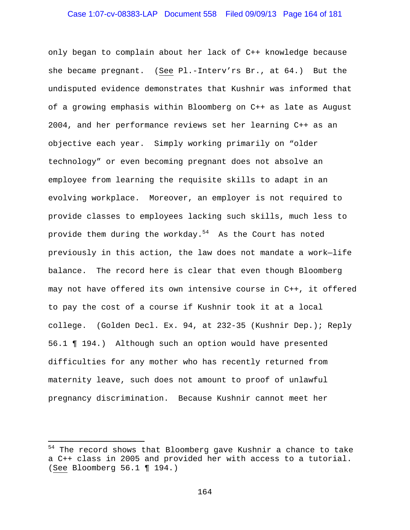# Case 1:07-cv-08383-LAP Document 558 Filed 09/09/13 Page 164 of 181

only began to complain about her lack of C++ knowledge because she became pregnant. (See Pl.-Interv'rs Br., at 64.) But the undisputed evidence demonstrates that Kushnir was informed that of a growing emphasis within Bloomberg on C++ as late as August 2004, and her performance reviews set her learning C++ as an objective each year. Simply working primarily on "older technology" or even becoming pregnant does not absolve an employee from learning the requisite skills to adapt in an evolving workplace. Moreover, an employer is not required to provide classes to employees lacking such skills, much less to provide them during the workday. $54$  As the Court has noted previously in this action, the law does not mandate a work—life balance. The record here is clear that even though Bloomberg may not have offered its own intensive course in C++, it offered to pay the cost of a course if Kushnir took it at a local college. (Golden Decl. Ex. 94, at 232-35 (Kushnir Dep.); Reply 56.1 ¶ 194.) Although such an option would have presented difficulties for any mother who has recently returned from maternity leave, such does not amount to proof of unlawful pregnancy discrimination. Because Kushnir cannot meet her

i

<sup>&</sup>lt;sup>54</sup> The record shows that Bloomberg gave Kushnir a chance to take a C++ class in 2005 and provided her with access to a tutorial. (See Bloomberg 56.1 ¶ 194.)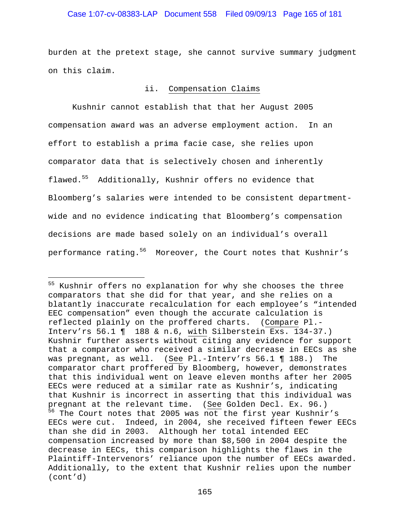### Case 1:07-cv-08383-LAP Document 558 Filed 09/09/13 Page 165 of 181

burden at the pretext stage, she cannot survive summary judgment on this claim.

### ii. Compensation Claims

 Kushnir cannot establish that that her August 2005 compensation award was an adverse employment action. In an effort to establish a prima facie case, she relies upon comparator data that is selectively chosen and inherently flawed.55 Additionally, Kushnir offers no evidence that Bloomberg's salaries were intended to be consistent departmentwide and no evidence indicating that Bloomberg's compensation decisions are made based solely on an individual's overall performance rating.<sup>56</sup> Moreover, the Court notes that Kushnir's

i<br>Li

<sup>&</sup>lt;sup>55</sup> Kushnir offers no explanation for why she chooses the three comparators that she did for that year, and she relies on a blatantly inaccurate recalculation for each employee's "intended EEC compensation" even though the accurate calculation is reflected plainly on the proffered charts. (Compare Pl.- Interv'rs 56.1 ¶ 188 & n.6, with Silberstein Exs. 134-37.) Kushnir further asserts without citing any evidence for support that a comparator who received a similar decrease in EECs as she was pregnant, as well. (See Pl.-Interv'rs 56.1 ¶ 188.) The comparator chart proffered by Bloomberg, however, demonstrates that this individual went on leave eleven months after her 2005 EECs were reduced at a similar rate as Kushnir's, indicating that Kushnir is incorrect in asserting that this individual was pregnant at the relevant time. (See Golden Decl. Ex. 96.)  $56$  The Court notes that 2005 was not the first year Kushnir's EECs were cut. Indeed, in 2004, she received fifteen fewer EECs than she did in 2003. Although her total intended EEC compensation increased by more than \$8,500 in 2004 despite the decrease in EECs, this comparison highlights the flaws in the Plaintiff-Intervenors' reliance upon the number of EECs awarded. Additionally, to the extent that Kushnir relies upon the number (cont'd)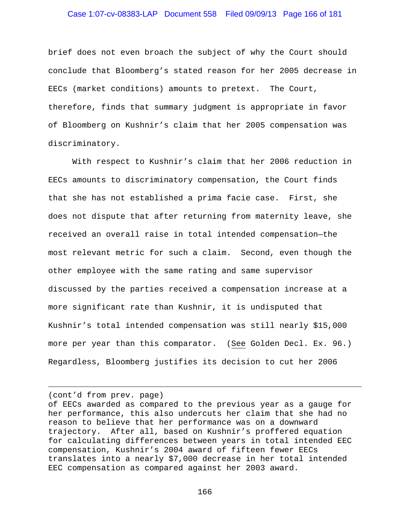### Case 1:07-cv-08383-LAP Document 558 Filed 09/09/13 Page 166 of 181

brief does not even broach the subject of why the Court should conclude that Bloomberg's stated reason for her 2005 decrease in EECs (market conditions) amounts to pretext. The Court, therefore, finds that summary judgment is appropriate in favor of Bloomberg on Kushnir's claim that her 2005 compensation was discriminatory.

 With respect to Kushnir's claim that her 2006 reduction in EECs amounts to discriminatory compensation, the Court finds that she has not established a prima facie case. First, she does not dispute that after returning from maternity leave, she received an overall raise in total intended compensation—the most relevant metric for such a claim. Second, even though the other employee with the same rating and same supervisor discussed by the parties received a compensation increase at a more significant rate than Kushnir, it is undisputed that Kushnir's total intended compensation was still nearly \$15,000 more per year than this comparator. (See Golden Decl. Ex. 96.) Regardless, Bloomberg justifies its decision to cut her 2006

(cont'd from prev. page)

i<br>Li

of EECs awarded as compared to the previous year as a gauge for her performance, this also undercuts her claim that she had no reason to believe that her performance was on a downward trajectory. After all, based on Kushnir's proffered equation for calculating differences between years in total intended EEC compensation, Kushnir's 2004 award of fifteen fewer EECs translates into a nearly \$7,000 decrease in her total intended EEC compensation as compared against her 2003 award.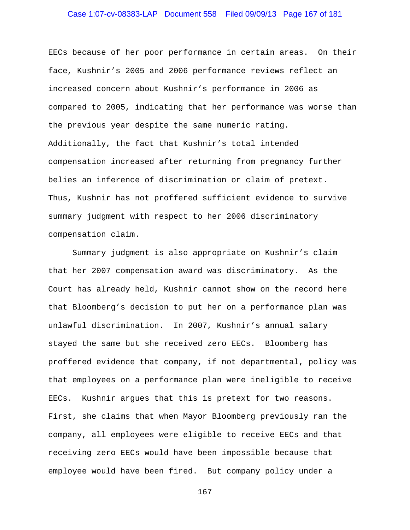# Case 1:07-cv-08383-LAP Document 558 Filed 09/09/13 Page 167 of 181

EECs because of her poor performance in certain areas. On their face, Kushnir's 2005 and 2006 performance reviews reflect an increased concern about Kushnir's performance in 2006 as compared to 2005, indicating that her performance was worse than the previous year despite the same numeric rating. Additionally, the fact that Kushnir's total intended compensation increased after returning from pregnancy further belies an inference of discrimination or claim of pretext. Thus, Kushnir has not proffered sufficient evidence to survive summary judgment with respect to her 2006 discriminatory compensation claim.

 Summary judgment is also appropriate on Kushnir's claim that her 2007 compensation award was discriminatory. As the Court has already held, Kushnir cannot show on the record here that Bloomberg's decision to put her on a performance plan was unlawful discrimination. In 2007, Kushnir's annual salary stayed the same but she received zero EECs. Bloomberg has proffered evidence that company, if not departmental, policy was that employees on a performance plan were ineligible to receive EECs. Kushnir argues that this is pretext for two reasons. First, she claims that when Mayor Bloomberg previously ran the company, all employees were eligible to receive EECs and that receiving zero EECs would have been impossible because that employee would have been fired. But company policy under a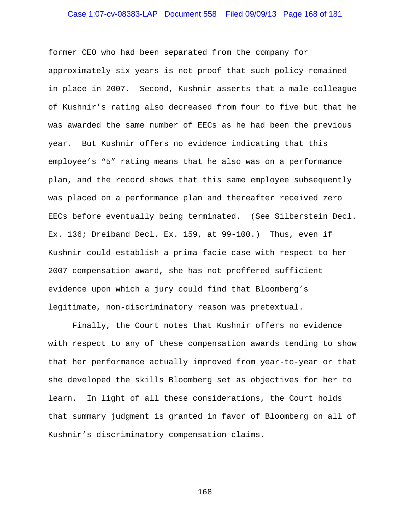# Case 1:07-cv-08383-LAP Document 558 Filed 09/09/13 Page 168 of 181

former CEO who had been separated from the company for approximately six years is not proof that such policy remained in place in 2007. Second, Kushnir asserts that a male colleague of Kushnir's rating also decreased from four to five but that he was awarded the same number of EECs as he had been the previous year. But Kushnir offers no evidence indicating that this employee's "5" rating means that he also was on a performance plan, and the record shows that this same employee subsequently was placed on a performance plan and thereafter received zero EECs before eventually being terminated. (See Silberstein Decl. Ex. 136; Dreiband Decl. Ex. 159, at 99-100.) Thus, even if Kushnir could establish a prima facie case with respect to her 2007 compensation award, she has not proffered sufficient evidence upon which a jury could find that Bloomberg's legitimate, non-discriminatory reason was pretextual.

 Finally, the Court notes that Kushnir offers no evidence with respect to any of these compensation awards tending to show that her performance actually improved from year-to-year or that she developed the skills Bloomberg set as objectives for her to learn. In light of all these considerations, the Court holds that summary judgment is granted in favor of Bloomberg on all of Kushnir's discriminatory compensation claims.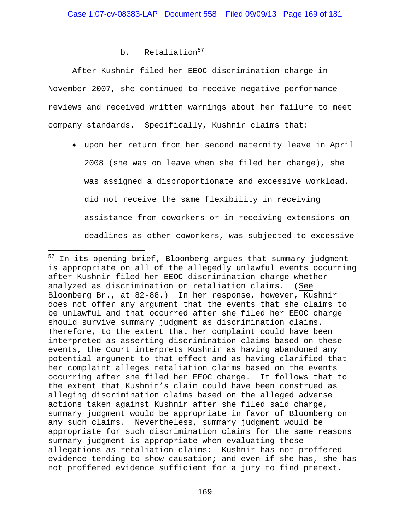# b. Retaliation<sup>57</sup>

i<br>Li

 After Kushnir filed her EEOC discrimination charge in November 2007, she continued to receive negative performance reviews and received written warnings about her failure to meet company standards. Specifically, Kushnir claims that:

 upon her return from her second maternity leave in April 2008 (she was on leave when she filed her charge), she was assigned a disproportionate and excessive workload, did not receive the same flexibility in receiving assistance from coworkers or in receiving extensions on deadlines as other coworkers, was subjected to excessive

 $57$  In its opening brief, Bloomberg argues that summary judgment is appropriate on all of the allegedly unlawful events occurring after Kushnir filed her EEOC discrimination charge whether analyzed as discrimination or retaliation claims. (See Bloomberg Br., at 82-88.) In her response, however, Kushnir does not offer any argument that the events that she claims to be unlawful and that occurred after she filed her EEOC charge should survive summary judgment as discrimination claims. Therefore, to the extent that her complaint could have been interpreted as asserting discrimination claims based on these events, the Court interprets Kushnir as having abandoned any potential argument to that effect and as having clarified that her complaint alleges retaliation claims based on the events occurring after she filed her EEOC charge. It follows that to the extent that Kushnir's claim could have been construed as alleging discrimination claims based on the alleged adverse actions taken against Kushnir after she filed said charge, summary judgment would be appropriate in favor of Bloomberg on any such claims. Nevertheless, summary judgment would be appropriate for such discrimination claims for the same reasons summary judgment is appropriate when evaluating these allegations as retaliation claims: Kushnir has not proffered evidence tending to show causation; and even if she has, she has not proffered evidence sufficient for a jury to find pretext.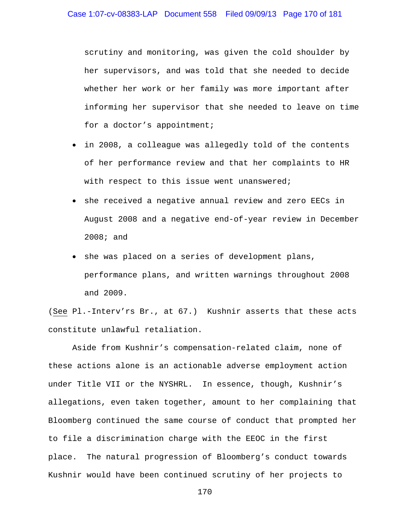scrutiny and monitoring, was given the cold shoulder by her supervisors, and was told that she needed to decide whether her work or her family was more important after informing her supervisor that she needed to leave on time for a doctor's appointment;

- in 2008, a colleague was allegedly told of the contents of her performance review and that her complaints to HR with respect to this issue went unanswered;
- she received a negative annual review and zero EECs in August 2008 and a negative end-of-year review in December 2008; and
- she was placed on a series of development plans, performance plans, and written warnings throughout 2008 and 2009.

(See Pl.-Interv'rs Br., at 67.) Kushnir asserts that these acts constitute unlawful retaliation.

 Aside from Kushnir's compensation-related claim, none of these actions alone is an actionable adverse employment action under Title VII or the NYSHRL. In essence, though, Kushnir's allegations, even taken together, amount to her complaining that Bloomberg continued the same course of conduct that prompted her to file a discrimination charge with the EEOC in the first place. The natural progression of Bloomberg's conduct towards Kushnir would have been continued scrutiny of her projects to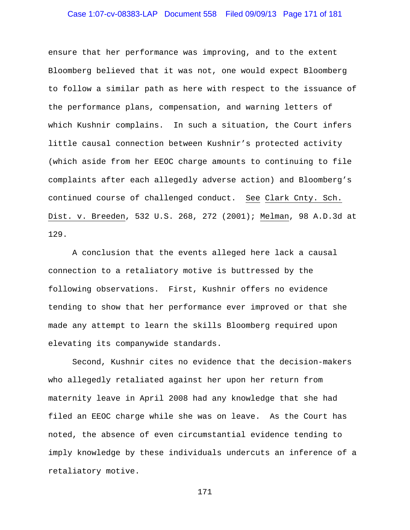# Case 1:07-cv-08383-LAP Document 558 Filed 09/09/13 Page 171 of 181

ensure that her performance was improving, and to the extent Bloomberg believed that it was not, one would expect Bloomberg to follow a similar path as here with respect to the issuance of the performance plans, compensation, and warning letters of which Kushnir complains. In such a situation, the Court infers little causal connection between Kushnir's protected activity (which aside from her EEOC charge amounts to continuing to file complaints after each allegedly adverse action) and Bloomberg's continued course of challenged conduct. See Clark Cnty. Sch. Dist. v. Breeden, 532 U.S. 268, 272 (2001); Melman, 98 A.D.3d at 129.

 A conclusion that the events alleged here lack a causal connection to a retaliatory motive is buttressed by the following observations. First, Kushnir offers no evidence tending to show that her performance ever improved or that she made any attempt to learn the skills Bloomberg required upon elevating its companywide standards.

Second, Kushnir cites no evidence that the decision-makers who allegedly retaliated against her upon her return from maternity leave in April 2008 had any knowledge that she had filed an EEOC charge while she was on leave. As the Court has noted, the absence of even circumstantial evidence tending to imply knowledge by these individuals undercuts an inference of a retaliatory motive.

```
171
```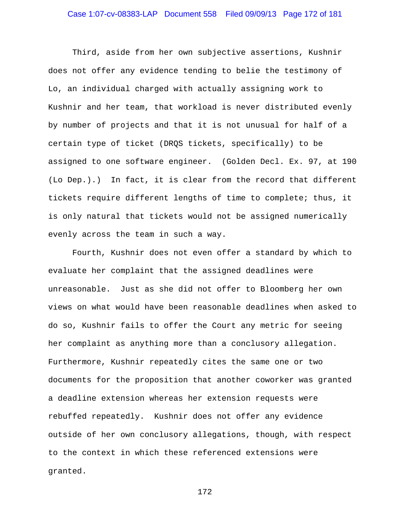# Case 1:07-cv-08383-LAP Document 558 Filed 09/09/13 Page 172 of 181

Third, aside from her own subjective assertions, Kushnir does not offer any evidence tending to belie the testimony of Lo, an individual charged with actually assigning work to Kushnir and her team, that workload is never distributed evenly by number of projects and that it is not unusual for half of a certain type of ticket (DRQS tickets, specifically) to be assigned to one software engineer. (Golden Decl. Ex. 97, at 190 (Lo Dep.).) In fact, it is clear from the record that different tickets require different lengths of time to complete; thus, it is only natural that tickets would not be assigned numerically evenly across the team in such a way.

Fourth, Kushnir does not even offer a standard by which to evaluate her complaint that the assigned deadlines were unreasonable. Just as she did not offer to Bloomberg her own views on what would have been reasonable deadlines when asked to do so, Kushnir fails to offer the Court any metric for seeing her complaint as anything more than a conclusory allegation. Furthermore, Kushnir repeatedly cites the same one or two documents for the proposition that another coworker was granted a deadline extension whereas her extension requests were rebuffed repeatedly. Kushnir does not offer any evidence outside of her own conclusory allegations, though, with respect to the context in which these referenced extensions were granted.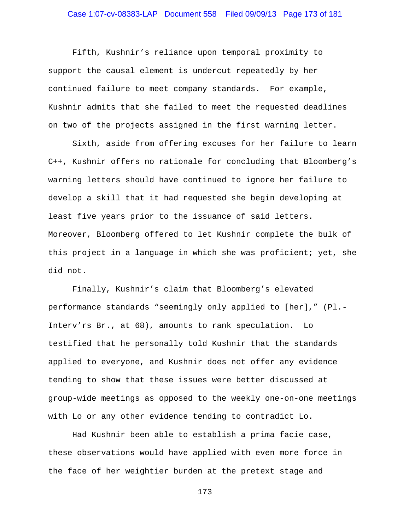# Case 1:07-cv-08383-LAP Document 558 Filed 09/09/13 Page 173 of 181

Fifth, Kushnir's reliance upon temporal proximity to support the causal element is undercut repeatedly by her continued failure to meet company standards. For example, Kushnir admits that she failed to meet the requested deadlines on two of the projects assigned in the first warning letter.

Sixth, aside from offering excuses for her failure to learn C++, Kushnir offers no rationale for concluding that Bloomberg's warning letters should have continued to ignore her failure to develop a skill that it had requested she begin developing at least five years prior to the issuance of said letters. Moreover, Bloomberg offered to let Kushnir complete the bulk of this project in a language in which she was proficient; yet, she did not.

Finally, Kushnir's claim that Bloomberg's elevated performance standards "seemingly only applied to [her]," (Pl.- Interv'rs Br., at 68), amounts to rank speculation. Lo testified that he personally told Kushnir that the standards applied to everyone, and Kushnir does not offer any evidence tending to show that these issues were better discussed at group-wide meetings as opposed to the weekly one-on-one meetings with Lo or any other evidence tending to contradict Lo.

 Had Kushnir been able to establish a prima facie case, these observations would have applied with even more force in the face of her weightier burden at the pretext stage and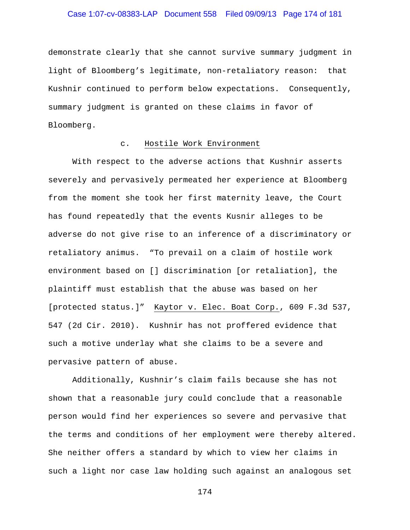# Case 1:07-cv-08383-LAP Document 558 Filed 09/09/13 Page 174 of 181

demonstrate clearly that she cannot survive summary judgment in light of Bloomberg's legitimate, non-retaliatory reason: that Kushnir continued to perform below expectations. Consequently, summary judgment is granted on these claims in favor of Bloomberg.

### c. Hostile Work Environment

 With respect to the adverse actions that Kushnir asserts severely and pervasively permeated her experience at Bloomberg from the moment she took her first maternity leave, the Court has found repeatedly that the events Kusnir alleges to be adverse do not give rise to an inference of a discriminatory or retaliatory animus. "To prevail on a claim of hostile work environment based on [] discrimination [or retaliation], the plaintiff must establish that the abuse was based on her [protected status.]" Kaytor v. Elec. Boat Corp., 609 F.3d 537, 547 (2d Cir. 2010). Kushnir has not proffered evidence that such a motive underlay what she claims to be a severe and pervasive pattern of abuse.

 Additionally, Kushnir's claim fails because she has not shown that a reasonable jury could conclude that a reasonable person would find her experiences so severe and pervasive that the terms and conditions of her employment were thereby altered. She neither offers a standard by which to view her claims in such a light nor case law holding such against an analogous set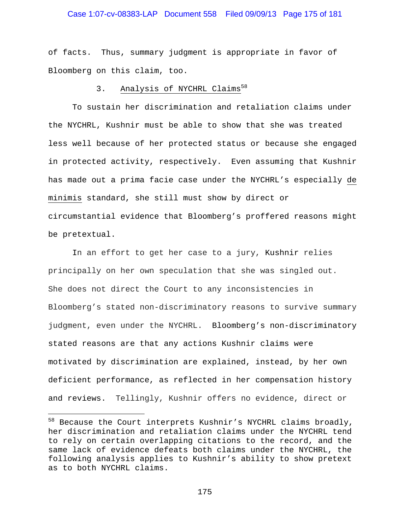### Case 1:07-cv-08383-LAP Document 558 Filed 09/09/13 Page 175 of 181

of facts. Thus, summary judgment is appropriate in favor of Bloomberg on this claim, too.

### 3. Analysis of NYCHRL Claims<sup>58</sup>

To sustain her discrimination and retaliation claims under the NYCHRL, Kushnir must be able to show that she was treated less well because of her protected status or because she engaged in protected activity, respectively. Even assuming that Kushnir has made out a prima facie case under the NYCHRL's especially de minimis standard, she still must show by direct or circumstantial evidence that Bloomberg's proffered reasons might be pretextual.

 In an effort to get her case to a jury, Kushnir relies principally on her own speculation that she was singled out. She does not direct the Court to any inconsistencies in Bloomberg's stated non-discriminatory reasons to survive summary judgment, even under the NYCHRL. Bloomberg's non-discriminatory stated reasons are that any actions Kushnir claims were motivated by discrimination are explained, instead, by her own deficient performance, as reflected in her compensation history and reviews. Tellingly, Kushnir offers no evidence, direct or

 $\overline{\phantom{0}}$ 

 $^{58}$  Because the Court interprets Kushnir's NYCHRL claims broadly, her discrimination and retaliation claims under the NYCHRL tend to rely on certain overlapping citations to the record, and the same lack of evidence defeats both claims under the NYCHRL, the following analysis applies to Kushnir's ability to show pretext as to both NYCHRL claims.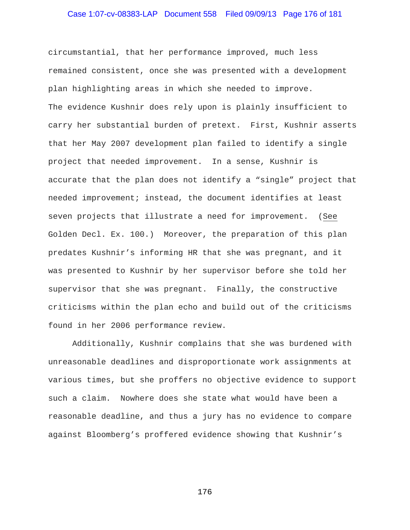# Case 1:07-cv-08383-LAP Document 558 Filed 09/09/13 Page 176 of 181

circumstantial, that her performance improved, much less remained consistent, once she was presented with a development plan highlighting areas in which she needed to improve. The evidence Kushnir does rely upon is plainly insufficient to carry her substantial burden of pretext. First, Kushnir asserts that her May 2007 development plan failed to identify a single project that needed improvement. In a sense, Kushnir is accurate that the plan does not identify a "single" project that needed improvement; instead, the document identifies at least seven projects that illustrate a need for improvement. (See Golden Decl. Ex. 100.) Moreover, the preparation of this plan predates Kushnir's informing HR that she was pregnant, and it was presented to Kushnir by her supervisor before she told her supervisor that she was pregnant. Finally, the constructive criticisms within the plan echo and build out of the criticisms found in her 2006 performance review.

Additionally, Kushnir complains that she was burdened with unreasonable deadlines and disproportionate work assignments at various times, but she proffers no objective evidence to support such a claim. Nowhere does she state what would have been a reasonable deadline, and thus a jury has no evidence to compare against Bloomberg's proffered evidence showing that Kushnir's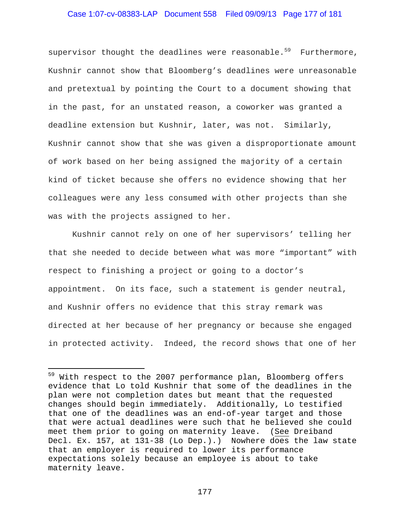### Case 1:07-cv-08383-LAP Document 558 Filed 09/09/13 Page 177 of 181

supervisor thought the deadlines were reasonable.<sup>59</sup> Furthermore, Kushnir cannot show that Bloomberg's deadlines were unreasonable and pretextual by pointing the Court to a document showing that in the past, for an unstated reason, a coworker was granted a deadline extension but Kushnir, later, was not. Similarly, Kushnir cannot show that she was given a disproportionate amount of work based on her being assigned the majority of a certain kind of ticket because she offers no evidence showing that her colleagues were any less consumed with other projects than she was with the projects assigned to her.

Kushnir cannot rely on one of her supervisors' telling her that she needed to decide between what was more "important" with respect to finishing a project or going to a doctor's appointment. On its face, such a statement is gender neutral, and Kushnir offers no evidence that this stray remark was directed at her because of her pregnancy or because she engaged in protected activity. Indeed, the record shows that one of her

 $\overline{\phantom{0}}$ 

<sup>&</sup>lt;sup>59</sup> With respect to the 2007 performance plan, Bloomberg offers evidence that Lo told Kushnir that some of the deadlines in the plan were not completion dates but meant that the requested changes should begin immediately. Additionally, Lo testified that one of the deadlines was an end-of-year target and those that were actual deadlines were such that he believed she could meet them prior to going on maternity leave. (See Dreiband Decl. Ex. 157, at 131-38 (Lo Dep.).) Nowhere does the law state that an employer is required to lower its performance expectations solely because an employee is about to take maternity leave.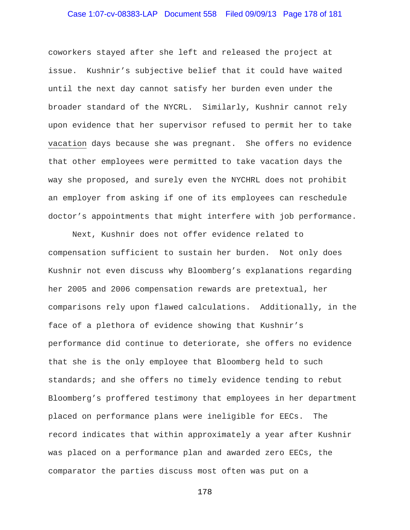# Case 1:07-cv-08383-LAP Document 558 Filed 09/09/13 Page 178 of 181

coworkers stayed after she left and released the project at issue. Kushnir's subjective belief that it could have waited until the next day cannot satisfy her burden even under the broader standard of the NYCRL. Similarly, Kushnir cannot rely upon evidence that her supervisor refused to permit her to take vacation days because she was pregnant. She offers no evidence that other employees were permitted to take vacation days the way she proposed, and surely even the NYCHRL does not prohibit an employer from asking if one of its employees can reschedule doctor's appointments that might interfere with job performance.

Next, Kushnir does not offer evidence related to compensation sufficient to sustain her burden. Not only does Kushnir not even discuss why Bloomberg's explanations regarding her 2005 and 2006 compensation rewards are pretextual, her comparisons rely upon flawed calculations. Additionally, in the face of a plethora of evidence showing that Kushnir's performance did continue to deteriorate, she offers no evidence that she is the only employee that Bloomberg held to such standards; and she offers no timely evidence tending to rebut Bloomberg's proffered testimony that employees in her department placed on performance plans were ineligible for EECs. The record indicates that within approximately a year after Kushnir was placed on a performance plan and awarded zero EECs, the comparator the parties discuss most often was put on a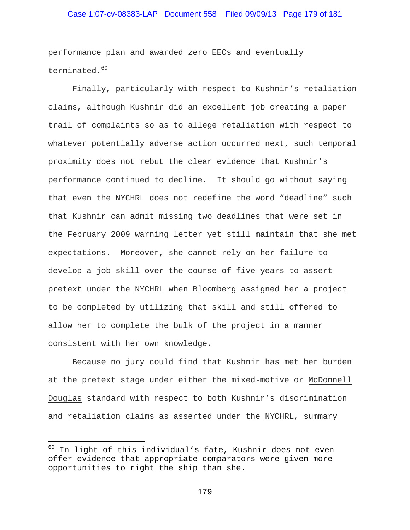### Case 1:07-cv-08383-LAP Document 558 Filed 09/09/13 Page 179 of 181

performance plan and awarded zero EECs and eventually terminated.<sup>60</sup>

Finally, particularly with respect to Kushnir's retaliation claims, although Kushnir did an excellent job creating a paper trail of complaints so as to allege retaliation with respect to whatever potentially adverse action occurred next, such temporal proximity does not rebut the clear evidence that Kushnir's performance continued to decline. It should go without saying that even the NYCHRL does not redefine the word "deadline" such that Kushnir can admit missing two deadlines that were set in the February 2009 warning letter yet still maintain that she met expectations. Moreover, she cannot rely on her failure to develop a job skill over the course of five years to assert pretext under the NYCHRL when Bloomberg assigned her a project to be completed by utilizing that skill and still offered to allow her to complete the bulk of the project in a manner consistent with her own knowledge.

Because no jury could find that Kushnir has met her burden at the pretext stage under either the mixed-motive or McDonnell Douglas standard with respect to both Kushnir's discrimination and retaliation claims as asserted under the NYCHRL, summary

i

 $60$  In light of this individual's fate, Kushnir does not even offer evidence that appropriate comparators were given more opportunities to right the ship than she.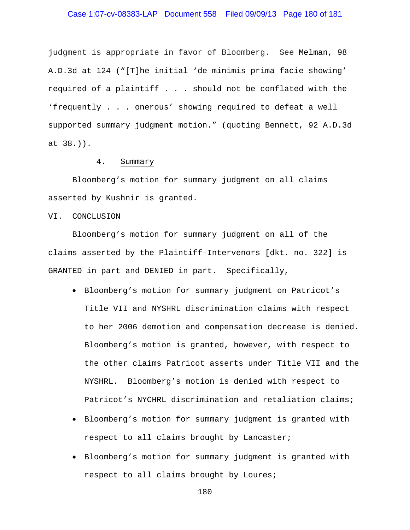### Case 1:07-cv-08383-LAP Document 558 Filed 09/09/13 Page 180 of 181

judgment is appropriate in favor of Bloomberg. See Melman, 98 A.D.3d at 124 ("[T]he initial 'de minimis prima facie showing' required of a plaintiff . . . should not be conflated with the 'frequently . . . onerous' showing required to defeat a well supported summary judgment motion." (quoting Bennett, 92 A.D.3d at 38.)).

### 4. Summary

 Bloomberg's motion for summary judgment on all claims asserted by Kushnir is granted.

VI. CONCLUSION

 Bloomberg's motion for summary judgment on all of the claims asserted by the Plaintiff-Intervenors [dkt. no. 322] is GRANTED in part and DENIED in part. Specifically,

- Bloomberg's motion for summary judgment on Patricot's Title VII and NYSHRL discrimination claims with respect to her 2006 demotion and compensation decrease is denied. Bloomberg's motion is granted, however, with respect to the other claims Patricot asserts under Title VII and the NYSHRL. Bloomberg's motion is denied with respect to Patricot's NYCHRL discrimination and retaliation claims;
- Bloomberg's motion for summary judgment is granted with respect to all claims brought by Lancaster;
- Bloomberg's motion for summary judgment is granted with respect to all claims brought by Loures;